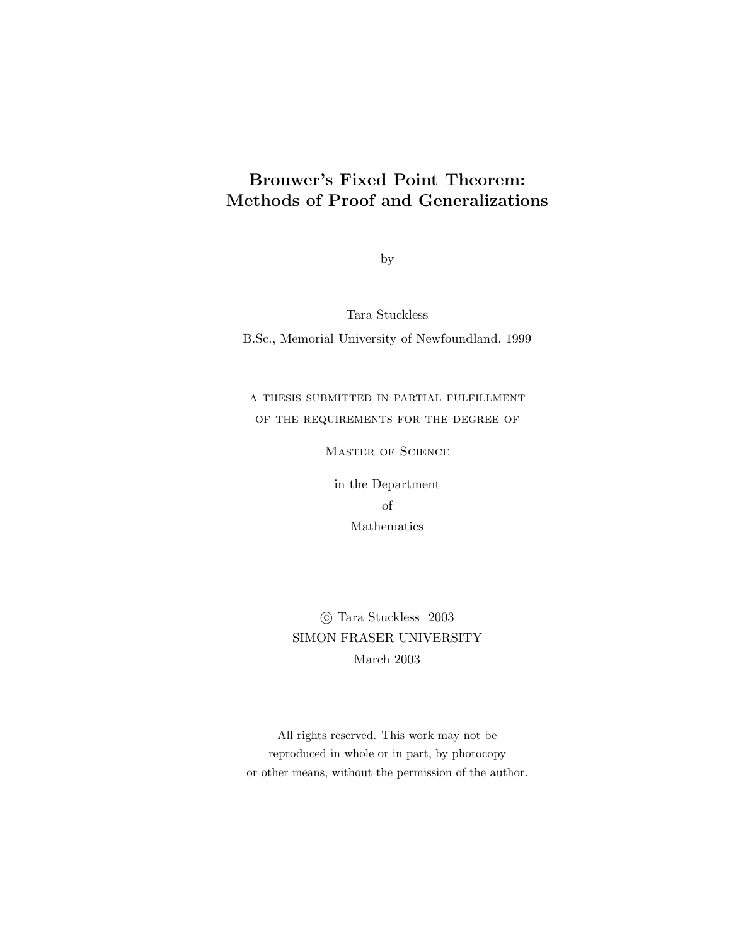## **Brouwer's Fixed Point Theorem: Methods of Proof and Generalizations**

by

Tara Stuckless B.Sc., Memorial University of Newfoundland, 1999

## a thesis submitted in partial fulfillment of the requirements for the degree of

Master of Science

in the Department of Mathematics

c Tara Stuckless 2003 SIMON FRASER UNIVERSITY March 2003

All rights reserved. This work may not be reproduced in whole or in part, by photocopy or other means, without the permission of the author.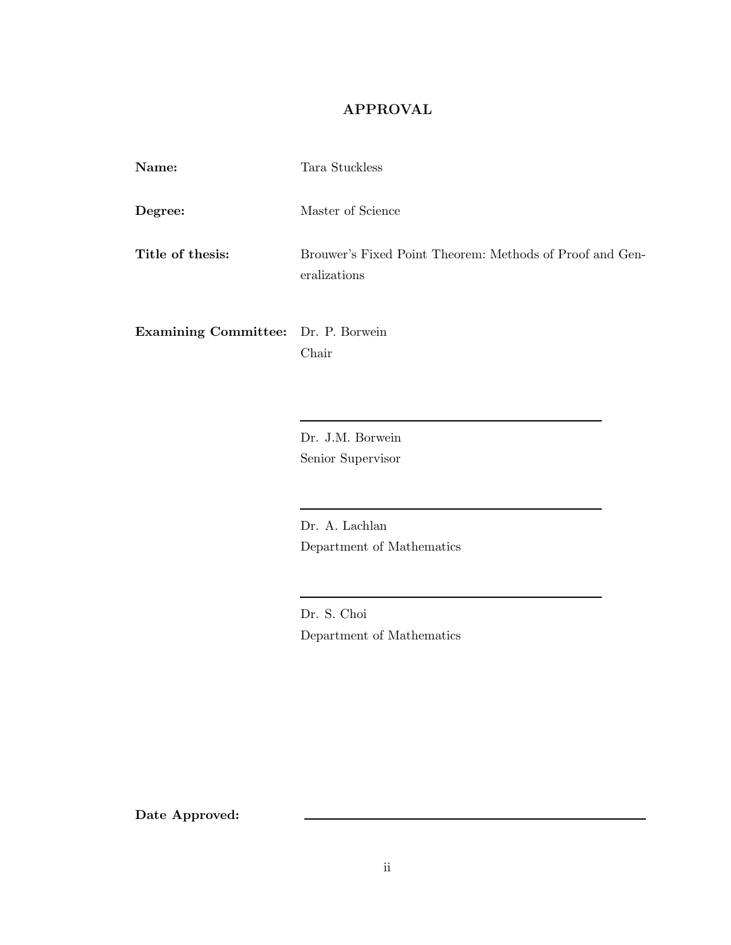### **APPROVAL**

| Name:                                      | Tara Stuckless                                                           |
|--------------------------------------------|--------------------------------------------------------------------------|
| Degree:                                    | Master of Science                                                        |
| Title of thesis:                           | Brouwer's Fixed Point Theorem: Methods of Proof and Gen-<br>eralizations |
| <b>Examining Committee:</b> Dr. P. Borwein |                                                                          |

Chair

Dr. J.M. Borwein Senior Supervisor

Dr. A. Lachlan Department of Mathematics

Dr. S. Choi Department of Mathematics

**Date Approved:**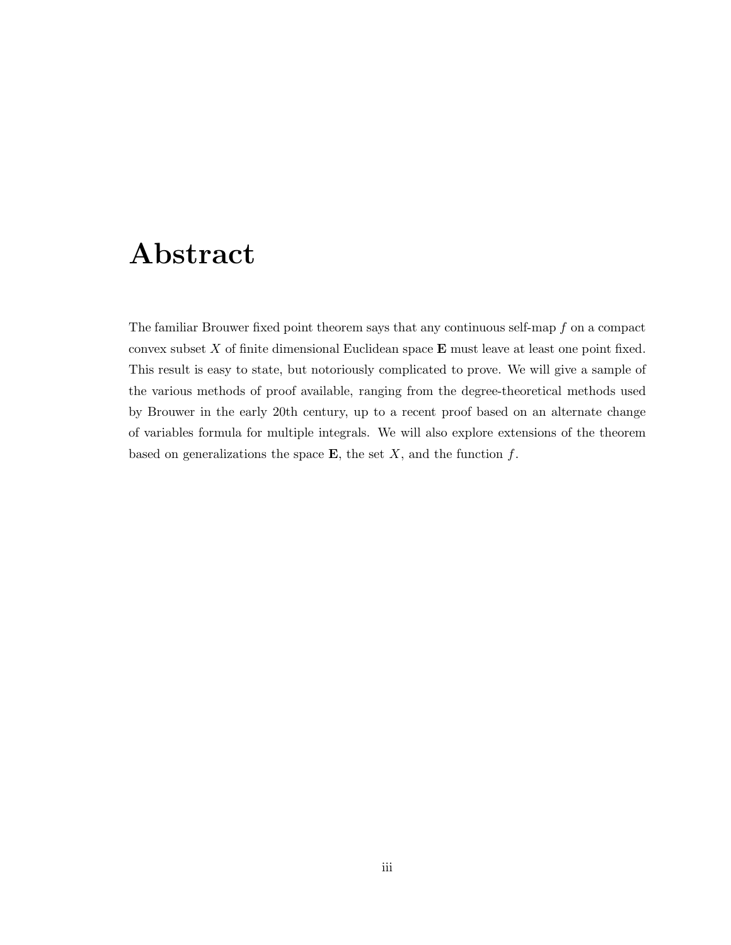# **Abstract**

The familiar Brouwer fixed point theorem says that any continuous self-map  $f$  on a compact convex subset X of finite dimensional Euclidean space **E** must leave at least one point fixed. This result is easy to state, but notoriously complicated to prove. We will give a sample of the various methods of proof available, ranging from the degree-theoretical methods used by Brouwer in the early 20th century, up to a recent proof based on an alternate change of variables formula for multiple integrals. We will also explore extensions of the theorem based on generalizations the space  $\mathbf{E}$ , the set  $X$ , and the function  $f$ .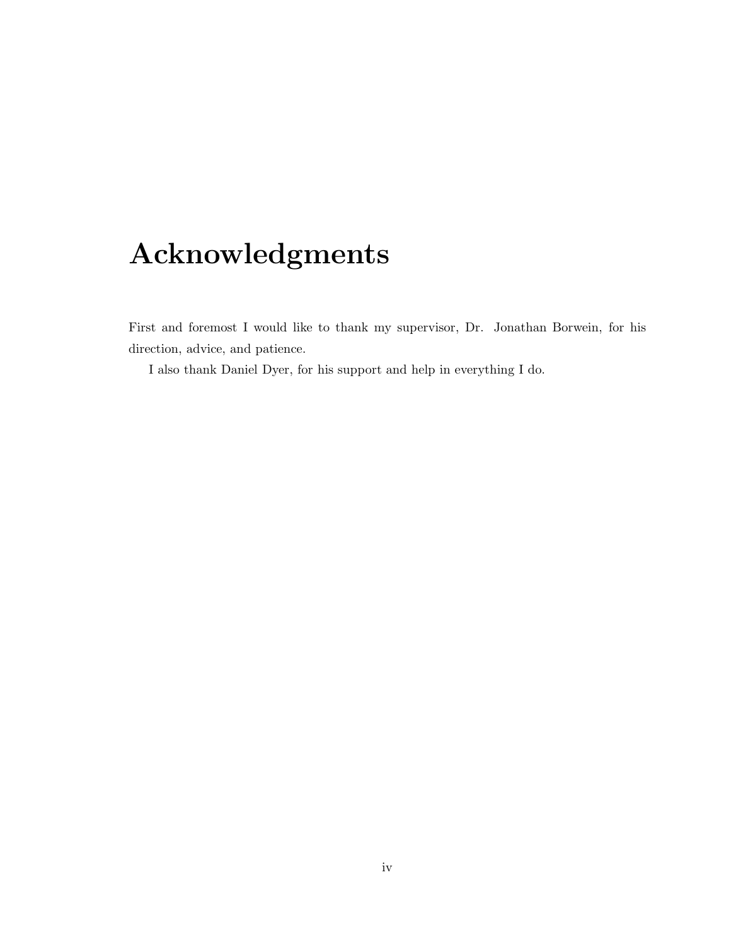# **Acknowledgments**

First and foremost I would like to thank my supervisor, Dr. Jonathan Borwein, for his direction, advice, and patience.

I also thank Daniel Dyer, for his support and help in everything I do.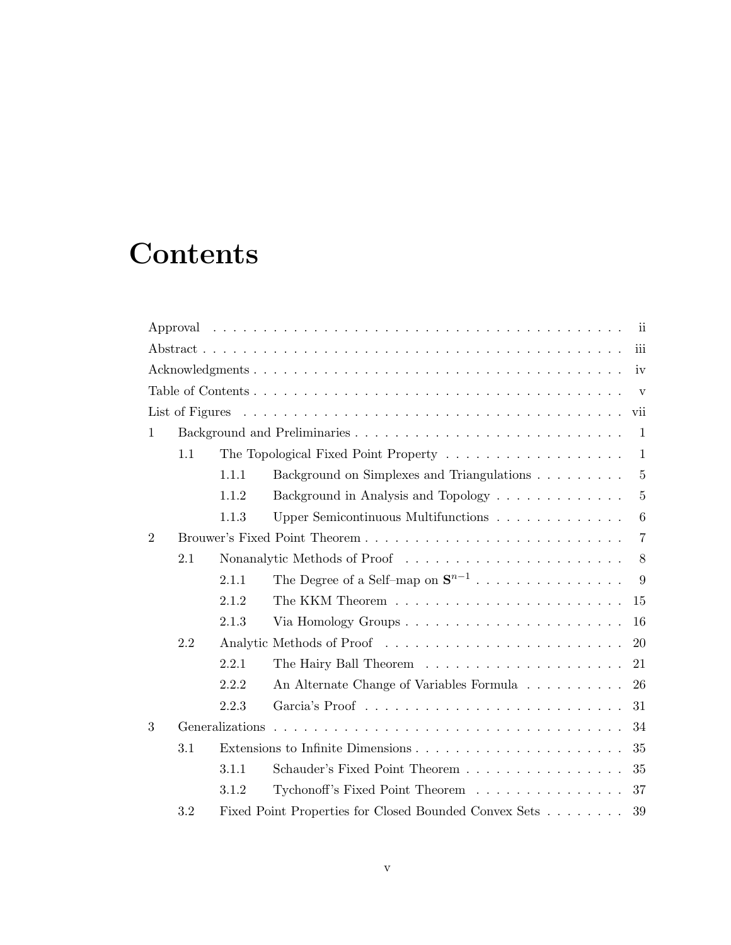# **Contents**

|                |     |                 |                                                       | $\overline{\mathbf{ii}}$ |  |
|----------------|-----|-----------------|-------------------------------------------------------|--------------------------|--|
| iii            |     |                 |                                                       |                          |  |
| iv             |     |                 |                                                       |                          |  |
| $\mathbf{V}$   |     |                 |                                                       |                          |  |
|                |     |                 |                                                       |                          |  |
| $\mathbf{1}$   |     |                 |                                                       | $\overline{1}$           |  |
|                | 1.1 |                 |                                                       | $\mathbf{1}$             |  |
|                |     | 1.1.1           | Background on Simplexes and Triangulations            | $5\overline{)}$          |  |
|                |     | 1.1.2           | Background in Analysis and Topology                   | $\overline{5}$           |  |
|                |     | 1.1.3           | Upper Semicontinuous Multifunctions                   | 6                        |  |
| $\overline{2}$ |     |                 |                                                       | $\overline{7}$           |  |
|                | 2.1 |                 |                                                       | 8                        |  |
|                |     | 2.1.1           | The Degree of a Self–map on $\mathbf{S}^{n-1}$        | 9                        |  |
|                |     | 2.1.2           |                                                       | 15                       |  |
|                |     | 2.1.3           |                                                       | 16                       |  |
|                | 2.2 |                 |                                                       | 20                       |  |
|                |     | 2.2.1           |                                                       | 21                       |  |
|                |     | 2.2.2           | An Alternate Change of Variables Formula              | 26                       |  |
|                |     | 2.2.3           |                                                       | 31                       |  |
| 3              |     | Generalizations |                                                       | 34                       |  |
|                | 3.1 |                 |                                                       | 35                       |  |
|                |     | 3.1.1           | Schauder's Fixed Point Theorem                        | 35                       |  |
|                |     | 3.1.2           | Tychonoff's Fixed Point Theorem                       | 37                       |  |
|                | 3.2 |                 | Fixed Point Properties for Closed Bounded Convex Sets | 39                       |  |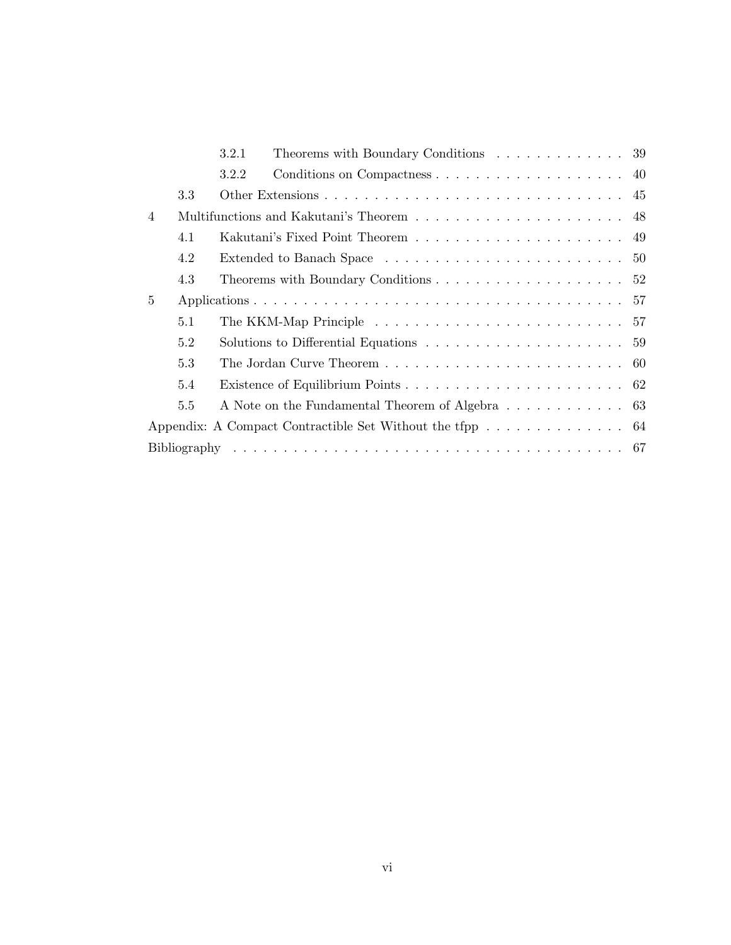|                |     | Theorems with Boundary Conditions $\ldots \ldots \ldots \ldots 39$<br>3.2.1                 |  |  |
|----------------|-----|---------------------------------------------------------------------------------------------|--|--|
|                |     | 3.2.2                                                                                       |  |  |
|                | 3.3 |                                                                                             |  |  |
| $\overline{4}$ |     |                                                                                             |  |  |
|                | 4.1 |                                                                                             |  |  |
|                | 4.2 |                                                                                             |  |  |
|                | 4.3 |                                                                                             |  |  |
| $5^{\circ}$    |     |                                                                                             |  |  |
|                | 5.1 |                                                                                             |  |  |
|                | 5.2 | Solutions to Differential Equations $\dots \dots \dots \dots \dots \dots \dots \dots \dots$ |  |  |
|                | 5.3 |                                                                                             |  |  |
|                | 5.4 |                                                                                             |  |  |
|                | 5.5 | A Note on the Fundamental Theorem of Algebra 63                                             |  |  |
|                |     | Appendix: A Compact Contractible Set Without the tfpp 64                                    |  |  |
|                |     |                                                                                             |  |  |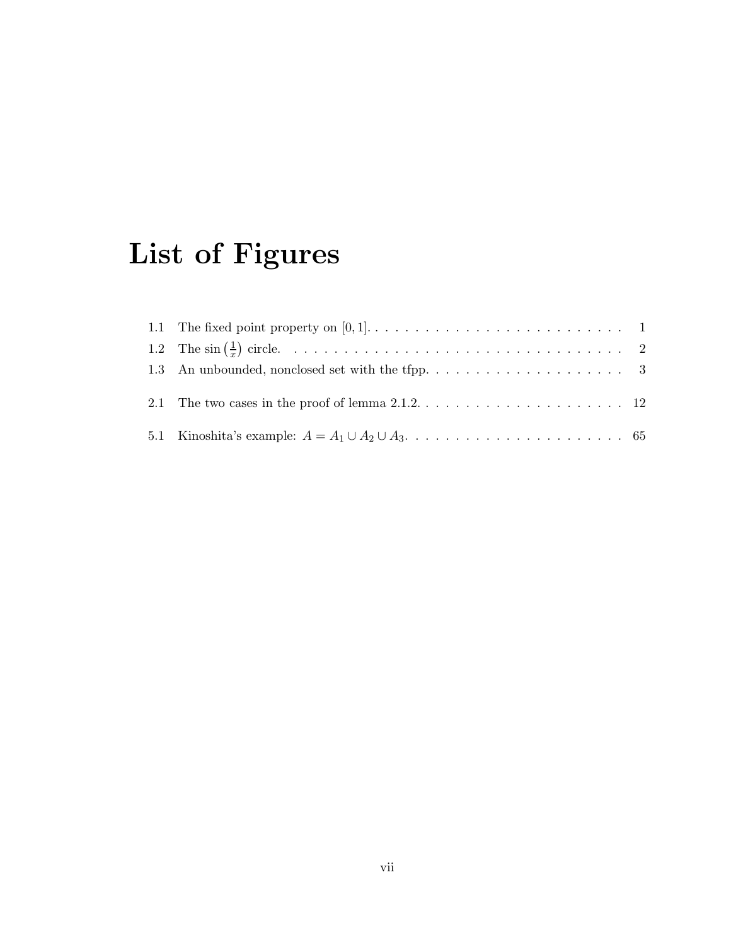# **List of Figures**

| 2.1 The two cases in the proof of lemma $2.1.2 \ldots \ldots \ldots \ldots \ldots \ldots \ldots 12$ |  |
|-----------------------------------------------------------------------------------------------------|--|
|                                                                                                     |  |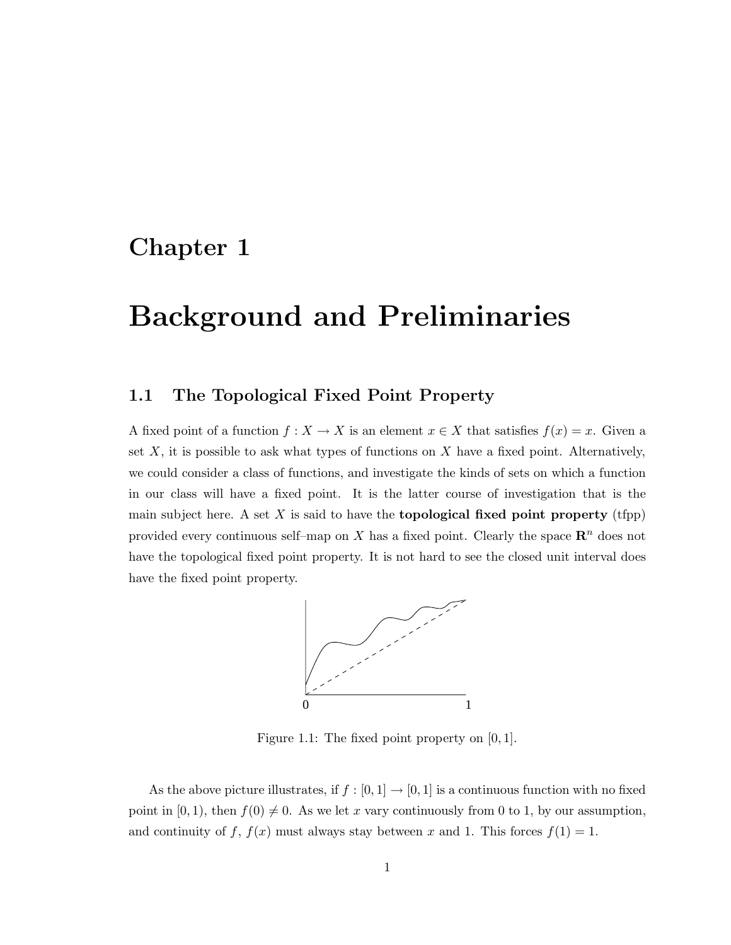## **Chapter 1**

# **Background and Preliminaries**

## **1.1 The Topological Fixed Point Property**

A fixed point of a function  $f: X \to X$  is an element  $x \in X$  that satisfies  $f(x) = x$ . Given a set  $X$ , it is possible to ask what types of functions on  $X$  have a fixed point. Alternatively, we could consider a class of functions, and investigate the kinds of sets on which a function in our class will have a fixed point. It is the latter course of investigation that is the main subject here. A set  $X$  is said to have the **topological fixed point property** (tfpp) provided every continuous self–map on  $X$  has a fixed point. Clearly the space  $\mathbb{R}^n$  does not have the topological fixed point property. It is not hard to see the closed unit interval does have the fixed point property.



Figure 1.1: The fixed point property on [0, 1].

As the above picture illustrates, if  $f : [0,1] \to [0,1]$  is a continuous function with no fixed point in [0, 1), then  $f(0) \neq 0$ . As we let x vary continuously from 0 to 1, by our assumption, and continuity of f,  $f(x)$  must always stay between x and 1. This forces  $f(1) = 1$ .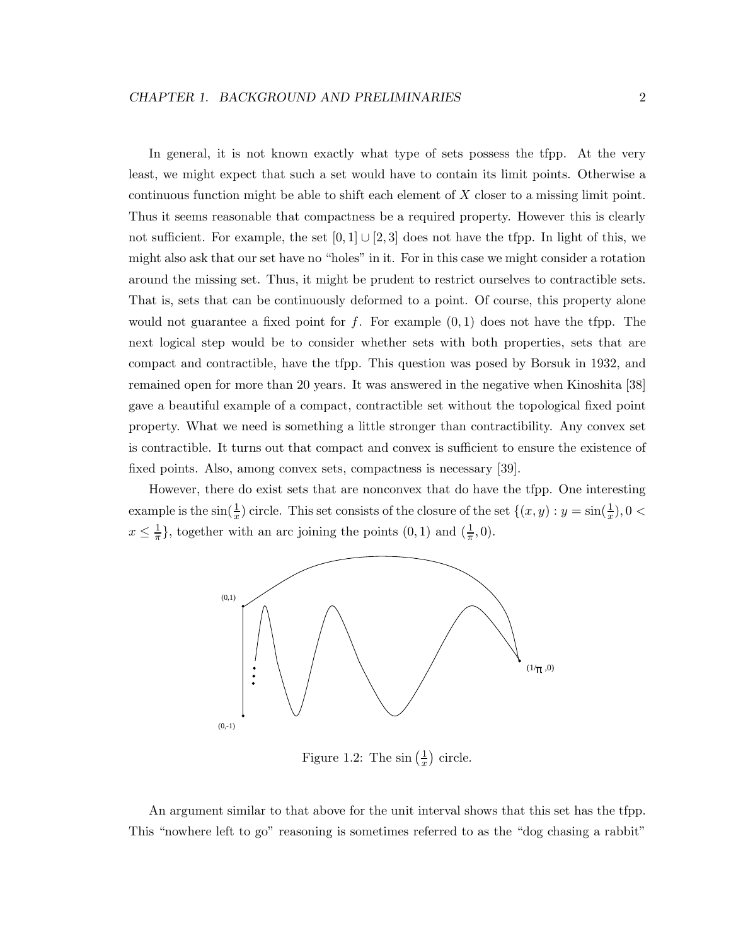In general, it is not known exactly what type of sets possess the tfpp. At the very least, we might expect that such a set would have to contain its limit points. Otherwise a continuous function might be able to shift each element of X closer to a missing limit point. Thus it seems reasonable that compactness be a required property. However this is clearly not sufficient. For example, the set  $[0, 1] \cup [2, 3]$  does not have the tfpp. In light of this, we might also ask that our set have no "holes" in it. For in this case we might consider a rotation around the missing set. Thus, it might be prudent to restrict ourselves to contractible sets. That is, sets that can be continuously deformed to a point. Of course, this property alone would not guarantee a fixed point for f. For example  $(0,1)$  does not have the tfpp. The next logical step would be to consider whether sets with both properties, sets that are compact and contractible, have the tfpp. This question was posed by Borsuk in 1932, and remained open for more than 20 years. It was answered in the negative when Kinoshita [38] gave a beautiful example of a compact, contractible set without the topological fixed point property. What we need is something a little stronger than contractibility. Any convex set is contractible. It turns out that compact and convex is sufficient to ensure the existence of fixed points. Also, among convex sets, compactness is necessary [39].

However, there do exist sets that are nonconvex that do have the tfpp. One interesting example is the  $\sin(\frac{1}{x})$  circle. This set consists of the closure of the set  $\{(x, y) : y = \sin(\frac{1}{x}), 0 <$  $x \leq \frac{1}{\pi}$ , together with an arc joining the points  $(0, 1)$  and  $(\frac{1}{\pi}, 0)$ .



Figure 1.2: The  $\sin\left(\frac{1}{x}\right)$  circle.

An argument similar to that above for the unit interval shows that this set has the tfpp. This "nowhere left to go" reasoning is sometimes referred to as the "dog chasing a rabbit"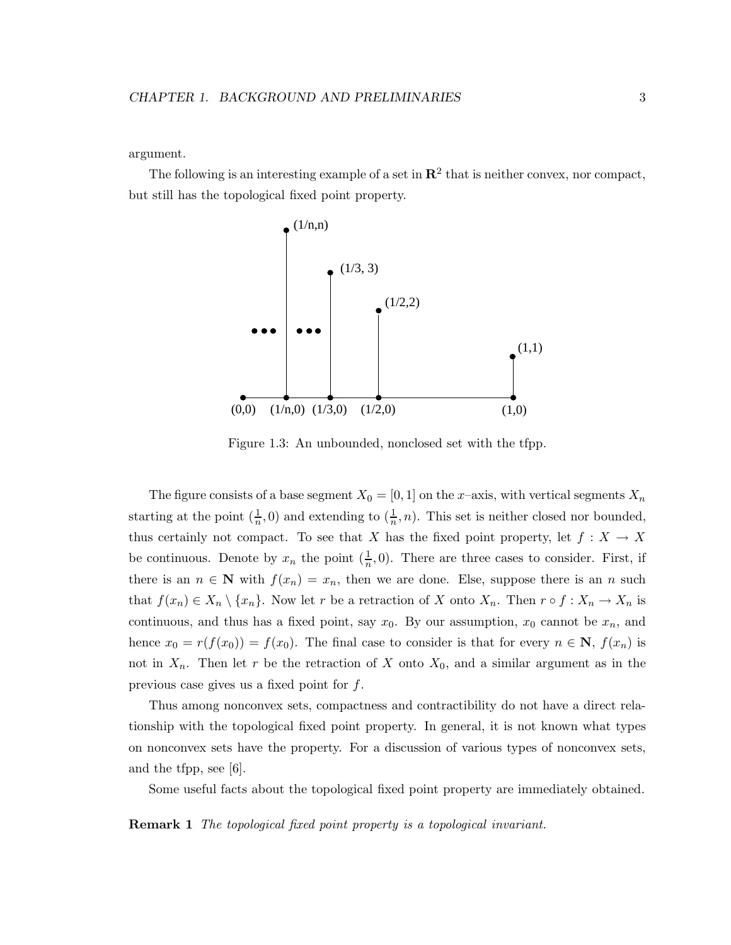argument.

The following is an interesting example of a set in  $\mathbb{R}^2$  that is neither convex, nor compact, but still has the topological fixed point property.



Figure 1.3: An unbounded, nonclosed set with the tfpp.

The figure consists of a base segment  $X_0 = [0, 1]$  on the x–axis, with vertical segments  $X_n$ starting at the point  $(\frac{1}{n}, 0)$  and extending to  $(\frac{1}{n}, n)$ . This set is neither closed nor bounded, thus certainly not compact. To see that X has the fixed point property, let  $f: X \to X$ be continuous. Denote by  $x_n$  the point  $(\frac{1}{n}, 0)$ . There are three cases to consider. First, if there is an  $n \in \mathbb{N}$  with  $f(x_n) = x_n$ , then we are done. Else, suppose there is an n such that  $f(x_n) \in X_n \setminus \{x_n\}$ . Now let r be a retraction of X onto  $X_n$ . Then  $r \circ f : X_n \to X_n$  is continuous, and thus has a fixed point, say  $x_0$ . By our assumption,  $x_0$  cannot be  $x_n$ , and hence  $x_0 = r(f(x_0)) = f(x_0)$ . The final case to consider is that for every  $n \in \mathbb{N}$ ,  $f(x_n)$  is not in  $X_n$ . Then let r be the retraction of X onto  $X_0$ , and a similar argument as in the previous case gives us a fixed point for f.

Thus among nonconvex sets, compactness and contractibility do not have a direct relationship with the topological fixed point property. In general, it is not known what types on nonconvex sets have the property. For a discussion of various types of nonconvex sets, and the tfpp, see [6].

Some useful facts about the topological fixed point property are immediately obtained.

**Remark 1** *The topological fixed point property is a topological invariant.*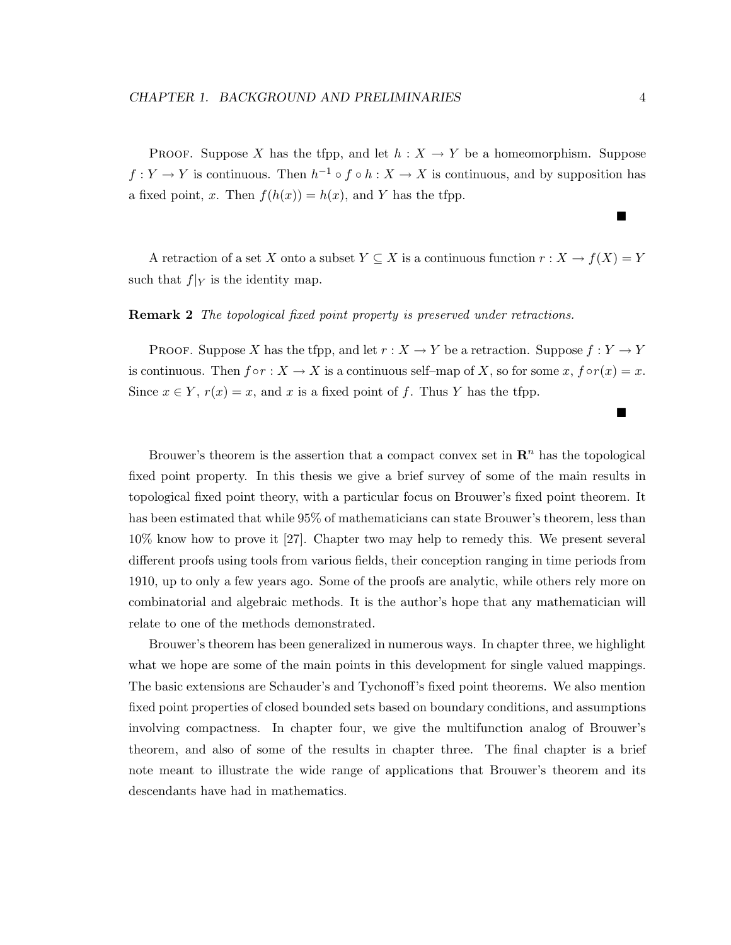PROOF. Suppose X has the tfpp, and let  $h : X \to Y$  be a homeomorphism. Suppose  $f: Y \to Y$  is continuous. Then  $h^{-1} \circ f \circ h: X \to X$  is continuous, and by supposition has a fixed point, x. Then  $f(h(x)) = h(x)$ , and Y has the tfpp.

A retraction of a set X onto a subset  $Y \subseteq X$  is a continuous function  $r : X \to f(X) = Y$ such that  $f|_Y$  is the identity map.

### **Remark 2** *The topological fixed point property is preserved under retractions.*

PROOF. Suppose X has the tfpp, and let  $r : X \to Y$  be a retraction. Suppose  $f : Y \to Y$ is continuous. Then  $f \circ r : X \to X$  is a continuous self–map of X, so for some x,  $f \circ r(x) = x$ . Since  $x \in Y$ ,  $r(x) = x$ , and x is a fixed point of f. Thus Y has the tfpp.

Brouwer's theorem is the assertion that a compact convex set in  $\mathbb{R}^n$  has the topological fixed point property. In this thesis we give a brief survey of some of the main results in topological fixed point theory, with a particular focus on Brouwer's fixed point theorem. It has been estimated that while 95% of mathematicians can state Brouwer's theorem, less than 10% know how to prove it [27]. Chapter two may help to remedy this. We present several different proofs using tools from various fields, their conception ranging in time periods from 1910, up to only a few years ago. Some of the proofs are analytic, while others rely more on combinatorial and algebraic methods. It is the author's hope that any mathematician will relate to one of the methods demonstrated.

Brouwer's theorem has been generalized in numerous ways. In chapter three, we highlight what we hope are some of the main points in this development for single valued mappings. The basic extensions are Schauder's and Tychonoff's fixed point theorems. We also mention fixed point properties of closed bounded sets based on boundary conditions, and assumptions involving compactness. In chapter four, we give the multifunction analog of Brouwer's theorem, and also of some of the results in chapter three. The final chapter is a brief note meant to illustrate the wide range of applications that Brouwer's theorem and its descendants have had in mathematics.

ш

 $\blacksquare$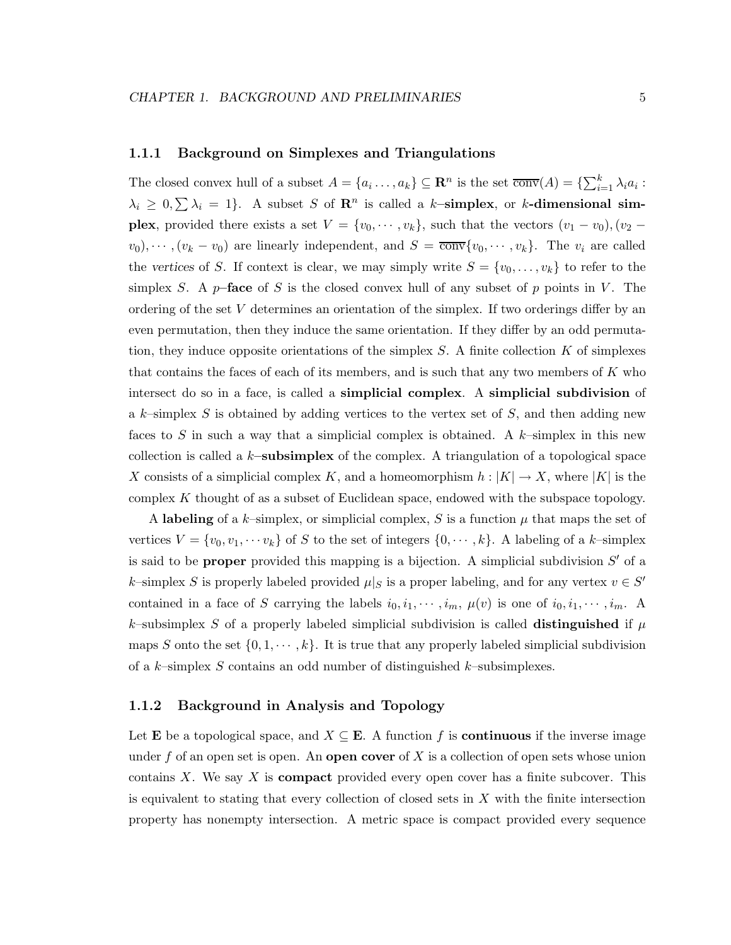### **1.1.1 Background on Simplexes and Triangulations**

The closed convex hull of a subset  $A = \{a_i, \ldots, a_k\} \subseteq \mathbb{R}^n$  is the set  $\overline{\text{conv}}(A) = \{\sum_{i=1}^k \lambda_i a_i : A_i \neq b_i\}$  $\lambda_i \geq 0, \sum \lambda_i = 1$ . A subset S of  $\mathbb{R}^n$  is called a k-simplex, or k-dimensional sim**plex**, provided there exists a set  $V = \{v_0, \dots, v_k\}$ , such that the vectors  $(v_1 - v_0)$ ,  $(v_2 - v_0)$  $v_0, \dots, (v_k - v_0)$  are linearly independent, and  $S = \overline{\text{conv}}\{v_0, \dots, v_k\}$ . The  $v_i$  are called the *vertices* of S. If context is clear, we may simply write  $S = \{v_0, \ldots, v_k\}$  to refer to the simplex S. A  $p$ -face of S is the closed convex hull of any subset of p points in V. The ordering of the set V determines an orientation of the simplex. If two orderings differ by an even permutation, then they induce the same orientation. If they differ by an odd permutation, they induce opposite orientations of the simplex  $S$ . A finite collection  $K$  of simplexes that contains the faces of each of its members, and is such that any two members of  $K$  who intersect do so in a face, is called a **simplicial complex**. A **simplicial subdivision** of a k–simplex S is obtained by adding vertices to the vertex set of  $S$ , and then adding new faces to S in such a way that a simplicial complex is obtained. A  $k$ -simplex in this new collection is called a k**–subsimplex** of the complex. A triangulation of a topological space X consists of a simplicial complex K, and a homeomorphism  $h: |K| \to X$ , where  $|K|$  is the complex K thought of as a subset of Euclidean space, endowed with the subspace topology.

A **labeling** of a k–simplex, or simplicial complex, S is a function  $\mu$  that maps the set of vertices  $V = \{v_0, v_1, \dots, v_k\}$  of S to the set of integers  $\{0, \dots, k\}$ . A labeling of a k-simplex is said to be **proper** provided this mapping is a bijection. A simplicial subdivision  $S'$  of a k–simplex S is properly labeled provided  $\mu|_S$  is a proper labeling, and for any vertex  $v \in S'$ contained in a face of S carrying the labels  $i_0, i_1, \dots, i_m$ ,  $\mu(v)$  is one of  $i_0, i_1, \dots, i_m$ . A k–subsimplex S of a properly labeled simplicial subdivision is called **distinguished** if  $\mu$ maps S onto the set  $\{0, 1, \dots, k\}$ . It is true that any properly labeled simplicial subdivision of a  $k$ -simplex S contains an odd number of distinguished  $k$ -subsimplexes.

#### **1.1.2 Background in Analysis and Topology**

Let **E** be a topological space, and  $X \subseteq \mathbf{E}$ . A function f is **continuous** if the inverse image under f of an open set is open. An **open cover** of X is a collection of open sets whose union contains X. We say X is **compact** provided every open cover has a finite subcover. This is equivalent to stating that every collection of closed sets in  $X$  with the finite intersection property has nonempty intersection. A metric space is compact provided every sequence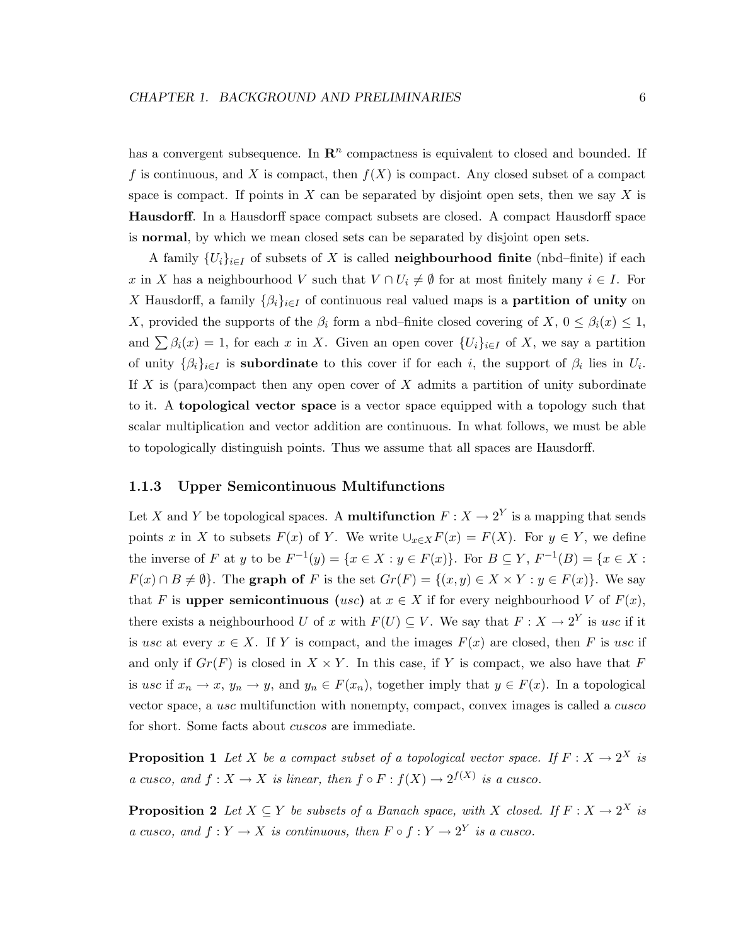has a convergent subsequence. In  $\mathbb{R}^n$  compactness is equivalent to closed and bounded. If f is continuous, and X is compact, then  $f(X)$  is compact. Any closed subset of a compact space is compact. If points in  $X$  can be separated by disjoint open sets, then we say  $X$  is **Hausdorff**. In a Hausdorff space compact subsets are closed. A compact Hausdorff space is **normal**, by which we mean closed sets can be separated by disjoint open sets.

A family  $\{U_i\}_{i\in I}$  of subsets of X is called **neighbourhood finite** (nbd–finite) if each x in X has a neighbourhood V such that  $V \cap U_i \neq \emptyset$  for at most finitely many  $i \in I$ . For X Hausdorff, a family  $\{\beta_i\}_{i\in I}$  of continuous real valued maps is a **partition of unity** on X, provided the supports of the  $\beta_i$  form a nbd–finite closed covering of X,  $0 \leq \beta_i(x) \leq 1$ , and  $\sum \beta_i(x) = 1$ , for each x in X. Given an open cover  $\{U_i\}_{i\in I}$  of X, we say a partition of unity  $\{\beta_i\}_{i\in I}$  is **subordinate** to this cover if for each i, the support of  $\beta_i$  lies in  $U_i$ . If X is (para)compact then any open cover of X admits a partition of unity subordinate to it. A **topological vector space** is a vector space equipped with a topology such that scalar multiplication and vector addition are continuous. In what follows, we must be able to topologically distinguish points. Thus we assume that all spaces are Hausdorff.

### **1.1.3 Upper Semicontinuous Multifunctions**

Let X and Y be topological spaces. A **multifunction**  $F: X \to 2^Y$  is a mapping that sends points x in X to subsets  $F(x)$  of Y. We write  $\bigcup_{x\in X} F(x) = F(X)$ . For  $y \in Y$ , we define the inverse of F at y to be  $F^{-1}(y) = \{x \in X : y \in F(x)\}.$  For  $B \subseteq Y$ ,  $F^{-1}(B) = \{x \in X : y \in F(x)\}$ .  $F(x) \cap B \neq \emptyset$ . The **graph of** F is the set  $Gr(F) = \{(x, y) \in X \times Y : y \in F(x)\}$ . We say that F is **upper semicontinuous** (usc) at  $x \in X$  if for every neighbourhood V of  $F(x)$ , there exists a neighbourhood U of x with  $F(U) \subseteq V$ . We say that  $F: X \to 2^Y$  is usc if it is usc at every  $x \in X$ . If Y is compact, and the images  $F(x)$  are closed, then F is usc if and only if  $Gr(F)$  is closed in  $X \times Y$ . In this case, if Y is compact, we also have that F is usc if  $x_n \to x$ ,  $y_n \to y$ , and  $y_n \in F(x_n)$ , together imply that  $y \in F(x)$ . In a topological vector space, a usc multifunction with nonempty, compact, convex images is called a *cusco* for short. Some facts about *cuscos* are immediate.

**Proposition 1** Let X be a compact subset of a topological vector space. If  $F: X \to 2^X$  is *a* cusco, and  $f: X \to X$  *is linear, then*  $f \circ F: f(X) \to 2^{f(X)}$  *is a cusco.* 

**Proposition 2** *Let*  $X \subseteq Y$  *be subsets of a Banach space, with* X *closed.* If  $F : X \to 2^X$  *is a* cusco, and  $f: Y \to X$  *is continuous, then*  $F \circ f: Y \to 2^Y$  *is a cusco.*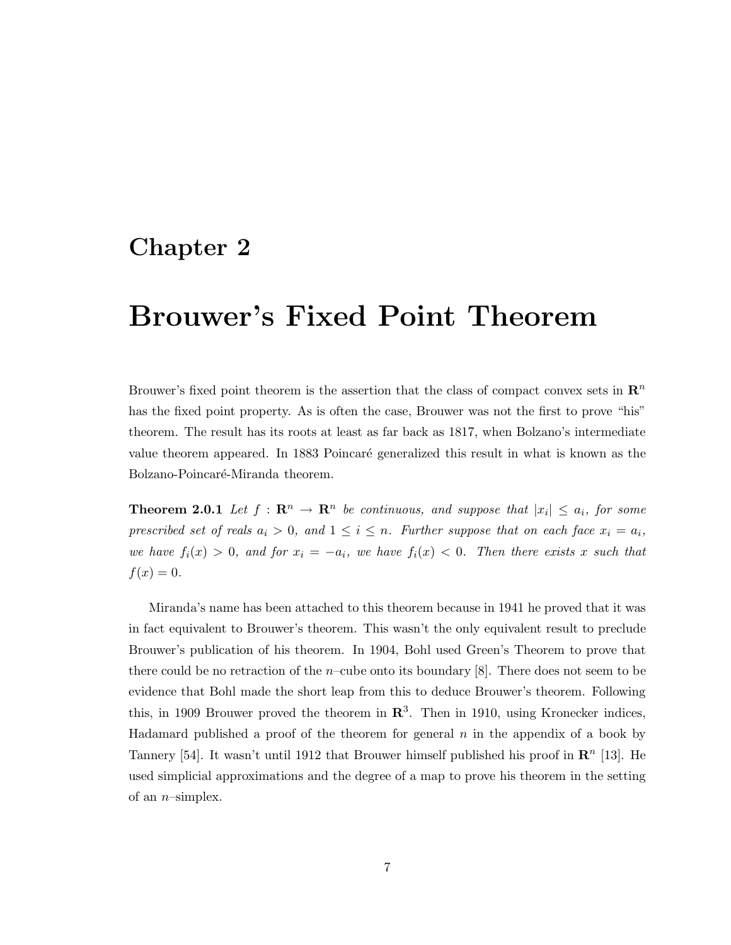## **Chapter 2**

# **Brouwer's Fixed Point Theorem**

Brouwer's fixed point theorem is the assertion that the class of compact convex sets in  $\mathbb{R}^n$ has the fixed point property. As is often the case, Brouwer was not the first to prove "his" theorem. The result has its roots at least as far back as 1817, when Bolzano's intermediate value theorem appeared. In 1883 Poincaré generalized this result in what is known as the Bolzano-Poincaré-Miranda theorem.

**Theorem 2.0.1** *Let*  $f : \mathbb{R}^n \to \mathbb{R}^n$  *be continuous, and suppose that*  $|x_i| \leq a_i$ *, for some prescribed set of reals*  $a_i > 0$ *, and*  $1 \leq i \leq n$ *. Further suppose that on each face*  $x_i = a_i$ *, we have*  $f_i(x) > 0$ *, and for*  $x_i = -a_i$ *, we have*  $f_i(x) < 0$ *. Then there exists* x *such that*  $f(x)=0.$ 

Miranda's name has been attached to this theorem because in 1941 he proved that it was in fact equivalent to Brouwer's theorem. This wasn't the only equivalent result to preclude Brouwer's publication of his theorem. In 1904, Bohl used Green's Theorem to prove that there could be no retraction of the *n*–cube onto its boundary [8]. There does not seem to be evidence that Bohl made the short leap from this to deduce Brouwer's theorem. Following this, in 1909 Brouwer proved the theorem in  $\mathbb{R}^3$ . Then in 1910, using Kronecker indices, Hadamard published a proof of the theorem for general  $n$  in the appendix of a book by Tannery [54]. It wasn't until 1912 that Brouwer himself published his proof in  $\mathbb{R}^n$  [13]. He used simplicial approximations and the degree of a map to prove his theorem in the setting of an  $n$ -simplex.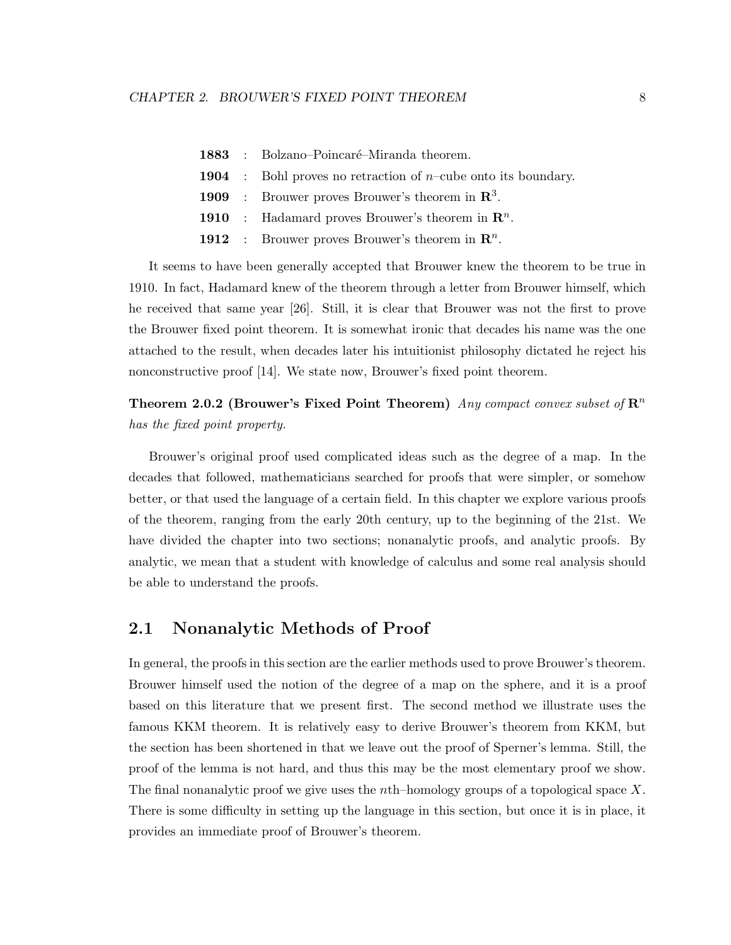|  | 1883 : Bolzano-Poincaré-Miranda theorem.                                     |
|--|------------------------------------------------------------------------------|
|  | <b>1904</b> : Bohl proves no retraction of <i>n</i> -cube onto its boundary. |
|  | <b>1909</b> : Brouwer proves Brouwer's theorem in $\mathbb{R}^3$ .           |
|  | <b>1910</b> : Hadamard proves Brouwer's theorem in $\mathbb{R}^n$ .          |
|  | <b>1912</b> : Brouwer proves Brouwer's theorem in $\mathbb{R}^n$ .           |
|  |                                                                              |

It seems to have been generally accepted that Brouwer knew the theorem to be true in 1910. In fact, Hadamard knew of the theorem through a letter from Brouwer himself, which he received that same year [26]. Still, it is clear that Brouwer was not the first to prove the Brouwer fixed point theorem. It is somewhat ironic that decades his name was the one attached to the result, when decades later his intuitionist philosophy dictated he reject his nonconstructive proof [14]. We state now, Brouwer's fixed point theorem.

**Theorem 2.0.2 (Brouwer's Fixed Point Theorem)** *Any compact convex subset of* **R**<sup>n</sup> *has the fixed point property.*

Brouwer's original proof used complicated ideas such as the degree of a map. In the decades that followed, mathematicians searched for proofs that were simpler, or somehow better, or that used the language of a certain field. In this chapter we explore various proofs of the theorem, ranging from the early 20th century, up to the beginning of the 21st. We have divided the chapter into two sections; nonanalytic proofs, and analytic proofs. By analytic, we mean that a student with knowledge of calculus and some real analysis should be able to understand the proofs.

### **2.1 Nonanalytic Methods of Proof**

In general, the proofs in this section are the earlier methods used to prove Brouwer's theorem. Brouwer himself used the notion of the degree of a map on the sphere, and it is a proof based on this literature that we present first. The second method we illustrate uses the famous KKM theorem. It is relatively easy to derive Brouwer's theorem from KKM, but the section has been shortened in that we leave out the proof of Sperner's lemma. Still, the proof of the lemma is not hard, and thus this may be the most elementary proof we show. The final nonanalytic proof we give uses the *n*th–homology groups of a topological space X. There is some difficulty in setting up the language in this section, but once it is in place, it provides an immediate proof of Brouwer's theorem.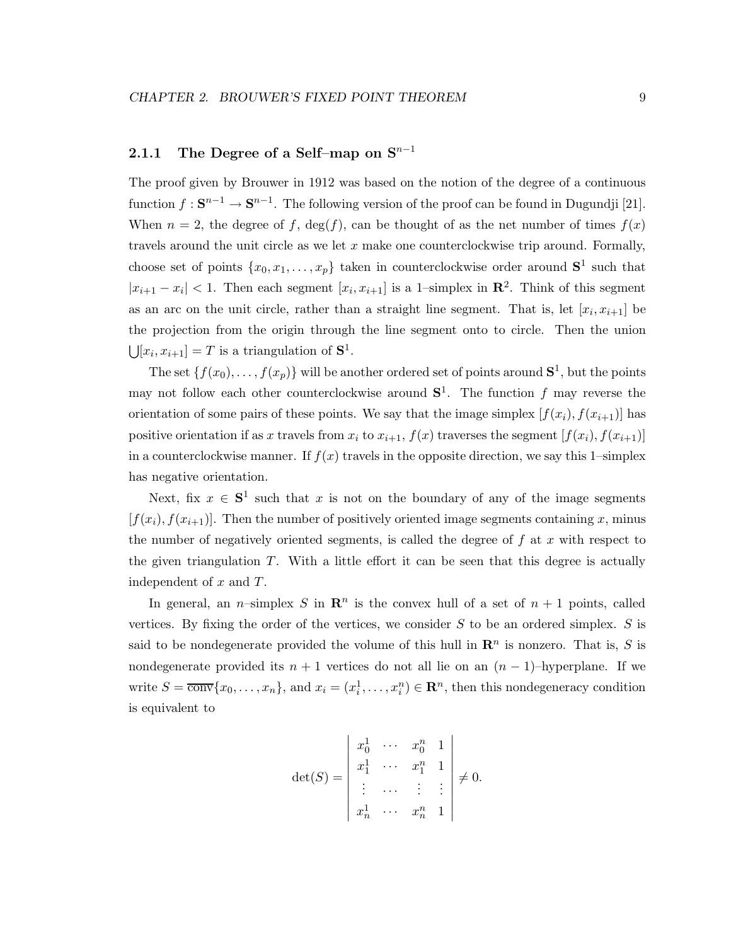### 2.1.1 The Degree of a Self–map on S<sup>n−1</sup>

The proof given by Brouwer in 1912 was based on the notion of the degree of a continuous function  $f: \mathbf{S}^{n-1} \to \mathbf{S}^{n-1}$ . The following version of the proof can be found in Dugundji [21]. When  $n = 2$ , the degree of f, deg(f), can be thought of as the net number of times  $f(x)$ travels around the unit circle as we let  $x$  make one counterclockwise trip around. Formally, choose set of points  $\{x_0, x_1, \ldots, x_p\}$  taken in counterclockwise order around  $S^1$  such that  $|x_{i+1} - x_i| < 1$ . Then each segment  $[x_i, x_{i+1}]$  is a 1-simplex in  $\mathbb{R}^2$ . Think of this segment as an arc on the unit circle, rather than a straight line segment. That is, let  $[x_i, x_{i+1}]$  be the projection from the origin through the line segment onto to circle. Then the union  $\bigcup [x_i, x_{i+1}] = T$  is a triangulation of  $S^1$ .

The set  $\{f(x_0),...,f(x_p)\}\$  will be another ordered set of points around  $S^1$ , but the points may not follow each other counterclockwise around  $S^1$ . The function f may reverse the orientation of some pairs of these points. We say that the image simplex  $[f(x_i), f(x_{i+1})]$  has positive orientation if as x travels from  $x_i$  to  $x_{i+1}$ ,  $f(x)$  traverses the segment  $[f(x_i), f(x_{i+1})]$ in a counterclockwise manner. If  $f(x)$  travels in the opposite direction, we say this 1–simplex has negative orientation.

Next, fix  $x \in S^1$  such that x is not on the boundary of any of the image segments  $[f(x_i), f(x_{i+1})]$ . Then the number of positively oriented image segments containing x, minus the number of negatively oriented segments, is called the degree of  $f$  at  $x$  with respect to the given triangulation  $T$ . With a little effort it can be seen that this degree is actually independent of  $x$  and  $T$ .

In general, an *n*-simplex S in  $\mathbb{R}^n$  is the convex hull of a set of  $n + 1$  points, called vertices. By fixing the order of the vertices, we consider  $S$  to be an ordered simplex.  $S$  is said to be nondegenerate provided the volume of this hull in  $\mathbb{R}^n$  is nonzero. That is, S is nondegenerate provided its  $n + 1$  vertices do not all lie on an  $(n - 1)$ –hyperplane. If we write  $S = \overline{\text{conv}}\{x_0, \ldots, x_n\}$ , and  $x_i = (x_i^1, \ldots, x_i^n) \in \mathbb{R}^n$ , then this nondegeneracy condition is equivalent to

$$
\det(S) = \begin{vmatrix} x_0^1 & \cdots & x_0^n & 1 \\ x_1^1 & \cdots & x_1^n & 1 \\ \vdots & \cdots & \vdots & \vdots \\ x_n^1 & \cdots & x_n^n & 1 \end{vmatrix} \neq 0.
$$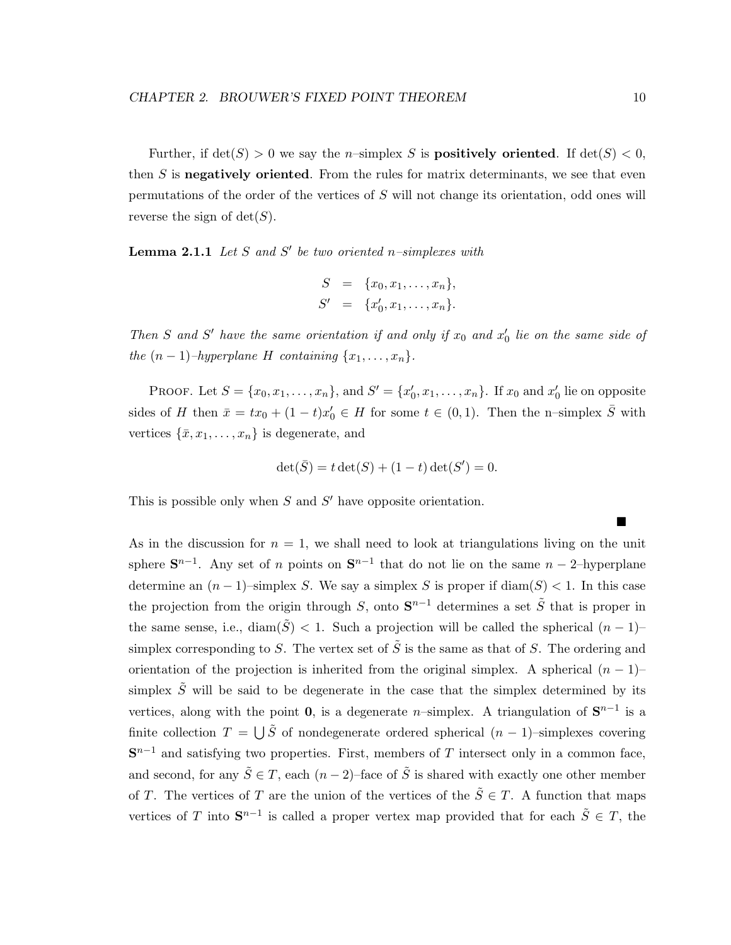Further, if  $\det(S) > 0$  we say the *n*-simplex S is **positively oriented**. If  $\det(S) < 0$ , then S is **negatively oriented**. From the rules for matrix determinants, we see that even permutations of the order of the vertices of S will not change its orientation, odd ones will reverse the sign of  $\det(S)$ .

**Lemma 2.1.1** *Let* S and S' be two oriented n–simplexes with

$$
S = \{x_0, x_1, \dots, x_n\},
$$
  

$$
S' = \{x'_0, x_1, \dots, x_n\}.
$$

*Then* S and S' have the same orientation if and only if  $x_0$  and  $x'_0$  lie on the same side of *the*  $(n-1)$ *–hyperplane H containing*  $\{x_1, \ldots, x_n\}$ *.* 

PROOF. Let  $S = \{x_0, x_1, \ldots, x_n\}$ , and  $S' = \{x'_0, x_1, \ldots, x_n\}$ . If  $x_0$  and  $x'_0$  lie on opposite sides of H then  $\bar{x} = tx_0 + (1-t)x'_0 \in H$  for some  $t \in (0,1)$ . Then the n-simplex  $\bar{S}$  with vertices  $\{\bar{x}, x_1, \ldots, x_n\}$  is degenerate, and

$$
\det(\bar{S}) = t \det(S) + (1 - t) \det(S') = 0.
$$

This is possible only when  $S$  and  $S'$  have opposite orientation.

As in the discussion for  $n = 1$ , we shall need to look at triangulations living on the unit sphere  $S^{n-1}$ . Any set of n points on  $S^{n-1}$  that do not lie on the same  $n-2$ –hyperplane determine an  $(n-1)$ –simplex S. We say a simplex S is proper if  $\text{diam}(S) < 1$ . In this case the projection from the origin through S, onto  $S^{n-1}$  determines a set  $\tilde{S}$  that is proper in the same sense, i.e., diam( $\tilde{S}$ ) < 1. Such a projection will be called the spherical  $(n-1)$ – simplex corresponding to S. The vertex set of  $\tilde{S}$  is the same as that of S. The ordering and orientation of the projection is inherited from the original simplex. A spherical  $(n - 1)$ – simplex  $\tilde{S}$  will be said to be degenerate in the case that the simplex determined by its vertices, along with the point **0**, is a degenerate n–simplex. A triangulation of  $S^{n-1}$  is a finite collection  $T = \bigcup \tilde{S}$  of nondegenerate ordered spherical  $(n-1)$ –simplexes covering  $S^{n-1}$  and satisfying two properties. First, members of T intersect only in a common face, and second, for any  $\tilde{S} \in T$ , each  $(n-2)$ –face of  $\tilde{S}$  is shared with exactly one other member of T. The vertices of T are the union of the vertices of the  $\tilde{S} \in T$ . A function that maps vertices of T into  $S^{n-1}$  is called a proper vertex map provided that for each  $\tilde{S} \in T$ , the

 $\blacksquare$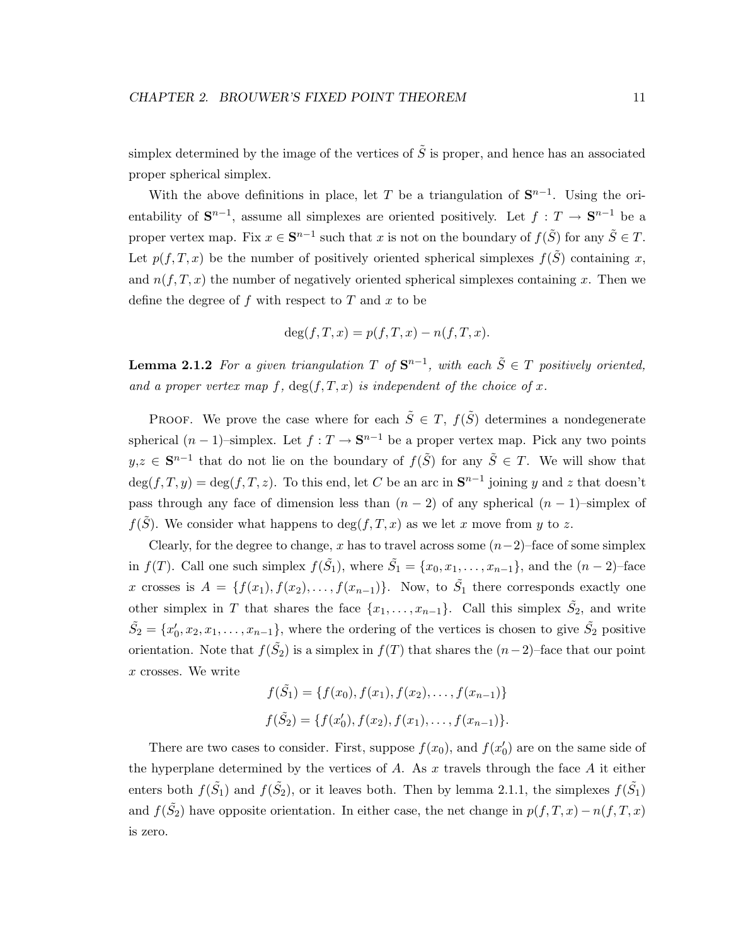simplex determined by the image of the vertices of  $\tilde{S}$  is proper, and hence has an associated proper spherical simplex.

With the above definitions in place, let T be a triangulation of  $S^{n-1}$ . Using the orientability of  $S^{n-1}$ , assume all simplexes are oriented positively. Let  $f : T \to S^{n-1}$  be a proper vertex map. Fix  $x \in S^{n-1}$  such that x is not on the boundary of  $f(\tilde{S})$  for any  $\tilde{S} \in T$ . Let  $p(f,T,x)$  be the number of positively oriented spherical simplexes  $f(\tilde{S})$  containing x, and  $n(f,T,x)$  the number of negatively oriented spherical simplexes containing x. Then we define the degree of  $f$  with respect to  $T$  and  $x$  to be

$$
\deg(f, T, x) = p(f, T, x) - n(f, T, x).
$$

**Lemma 2.1.2** For a given triangulation T of  $S^{n-1}$ , with each  $\tilde{S} \in T$  positively oriented, and a proper vertex map f,  $deg(f,T,x)$  *is independent of the choice of* x.

PROOF. We prove the case where for each  $\tilde{S} \in T$ ,  $f(\tilde{S})$  determines a nondegenerate spherical  $(n-1)$ –simplex. Let  $f: T \to \mathbf{S}^{n-1}$  be a proper vertex map. Pick any two points y,z ∈  $\mathbf{S}^{n-1}$  that do not lie on the boundary of  $f(\tilde{S})$  for any  $\tilde{S} \in T$ . We will show that  $deg(f,T,y) = deg(f,T,z)$ . To this end, let C be an arc in  $\mathbf{S}^{n-1}$  joining y and z that doesn't pass through any face of dimension less than  $(n-2)$  of any spherical  $(n-1)$ –simplex of  $f(\tilde{S})$ . We consider what happens to  $deg(f,T,x)$  as we let x move from y to z.

Clearly, for the degree to change, x has to travel across some  $(n-2)$ –face of some simplex in  $f(T)$ . Call one such simplex  $f(\tilde{S}_1)$ , where  $\tilde{S}_1 = \{x_0, x_1, \ldots, x_{n-1}\}$ , and the  $(n-2)$ -face x crosses is  $A = \{f(x_1), f(x_2), \ldots, f(x_{n-1})\}$ . Now, to  $\tilde{S}_1$  there corresponds exactly one other simplex in T that shares the face  $\{x_1, \ldots, x_{n-1}\}$ . Call this simplex  $\tilde{S}_2$ , and write  $\tilde{S}_2 = \{x'_0, x_2, x_1, \ldots, x_{n-1}\},\$  where the ordering of the vertices is chosen to give  $\tilde{S}_2$  positive orientation. Note that  $f(\tilde{S}_2)$  is a simplex in  $f(T)$  that shares the  $(n-2)$ -face that our point x crosses. We write

$$
f(\tilde{S}_1) = \{f(x_0), f(x_1), f(x_2), \dots, f(x_{n-1})\}
$$
  

$$
f(\tilde{S}_2) = \{f(x'_0), f(x_2), f(x_1), \dots, f(x_{n-1})\}.
$$

There are two cases to consider. First, suppose  $f(x_0)$ , and  $f(x'_0)$  are on the same side of the hyperplane determined by the vertices of  $A$ . As  $x$  travels through the face  $A$  it either enters both  $f(\tilde{S}_1)$  and  $f(\tilde{S}_2)$ , or it leaves both. Then by lemma 2.1.1, the simplexes  $f(\tilde{S}_1)$ and  $f(\tilde{S}_2)$  have opposite orientation. In either case, the net change in  $p(f,T,x) - n(f,T,x)$ is zero.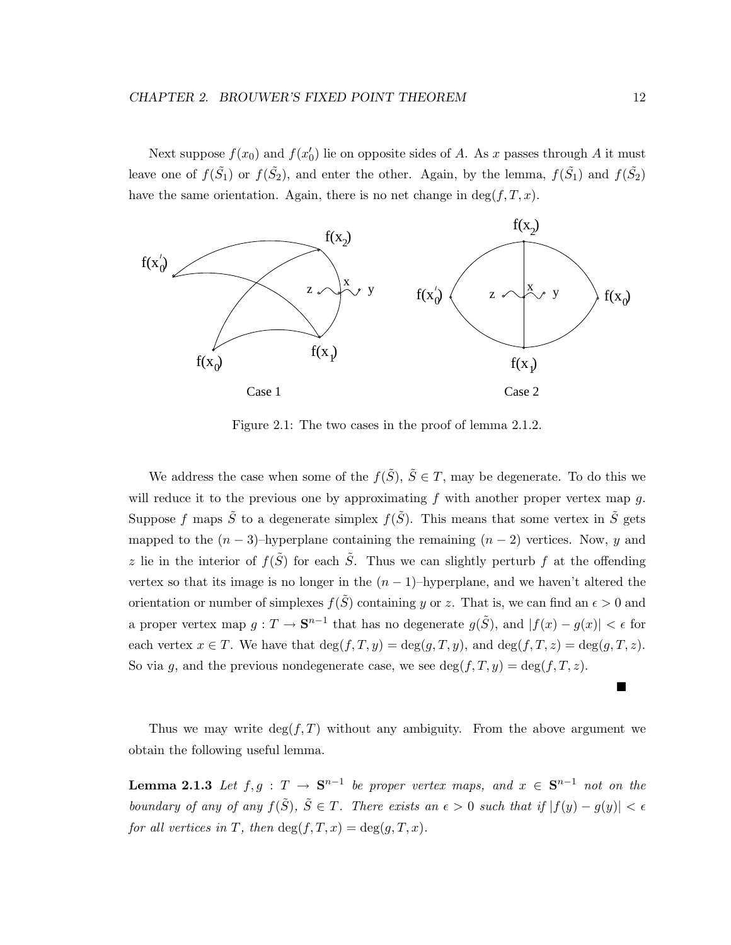Next suppose  $f(x_0)$  and  $f(x'_0)$  lie on opposite sides of A. As x passes through A it must leave one of  $f(\tilde{S}_1)$  or  $f(\tilde{S}_2)$ , and enter the other. Again, by the lemma,  $f(\tilde{S}_1)$  and  $f(\tilde{S}_2)$ have the same orientation. Again, there is no net change in  $\deg(f, T, x)$ .



Figure 2.1: The two cases in the proof of lemma 2.1.2.

We address the case when some of the  $f(\tilde{S})$ ,  $\tilde{S} \in T$ , may be degenerate. To do this we will reduce it to the previous one by approximating  $f$  with another proper vertex map  $g$ . Suppose f maps  $\tilde{S}$  to a degenerate simplex  $f(\tilde{S})$ . This means that some vertex in  $\tilde{S}$  gets mapped to the  $(n-3)$ –hyperplane containing the remaining  $(n-2)$  vertices. Now, y and z lie in the interior of  $f(\tilde{S})$  for each  $\tilde{S}$ . Thus we can slightly perturb f at the offending vertex so that its image is no longer in the  $(n-1)$ –hyperplane, and we haven't altered the orientation or number of simplexes  $f(S)$  containing y or z. That is, we can find an  $\epsilon > 0$  and a proper vertex map  $g: T \to \mathbf{S}^{n-1}$  that has no degenerate  $g(\tilde{S})$ , and  $|f(x) - g(x)| < \epsilon$  for each vertex  $x \in T$ . We have that  $\deg(f,T,y) = \deg(g,T,y)$ , and  $\deg(f,T,z) = \deg(g,T,z)$ . So via g, and the previous nondegenerate case, we see  $\deg(f,T,y) = \deg(f,T,z)$ .

Thus we may write  $deg(f, T)$  without any ambiguity. From the above argument we obtain the following useful lemma.

**Lemma 2.1.3** *Let*  $f, g : T → S^{n-1}$  *be proper vertex maps, and*  $x ∈ S^{n-1}$  *not on the boundary of any of any*  $f(\tilde{S})$ *,*  $\tilde{S} \in T$ *. There exists an*  $\epsilon > 0$  *such that if*  $|f(y) - g(y)| < \epsilon$ *for all vertices in* T, then  $deg(f,T,x) = deg(g,T,x)$ *.* 

■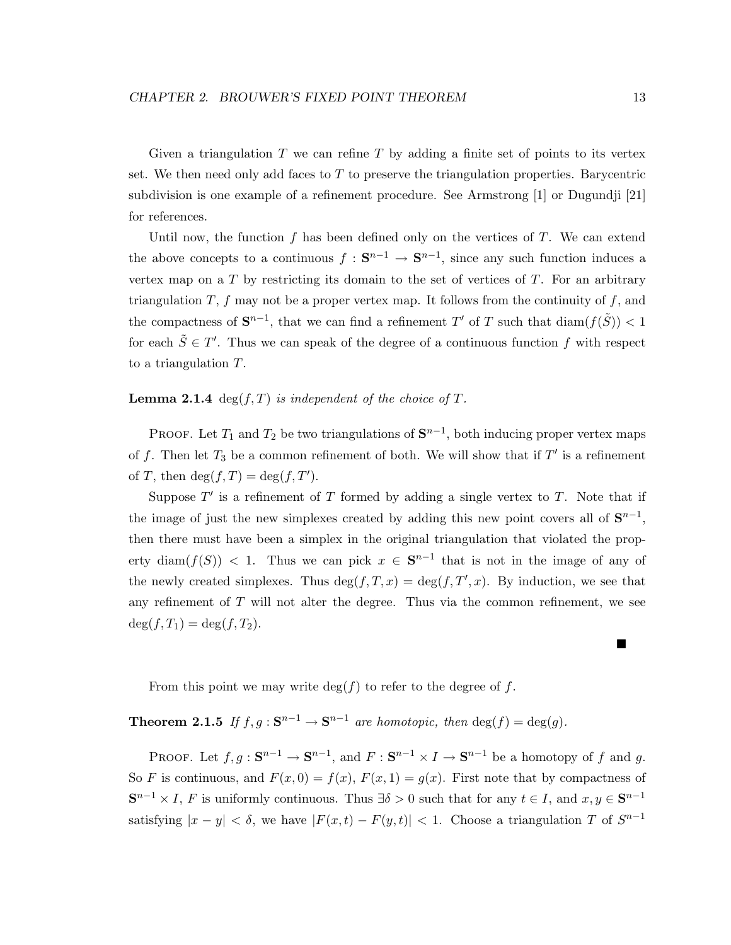Given a triangulation  $T$  we can refine  $T$  by adding a finite set of points to its vertex set. We then need only add faces to  $T$  to preserve the triangulation properties. Barycentric subdivision is one example of a refinement procedure. See Armstrong [1] or Dugundji [21] for references.

Until now, the function f has been defined only on the vertices of  $T$ . We can extend the above concepts to a continuous  $f : \mathbf{S}^{n-1} \to \mathbf{S}^{n-1}$ , since any such function induces a vertex map on a  $T$  by restricting its domain to the set of vertices of  $T$ . For an arbitrary triangulation  $T, f$  may not be a proper vertex map. It follows from the continuity of  $f$ , and the compactness of  $S^{n-1}$ , that we can find a refinement T' of T such that diam( $f(\tilde{S})$ ) < 1 for each  $\tilde{S} \in T'$ . Thus we can speak of the degree of a continuous function f with respect to a triangulation T.

**Lemma 2.1.4** deg( $f$ , $T$ ) *is independent of the choice of*  $T$ *.* 

PROOF. Let  $T_1$  and  $T_2$  be two triangulations of  $\mathbf{S}^{n-1}$ , both inducing proper vertex maps of f. Then let  $T_3$  be a common refinement of both. We will show that if  $T'$  is a refinement of T, then  $\deg(f,T) = \deg(f,T')$ .

Suppose  $T'$  is a refinement of T formed by adding a single vertex to T. Note that if the image of just the new simplexes created by adding this new point covers all of  $S^{n-1}$ , then there must have been a simplex in the original triangulation that violated the property diam( $f(S)$ ) < 1. Thus we can pick  $x \in S^{n-1}$  that is not in the image of any of the newly created simplexes. Thus  $\deg(f, T, x) = \deg(f, T', x)$ . By induction, we see that any refinement of  $T$  will not alter the degree. Thus via the common refinement, we see  $deg(f, T_1) = deg(f, T_2).$ 

From this point we may write  $\deg(f)$  to refer to the degree of f.

## **Theorem 2.1.5** *If*  $f, g : \mathbf{S}^{n-1} \to \mathbf{S}^{n-1}$  *are homotopic, then* deg( $f$ ) = deg( $g$ ).

PROOF. Let  $f, g : \mathbf{S}^{n-1} \to \mathbf{S}^{n-1}$ , and  $F : \mathbf{S}^{n-1} \times I \to \mathbf{S}^{n-1}$  be a homotopy of f and g. So F is continuous, and  $F(x, 0) = f(x)$ ,  $F(x, 1) = g(x)$ . First note that by compactness of  $\mathbf{S}^{n-1} \times I$ , F is uniformly continuous. Thus  $\exists \delta > 0$  such that for any  $t \in I$ , and  $x, y \in \mathbf{S}^{n-1}$ satisfying  $|x - y| < \delta$ , we have  $|F(x, t) - F(y, t)| < 1$ . Choose a triangulation T of  $S^{n-1}$ 

Г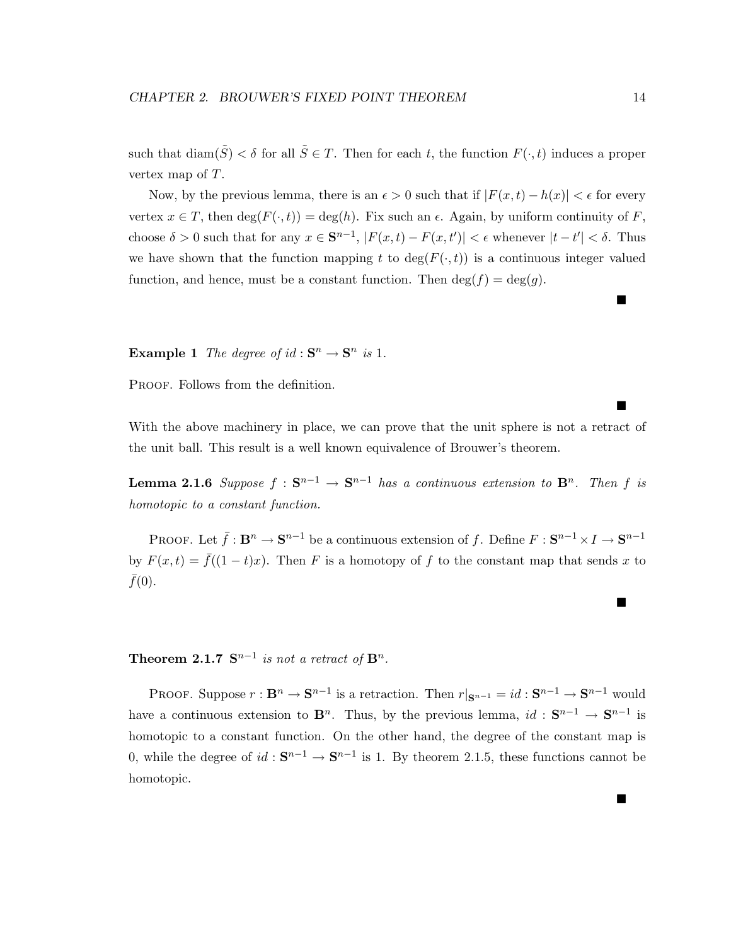such that  $\text{diam}(\tilde{S}) < \delta$  for all  $\tilde{S} \in T$ . Then for each t, the function  $F(\cdot, t)$  induces a proper vertex map of T.

Now, by the previous lemma, there is an  $\epsilon > 0$  such that if  $|F(x,t) - h(x)| < \epsilon$  for every vertex  $x \in T$ , then  $\deg(F(\cdot, t)) = \deg(h)$ . Fix such an  $\epsilon$ . Again, by uniform continuity of F, choose  $\delta > 0$  such that for any  $x \in \mathbf{S}^{n-1}$ ,  $|F(x,t) - F(x,t')| < \epsilon$  whenever  $|t-t'| < \delta$ . Thus we have shown that the function mapping t to  $\deg(F(\cdot,t))$  is a continuous integer valued function, and hence, must be a constant function. Then  $\deg(f) = \deg(g)$ .

**Example 1** *The degree of*  $id : \mathbf{S}^n \to \mathbf{S}^n$  *is* 1*.* 

PROOF. Follows from the definition.

With the above machinery in place, we can prove that the unit sphere is not a retract of the unit ball. This result is a well known equivalence of Brouwer's theorem.

**Lemma 2.1.6** *Suppose*  $f : \mathbf{S}^{n-1} \to \mathbf{S}^{n-1}$  *has a continuous extension to*  $\mathbf{B}^n$ *. Then*  $f$  *is homotopic to a constant function.*

PROOF. Let  $\bar{f}: \mathbf{B}^n \to \mathbf{S}^{n-1}$  be a continuous extension of f. Define  $F: \mathbf{S}^{n-1} \times I \to \mathbf{S}^{n-1}$ by  $F(x,t) = \overline{f}((1-t)x)$ . Then F is a homotopy of f to the constant map that sends x to  $f(0)$ .

**Theorem 2.1.7**  $S^{n-1}$  *is not a retract of*  $B^n$ .

PROOF. Suppose  $r : \mathbf{B}^n \to \mathbf{S}^{n-1}$  is a retraction. Then  $r|_{\mathbf{S}^{n-1}} = id : \mathbf{S}^{n-1} \to \mathbf{S}^{n-1}$  would have a continuous extension to **B**<sup>n</sup>. Thus, by the previous lemma,  $id : S^{n-1} \to S^{n-1}$  is homotopic to a constant function. On the other hand, the degree of the constant map is 0, while the degree of  $id : \mathbf{S}^{n-1} \to \mathbf{S}^{n-1}$  is 1. By theorem 2.1.5, these functions cannot be homotopic.

П

 $\blacksquare$ 

■

■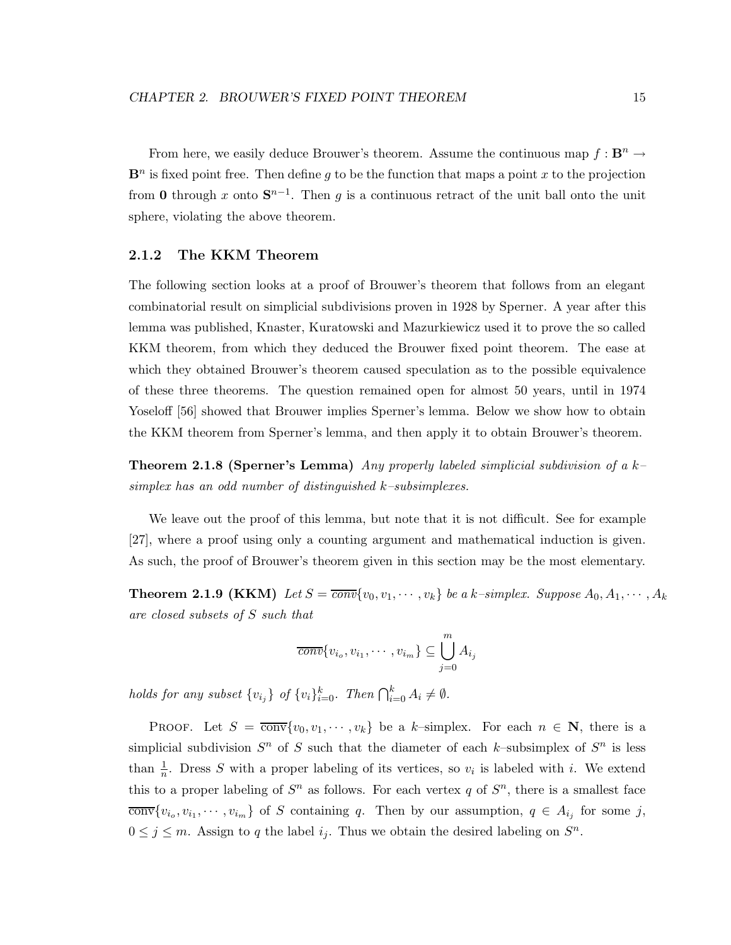From here, we easily deduce Brouwer's theorem. Assume the continuous map  $f : \mathbf{B}^n \to$  $\mathbf{B}^n$  is fixed point free. Then define g to be the function that maps a point x to the projection from **0** through x onto  $S^{n-1}$ . Then g is a continuous retract of the unit ball onto the unit sphere, violating the above theorem.

### **2.1.2 The KKM Theorem**

The following section looks at a proof of Brouwer's theorem that follows from an elegant combinatorial result on simplicial subdivisions proven in 1928 by Sperner. A year after this lemma was published, Knaster, Kuratowski and Mazurkiewicz used it to prove the so called KKM theorem, from which they deduced the Brouwer fixed point theorem. The ease at which they obtained Brouwer's theorem caused speculation as to the possible equivalence of these three theorems. The question remained open for almost 50 years, until in 1974 Yoseloff [56] showed that Brouwer implies Sperner's lemma. Below we show how to obtain the KKM theorem from Sperner's lemma, and then apply it to obtain Brouwer's theorem.

**Theorem 2.1.8 (Sperner's Lemma)** *Any properly labeled simplicial subdivision of a* k*– simplex has an odd number of distinguished* k*–subsimplexes.*

We leave out the proof of this lemma, but note that it is not difficult. See for example [27], where a proof using only a counting argument and mathematical induction is given. As such, the proof of Brouwer's theorem given in this section may be the most elementary.

**Theorem 2.1.9 (KKM)** Let  $S = \overline{conv} \{v_0, v_1, \dots, v_k\}$  be a k–simplex. Suppose  $A_0, A_1, \dots, A_k$ *are closed subsets of* S *such that*

$$
\overline{conv}\{v_{i_o}, v_{i_1}, \cdots, v_{i_m}\} \subseteq \bigcup_{j=0}^m A_{i_j}
$$

*holds for any subset*  $\{v_{i_j}\}\$  of  $\{v_i\}_{i=0}^k$ . Then  $\bigcap_{i=0}^k A_i \neq \emptyset$ .

PROOF. Let  $S = \overline{\text{conv}}\{v_0, v_1, \dots, v_k\}$  be a k-simplex. For each  $n \in \mathbb{N}$ , there is a simplicial subdivision  $S<sup>n</sup>$  of S such that the diameter of each k–subsimplex of  $S<sup>n</sup>$  is less than  $\frac{1}{n}$ . Dress S with a proper labeling of its vertices, so  $v_i$  is labeled with i. We extend this to a proper labeling of  $S<sup>n</sup>$  as follows. For each vertex q of  $S<sup>n</sup>$ , there is a smallest face  $\overline{\text{conv}}\{v_{i_o}, v_{i_1}, \cdots, v_{i_m}\}\$  of S containing q. Then by our assumption,  $q \in A_{i_j}$  for some j,  $0 \leq j \leq m$ . Assign to q the label  $i_j$ . Thus we obtain the desired labeling on  $S^n$ .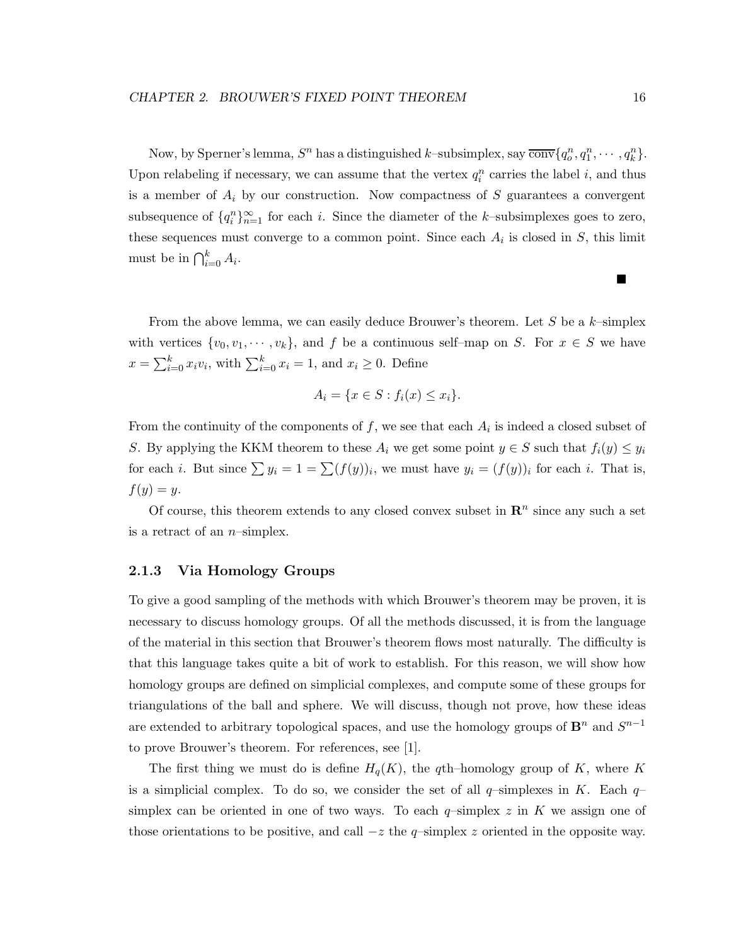Now, by Sperner's lemma,  $S^n$  has a distinguished k-subsimplex, say  $\overline{\text{conv}}\{q_o^n, q_1^n, \cdots, q_k^n\}$ . Upon relabeling if necessary, we can assume that the vertex  $q_i^n$  carries the label i, and thus is a member of  $A_i$  by our construction. Now compactness of S guarantees a convergent subsequence of  $\{q_i^n\}_{n=1}^{\infty}$  for each i. Since the diameter of the k–subsimplexes goes to zero, these sequences must converge to a common point. Since each  $A_i$  is closed in S, this limit must be in  $\bigcap_{i=0}^k A_i$ .

From the above lemma, we can easily deduce Brouwer's theorem. Let  $S$  be a  $k$ -simplex with vertices  $\{v_0, v_1, \dots, v_k\}$ , and f be a continuous self-map on S. For  $x \in S$  we have  $x = \sum_{i=0}^{k} x_i v_i$ , with  $\sum_{i=0}^{k} x_i = 1$ , and  $x_i \ge 0$ . Define

$$
A_i = \{ x \in S : f_i(x) \le x_i \}.
$$

From the continuity of the components of f, we see that each  $A_i$  is indeed a closed subset of S. By applying the KKM theorem to these  $A_i$  we get some point  $y \in S$  such that  $f_i(y) \leq y_i$ for each i. But since  $\sum y_i = 1 = \sum (f(y))_i$ , we must have  $y_i = (f(y))_i$  for each i. That is,  $f(y) = y.$ 

Of course, this theorem extends to any closed convex subset in  $\mathbb{R}^n$  since any such a set is a retract of an  $n$ -simplex.

### **2.1.3 Via Homology Groups**

To give a good sampling of the methods with which Brouwer's theorem may be proven, it is necessary to discuss homology groups. Of all the methods discussed, it is from the language of the material in this section that Brouwer's theorem flows most naturally. The difficulty is that this language takes quite a bit of work to establish. For this reason, we will show how homology groups are defined on simplicial complexes, and compute some of these groups for triangulations of the ball and sphere. We will discuss, though not prove, how these ideas are extended to arbitrary topological spaces, and use the homology groups of  $\mathbf{B}^n$  and  $S^{n-1}$ to prove Brouwer's theorem. For references, see [1].

The first thing we must do is define  $H_q(K)$ , the qth–homology group of K, where K is a simplicial complex. To do so, we consider the set of all  $q$ -simplexes in K. Each  $q$ simplex can be oriented in one of two ways. To each  $q$ -simplex z in K we assign one of those orientations to be positive, and call  $-z$  the  $q$ -simplex z oriented in the opposite way.

■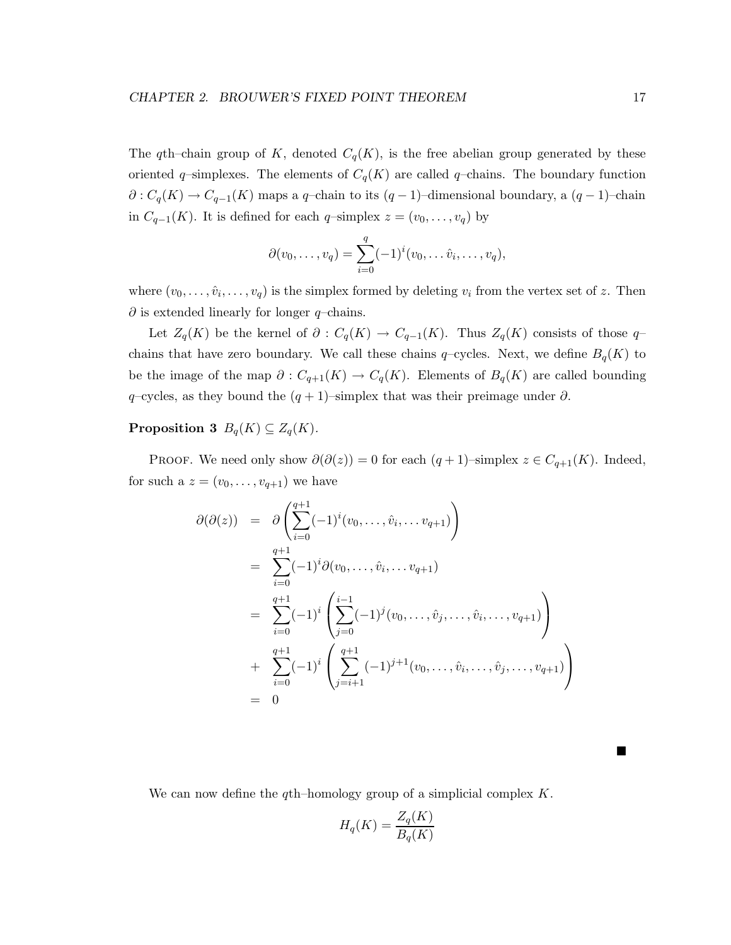The qth–chain group of K, denoted  $C_q(K)$ , is the free abelian group generated by these oriented q-simplexes. The elements of  $C_q(K)$  are called q-chains. The boundary function  $\partial: C_q(K) \to C_{q-1}(K)$  maps a q-chain to its  $(q-1)$ -dimensional boundary, a  $(q-1)$ -chain in  $C_{q-1}(K)$ . It is defined for each q-simplex  $z = (v_0, \ldots, v_q)$  by

$$
\partial(v_0, \ldots, v_q) = \sum_{i=0}^q (-1)^i (v_0, \ldots, \hat{v}_i, \ldots, v_q),
$$

where  $(v_0,\ldots,\hat{v}_i,\ldots,v_q)$  is the simplex formed by deleting  $v_i$  from the vertex set of z. Then  $\partial$  is extended linearly for longer q–chains.

Let  $Z_q(K)$  be the kernel of  $\partial : C_q(K) \to C_{q-1}(K)$ . Thus  $Z_q(K)$  consists of those qchains that have zero boundary. We call these chains  $q$ -cycles. Next, we define  $B_q(K)$  to be the image of the map  $\partial: C_{q+1}(K) \to C_q(K)$ . Elements of  $B_q(K)$  are called bounding q–cycles, as they bound the  $(q + 1)$ –simplex that was their preimage under  $\partial$ .

### **Proposition 3**  $B_q(K) \subseteq Z_q(K)$ .

PROOF. We need only show  $\partial(\partial(z)) = 0$  for each  $(q+1)$ –simplex  $z \in C_{q+1}(K)$ . Indeed, for such a  $z = (v_0, \ldots, v_{q+1})$  we have

$$
\partial(\partial(z)) = \partial \left( \sum_{i=0}^{q+1} (-1)^i (v_0, \dots, \hat{v}_i, \dots v_{q+1}) \right)
$$
  
\n
$$
= \sum_{i=0}^{q+1} (-1)^i \partial(v_0, \dots, \hat{v}_i, \dots v_{q+1})
$$
  
\n
$$
= \sum_{i=0}^{q+1} (-1)^i \left( \sum_{j=0}^{i-1} (-1)^j (v_0, \dots, \hat{v}_j, \dots, \hat{v}_i, \dots, v_{q+1}) \right)
$$
  
\n
$$
+ \sum_{i=0}^{q+1} (-1)^i \left( \sum_{j=i+1}^{q+1} (-1)^{j+1} (v_0, \dots, \hat{v}_i, \dots, \hat{v}_j, \dots, v_{q+1}) \right)
$$
  
\n
$$
= 0
$$

We can now define the  $q\text{th}$ -homology group of a simplicial complex K.

$$
H_q(K) = \frac{Z_q(K)}{B_q(K)}
$$

■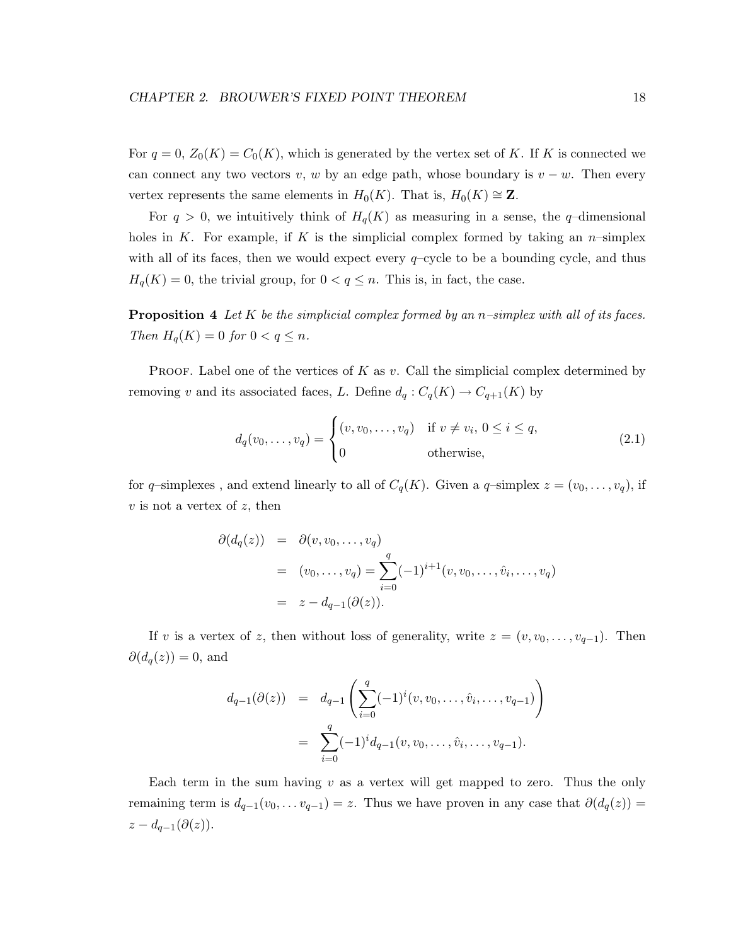For  $q = 0$ ,  $Z_0(K) = C_0(K)$ , which is generated by the vertex set of K. If K is connected we can connect any two vectors v, w by an edge path, whose boundary is  $v - w$ . Then every vertex represents the same elements in  $H_0(K)$ . That is,  $H_0(K) \cong \mathbb{Z}$ .

For  $q > 0$ , we intuitively think of  $H_q(K)$  as measuring in a sense, the q-dimensional holes in K. For example, if K is the simplicial complex formed by taking an  $n$ -simplex with all of its faces, then we would expect every  $q$ -cycle to be a bounding cycle, and thus  $H_q(K) = 0$ , the trivial group, for  $0 < q \leq n$ . This is, in fact, the case.

**Proposition 4** *Let* K *be the simplicial complex formed by an* n*–simplex with all of its faces. Then*  $H_q(K) = 0$  *for*  $0 < q \leq n$ *.* 

PROOF. Label one of the vertices of K as  $v$ . Call the simplicial complex determined by removing v and its associated faces, L. Define  $d_q: C_q(K) \to C_{q+1}(K)$  by

$$
d_q(v_0, \dots, v_q) = \begin{cases} (v, v_0, \dots, v_q) & \text{if } v \neq v_i, 0 \le i \le q, \\ 0 & \text{otherwise,} \end{cases}
$$
(2.1)

for q-simplexes, and extend linearly to all of  $C_q(K)$ . Given a q-simplex  $z = (v_0, \ldots, v_q)$ , if  $v$  is not a vertex of  $z$ , then

$$
\partial(d_q(z)) = \partial(v, v_0, \dots, v_q)
$$
  
=  $(v_0, \dots, v_q) = \sum_{i=0}^q (-1)^{i+1} (v, v_0, \dots, \hat{v}_i, \dots, v_q)$   
=  $z - d_{q-1}(\partial(z)).$ 

If v is a vertex of z, then without loss of generality, write  $z = (v, v_0, \ldots, v_{q-1})$ . Then  $\partial(d_q(z))=0$ , and

$$
d_{q-1}(\partial(z)) = d_{q-1}\left(\sum_{i=0}^q (-1)^i (v, v_0, \dots, \hat{v}_i, \dots, v_{q-1})\right)
$$
  
= 
$$
\sum_{i=0}^q (-1)^i d_{q-1}(v, v_0, \dots, \hat{v}_i, \dots, v_{q-1}).
$$

Each term in the sum having  $v$  as a vertex will get mapped to zero. Thus the only remaining term is  $d_{q-1}(v_0,\ldots v_{q-1}) = z$ . Thus we have proven in any case that  $\partial(d_q(z)) =$  $z-d_{q-1}(\partial(z)).$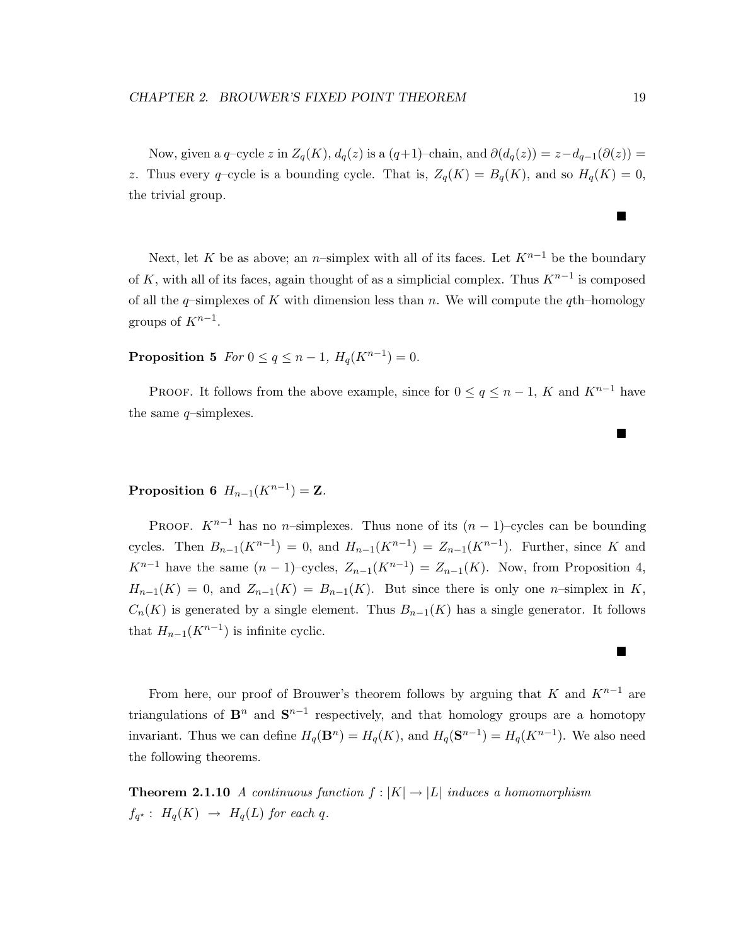Now, given a q-cycle z in  $Z_q(K)$ ,  $d_q(z)$  is a  $(q+1)$ –chain, and  $\partial(d_q(z)) = z - d_{q-1}(\partial(z)) =$ z. Thus every q-cycle is a bounding cycle. That is,  $Z_q(K) = B_q(K)$ , and so  $H_q(K) = 0$ , the trivial group.

Next, let K be as above; an n–simplex with all of its faces. Let  $K^{n-1}$  be the boundary of K, with all of its faces, again thought of as a simplicial complex. Thus  $K^{n-1}$  is composed of all the  $q$ –simplexes of K with dimension less than n. We will compute the  $q$ th–homology groups of  $K^{n-1}$ .

**Proposition 5** *For*  $0 \le q \le n - 1$ *,*  $H_q(K^{n-1}) = 0$ *.* 

PROOF. It follows from the above example, since for  $0 \le q \le n-1$ , K and  $K^{n-1}$  have the same  $q$ -simplexes.

### **Proposition 6**  $H_{n-1}(K^{n-1}) = \mathbf{Z}$ *.*

PROOF.  $K^{n-1}$  has no n–simplexes. Thus none of its  $(n-1)$ –cycles can be bounding cycles. Then  $B_{n-1}(K^{n-1}) = 0$ , and  $H_{n-1}(K^{n-1}) = Z_{n-1}(K^{n-1})$ . Further, since K and  $K^{n-1}$  have the same  $(n-1)$ –cycles,  $Z_{n-1}(K^{n-1}) = Z_{n-1}(K)$ . Now, from Proposition 4,  $H_{n-1}(K) = 0$ , and  $Z_{n-1}(K) = B_{n-1}(K)$ . But since there is only one n-simplex in K,  $C_n(K)$  is generated by a single element. Thus  $B_{n-1}(K)$  has a single generator. It follows that  $H_{n-1}(K^{n-1})$  is infinite cyclic.

From here, our proof of Brouwer's theorem follows by arguing that K and  $K^{n-1}$  are triangulations of  $\mathbf{B}^n$  and  $\mathbf{S}^{n-1}$  respectively, and that homology groups are a homotopy invariant. Thus we can define  $H_q(\mathbf{B}^n) = H_q(K)$ , and  $H_q(\mathbf{S}^{n-1}) = H_q(K^{n-1})$ . We also need the following theorems.

**Theorem 2.1.10** *A continuous function*  $f : |K| \rightarrow |L|$  *induces a homomorphism*  $f_{q^*}: H_q(K) \rightarrow H_q(L)$  *for each q.* 

 $\blacksquare$ 

 $\blacksquare$ 

■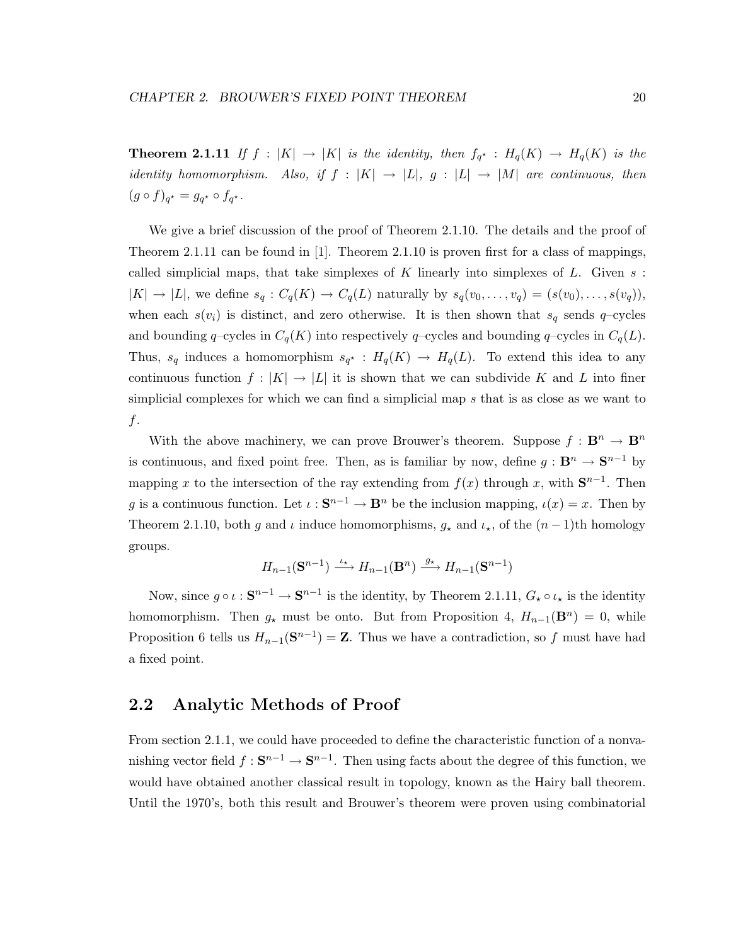**Theorem 2.1.11** *If*  $f : |K| \rightarrow |K|$  *is the identity, then*  $f_{q^*} : H_q(K) \rightarrow H_q(K)$  *is the identity homomorphism.* Also, if  $f : |K| \rightarrow |L|$ ,  $g : |L| \rightarrow |M|$  are continuous, then  $(g \circ f)_{q^*} = g_{q^*} \circ f_{q^*}.$ 

We give a brief discussion of the proof of Theorem 2.1.10. The details and the proof of Theorem 2.1.11 can be found in [1]. Theorem 2.1.10 is proven first for a class of mappings, called simplicial maps, that take simplexes of K linearly into simplexes of  $L$ . Given  $s$ :  $|K| \to |L|$ , we define  $s_q : C_q(K) \to C_q(L)$  naturally by  $s_q(v_0,\ldots,v_q)=(s(v_0),\ldots,s(v_q)),$ when each  $s(v_i)$  is distinct, and zero otherwise. It is then shown that  $s_q$  sends q-cycles and bounding q–cycles in  $C_q(K)$  into respectively q–cycles and bounding q–cycles in  $C_q(L)$ . Thus,  $s_q$  induces a homomorphism  $s_{q^*}: H_q(K) \to H_q(L)$ . To extend this idea to any continuous function  $f : |K| \to |L|$  it is shown that we can subdivide K and L into finer simplicial complexes for which we can find a simplicial map s that is as close as we want to f.

With the above machinery, we can prove Brouwer's theorem. Suppose  $f : \mathbf{B}^n \to \mathbf{B}^n$ is continuous, and fixed point free. Then, as is familiar by now, define  $g : \mathbf{B}^n \to \mathbf{S}^{n-1}$  by mapping x to the intersection of the ray extending from  $f(x)$  through x, with  $S^{n-1}$ . Then g is a continuous function. Let  $\iota : \mathbf{S}^{n-1} \to \mathbf{B}^n$  be the inclusion mapping,  $\iota(x) = x$ . Then by Theorem 2.1.10, both g and  $\iota$  induce homomorphisms,  $g_{\star}$  and  $\iota_{\star}$ , of the  $(n-1)$ th homology groups.

$$
H_{n-1}(\mathbf{S}^{n-1}) \xrightarrow{\iota_{\star}} H_{n-1}(\mathbf{B}^n) \xrightarrow{g_{\star}} H_{n-1}(\mathbf{S}^{n-1})
$$

Now, since  $g \circ \iota : \mathbf{S}^{n-1} \to \mathbf{S}^{n-1}$  is the identity, by Theorem 2.1.11,  $G_{\star} \circ \iota_{\star}$  is the identity homomorphism. Then  $g_{\star}$  must be onto. But from Proposition 4,  $H_{n-1}(\mathbf{B}^n) = 0$ , while Proposition 6 tells us  $H_{n-1}(\mathbf{S}^{n-1}) = \mathbf{Z}$ . Thus we have a contradiction, so f must have had a fixed point.

### **2.2 Analytic Methods of Proof**

From section 2.1.1, we could have proceeded to define the characteristic function of a nonvanishing vector field  $f : \mathbf{S}^{n-1} \to \mathbf{S}^{n-1}$ . Then using facts about the degree of this function, we would have obtained another classical result in topology, known as the Hairy ball theorem. Until the 1970's, both this result and Brouwer's theorem were proven using combinatorial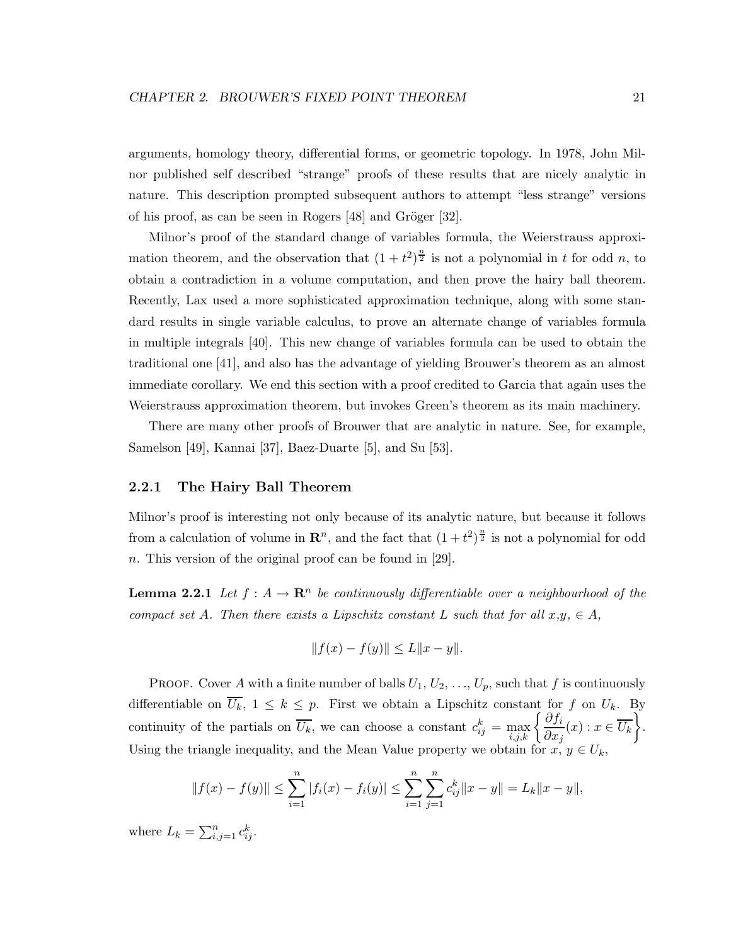arguments, homology theory, differential forms, or geometric topology. In 1978, John Milnor published self described "strange" proofs of these results that are nicely analytic in nature. This description prompted subsequent authors to attempt "less strange" versions of his proof, as can be seen in Rogers  $[48]$  and Gröger  $[32]$ .

Milnor's proof of the standard change of variables formula, the Weierstrauss approximation theorem, and the observation that  $(1+t^2)^{\frac{n}{2}}$  is not a polynomial in t for odd n, to obtain a contradiction in a volume computation, and then prove the hairy ball theorem. Recently, Lax used a more sophisticated approximation technique, along with some standard results in single variable calculus, to prove an alternate change of variables formula in multiple integrals [40]. This new change of variables formula can be used to obtain the traditional one [41], and also has the advantage of yielding Brouwer's theorem as an almost immediate corollary. We end this section with a proof credited to Garcia that again uses the Weierstrauss approximation theorem, but invokes Green's theorem as its main machinery.

There are many other proofs of Brouwer that are analytic in nature. See, for example, Samelson [49], Kannai [37], Baez-Duarte [5], and Su [53].

### **2.2.1 The Hairy Ball Theorem**

Milnor's proof is interesting not only because of its analytic nature, but because it follows from a calculation of volume in  $\mathbb{R}^n$ , and the fact that  $(1+t^2)^{\frac{n}{2}}$  is not a polynomial for odd n. This version of the original proof can be found in [29].

**Lemma 2.2.1** *Let*  $f : A \to \mathbb{R}^n$  *be continuously differentiable over a neighbourhood of the compact set* A. Then there exists a Lipschitz constant L such that for all  $x, y, \in A$ ,

$$
||f(x) - f(y)|| \le L||x - y||.
$$

PROOF. Cover A with a finite number of balls  $U_1, U_2, \ldots, U_p$ , such that f is continuously differentiable on  $\overline{U_k}$ ,  $1 \leq k \leq p$ . First we obtain a Lipschitz constant for f on  $U_k$ . By continuity of the partials on  $\overline{U_k}$ , we can choose a constant  $c_{ij}^k = \max_{i,j,k} \left\{ \frac{\partial f_i}{\partial x_j}(x) : x \in \overline{U_k} \right\}$ . Using the triangle inequality, and the Mean Value property we obtain for  $x, y \in U_k$ ,

$$
||f(x) - f(y)|| \le \sum_{i=1}^{n} |f_i(x) - f_i(y)| \le \sum_{i=1}^{n} \sum_{j=1}^{n} c_{ij}^k ||x - y|| = L_k ||x - y||,
$$

where  $L_k = \sum_{i,j=1}^n c_{ij}^k$ .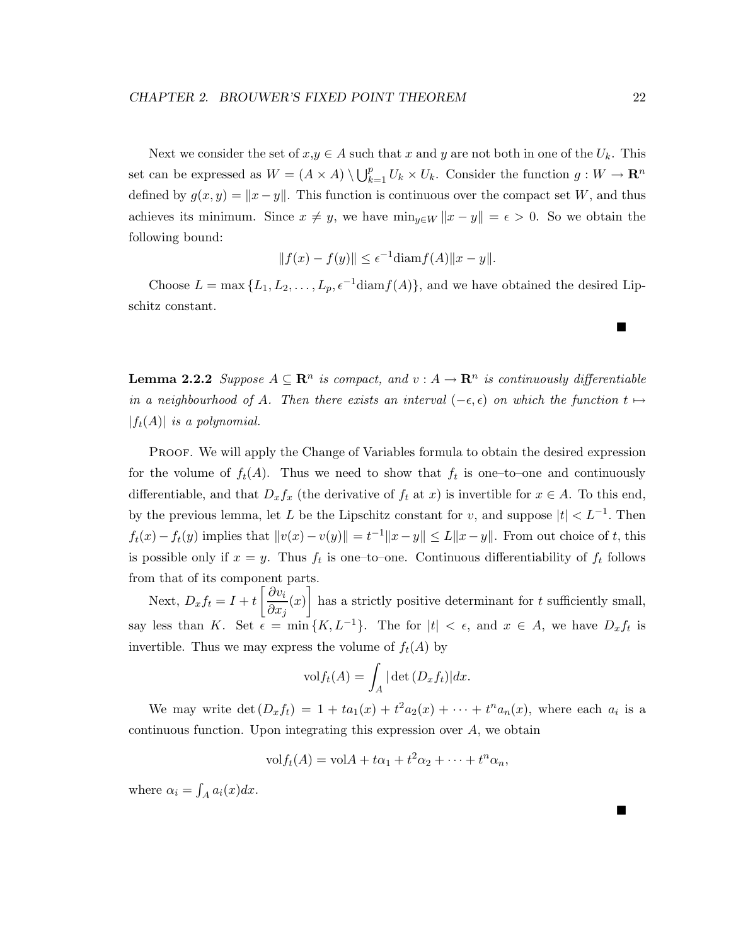Next we consider the set of  $x,y \in A$  such that x and y are not both in one of the  $U_k$ . This set can be expressed as  $W = (A \times A) \setminus \bigcup_{k=1}^p U_k \times U_k$ . Consider the function  $g: W \to \mathbb{R}^n$ defined by  $g(x, y) = ||x - y||$ . This function is continuous over the compact set W, and thus achieves its minimum. Since  $x \neq y$ , we have  $\min_{y \in W} ||x - y|| = \epsilon > 0$ . So we obtain the following bound:

$$
||f(x) - f(y)|| \le \epsilon^{-1} \text{diam } f(A)||x - y||.
$$

Choose  $L = \max\{L_1, L_2, \ldots, L_p, \epsilon^{-1} \text{diam}(f(A))\}$ , and we have obtained the desired Lipschitz constant.

**Lemma 2.2.2** *Suppose*  $A \subseteq \mathbb{R}^n$  *is compact, and*  $v : A \to \mathbb{R}^n$  *is continuously differentiable in a neighbourhood of A. Then there exists an interval*  $(-\epsilon, \epsilon)$  *on which the function*  $t \mapsto$  $|f_t(A)|$  *is a polynomial.* 

PROOF. We will apply the Change of Variables formula to obtain the desired expression for the volume of  $f_t(A)$ . Thus we need to show that  $f_t$  is one–to–one and continuously differentiable, and that  $D_x f_x$  (the derivative of  $f_t$  at  $x$ ) is invertible for  $x \in A$ . To this end, by the previous lemma, let L be the Lipschitz constant for v, and suppose  $|t| < L^{-1}$ . Then  $f_t(x) - f_t(y)$  implies that  $||v(x) - v(y)|| = t^{-1} ||x - y|| \le L||x - y||$ . From out choice of t, this is possible only if  $x = y$ . Thus  $f_t$  is one-to-one. Continuous differentiability of  $f_t$  follows from that of its component parts.

Next,  $D_x f_t = I + t \left[ \frac{\partial v_i}{\partial x_i} \right]$  $\left[\frac{\partial v_i}{\partial x_j}(x)\right]$  has a strictly positive determinant for t sufficiently small, say less than K. Set  $\epsilon = \min\{K, L^{-1}\}\$ . The for  $|t| < \epsilon$ , and  $x \in A$ , we have  $D_x f_t$  is invertible. Thus we may express the volume of  $f_t(A)$  by

$$
\text{vol} f_t(A) = \int_A |\det(D_x f_t)| dx.
$$

We may write  $\det(D_x f_t) = 1 + ta_1(x) + t^2 a_2(x) + \cdots + t^n a_n(x)$ , where each  $a_i$  is a continuous function. Upon integrating this expression over  $A$ , we obtain

$$
\mathrm{vol} f_t(A) = \mathrm{vol} A + t\alpha_1 + t^2 \alpha_2 + \cdots + t^n \alpha_n,
$$

where  $\alpha_i = \int_A a_i(x) dx$ .

 $\blacksquare$ 

Г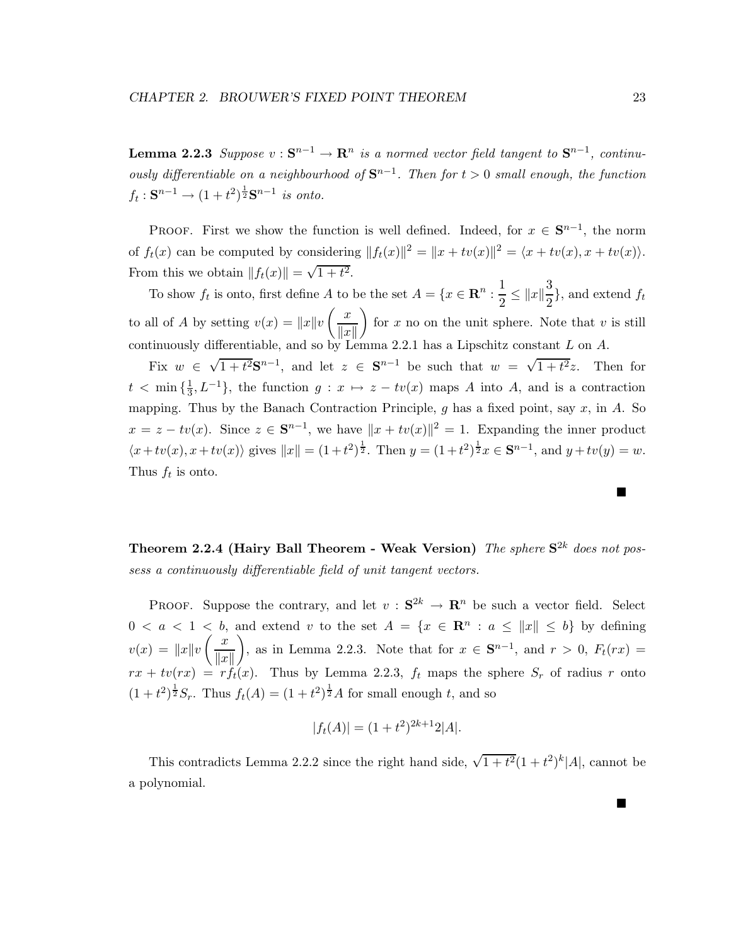**Lemma 2.2.3** *Suppose*  $v : \mathbf{S}^{n-1} \to \mathbf{R}^n$  *is a normed vector field tangent to*  $\mathbf{S}^{n-1}$ *, continuously differentiable on a neighbourhood of*  $S^{n-1}$ *. Then for*  $t > 0$  *small enough, the function*  $f_t: \mathbf{S}^{n-1} \to (1+t^2)^{\frac{1}{2}} \mathbf{S}^{n-1}$  *is onto.* 

PROOF. First we show the function is well defined. Indeed, for  $x \in S^{n-1}$ , the norm of  $f_t(x)$  can be computed by considering  $||f_t(x)||^2 = ||x + tv(x)||^2 = \langle x + tv(x), x + tv(x) \rangle$ . From this we obtain  $||f_t(x)|| = \sqrt{1 + t^2}$ .

To show  $f_t$  is onto, first define A to be the set  $A = \{x \in \mathbb{R}^n : \frac{1}{2} \le ||x||^{\frac{3}{2}}\}$  $\frac{3}{2}$ , and extend  $f_t$ to all of A by setting  $v(x) = ||x||v\left(\frac{x}{||x||}\right)$  $\Vert x \Vert$ for x no on the unit sphere. Note that v is still continuously differentiable, and so by Lemma 2.2.1 has a Lipschitz constant L on A.

Fix  $w \in \sqrt{1+t^2}S^{n-1}$ , and let  $z \in S^{n-1}$  be such that  $w = \sqrt{1+t^2}z$ . Then for  $t < \min{\{\frac{1}{3}, L^{-1}\}}$ , the function  $g: x \mapsto z - tv(x)$  maps A into A, and is a contraction mapping. Thus by the Banach Contraction Principle,  $g$  has a fixed point, say  $x$ , in  $A$ . So  $x = z - tv(x)$ . Since  $z \in \mathbb{S}^{n-1}$ , we have  $||x + tv(x)||^2 = 1$ . Expanding the inner product  $\langle x+tv(x), x+tv(x) \rangle$  gives  $||x|| = (1+t^2)^{\frac{1}{2}}$ . Then  $y = (1+t^2)^{\frac{1}{2}}x \in \mathbf{S}^{n-1}$ , and  $y+tv(y) = w$ . Thus  $f_t$  is onto.

**Theorem 2.2.4 (Hairy Ball Theorem - Weak Version)** *The sphere* **S**2<sup>k</sup> *does not possess a continuously differentiable field of unit tangent vectors.*

PROOF. Suppose the contrary, and let  $v : S^{2k} \to \mathbb{R}^n$  be such a vector field. Select  $0 < a < 1 < b$ , and extend v to the set  $A = \{x \in \mathbb{R}^n : a \leq ||x|| \leq b\}$  by defining  $v(x) = ||x||v \left(\frac{x}{||x||} \right)$  $\Vert x \Vert$ ), as in Lemma 2.2.3. Note that for  $x \in S^{n-1}$ , and  $r > 0$ ,  $F_t(rx) =$  $rx + tv(rx) = rf_t(x)$ . Thus by Lemma 2.2.3,  $f_t$  maps the sphere  $S_r$  of radius r onto  $(1+t^2)^{\frac{1}{2}}S_r$ . Thus  $f_t(A) = (1+t^2)^{\frac{1}{2}}A$  for small enough t, and so

$$
|f_t(A)| = (1+t^2)^{2k+1} 2|A|.
$$

This contradicts Lemma 2.2.2 since the right hand side,  $\sqrt{1+t^2}(1+t^2)^k|A|$ , cannot be a polynomial.

■

П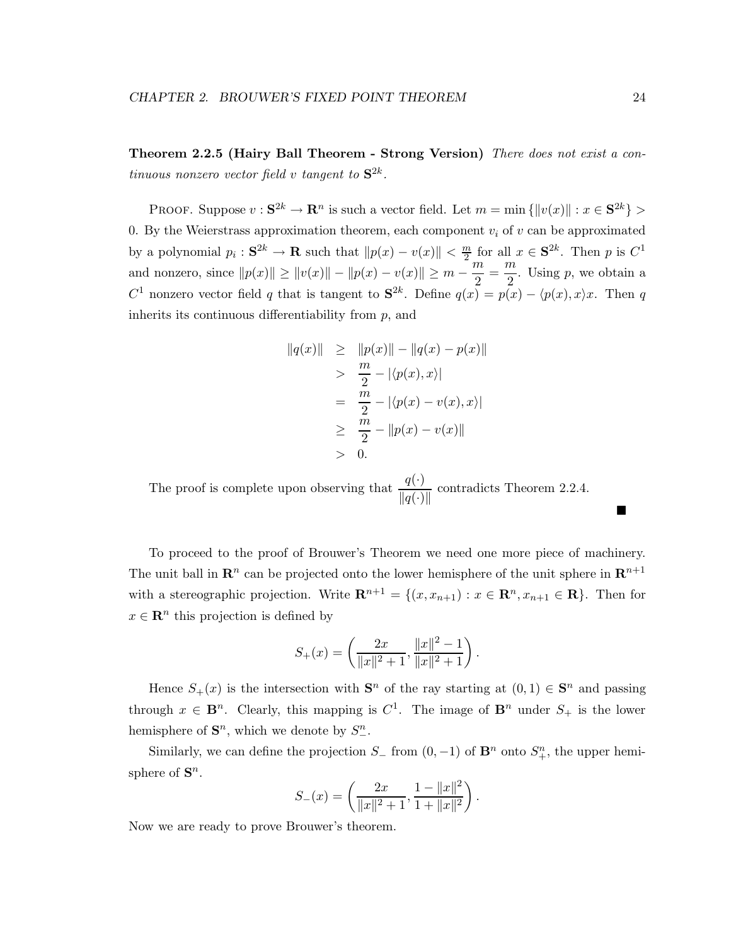**Theorem 2.2.5 (Hairy Ball Theorem - Strong Version)** *There does not exist a continuous nonzero vector field* v *tangent to*  $S^{2k}$ *.* 

PROOF. Suppose  $v : \mathbf{S}^{2k} \to \mathbf{R}^n$  is such a vector field. Let  $m = \min \{||v(x)|| : x \in \mathbf{S}^{2k}\}\$ 0. By the Weierstrass approximation theorem, each component  $v_i$  of v can be approximated by a polynomial  $p_i : \mathbf{S}^{2k} \to \mathbf{R}$  such that  $||p(x) - v(x)|| < \frac{m}{2}$  for all  $x \in \mathbf{S}^{2k}$ . Then p is  $C^1$ and nonzero, since  $||p(x)|| \ge ||v(x)|| - ||p(x) - v(x)|| \ge m - \frac{m}{2} = \frac{m}{2}$ . Using p, we obtain a C<sup>1</sup> nonzero vector field q that is tangent to  $S^{2k}$ . Define  $q(x) = p(x) - \langle p(x), x \rangle x$ . Then q inherits its continuous differentiability from  $p$ , and

$$
||q(x)|| \ge ||p(x)|| - ||q(x) - p(x)||
$$
  
\n
$$
> \frac{m}{2} - |\langle p(x), x \rangle|
$$
  
\n
$$
= \frac{m}{2} - |\langle p(x) - v(x), x \rangle|
$$
  
\n
$$
\ge \frac{m}{2} - ||p(x) - v(x)||
$$
  
\n
$$
> 0.
$$

The proof is complete upon observing that  $\frac{q(\cdot)}{\|q(\cdot)\|}$  contradicts Theorem 2.2.4.

To proceed to the proof of Brouwer's Theorem we need one more piece of machinery. The unit ball in  $\mathbb{R}^n$  can be projected onto the lower hemisphere of the unit sphere in  $\mathbb{R}^{n+1}$ with a stereographic projection. Write  $\mathbf{R}^{n+1} = \{(x, x_{n+1}) : x \in \mathbf{R}^n, x_{n+1} \in \mathbf{R}\}\.$  Then for  $x \in \mathbb{R}^n$  this projection is defined by

$$
S_{+}(x) = \left(\frac{2x}{\|x\|^2 + 1}, \frac{\|x\|^2 - 1}{\|x\|^2 + 1}\right).
$$

Hence  $S_+(x)$  is the intersection with  $S^n$  of the ray starting at  $(0,1) \in S^n$  and passing through  $x \in \mathbf{B}^n$ . Clearly, this mapping is  $C^1$ . The image of  $\mathbf{B}^n$  under  $S_+$  is the lower hemisphere of  $\mathbf{S}^n$ , which we denote by  $S^n_{-}$ .

Similarly, we can define the projection  $S_$  from  $(0, -1)$  of  $\mathbf{B}^n$  onto  $S_+^n$ , the upper hemisphere of  $S^n$ .

$$
S_{-}(x) = \left(\frac{2x}{\|x\|^2 + 1}, \frac{1 - \|x\|^2}{1 + \|x\|^2}\right).
$$

Now we are ready to prove Brouwer's theorem.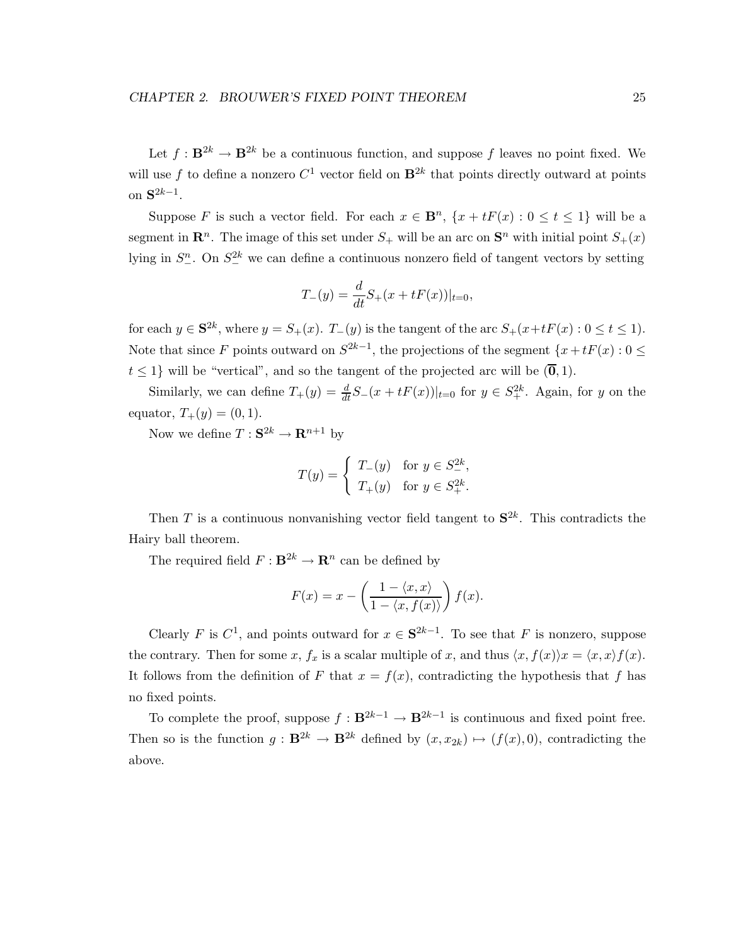Let  $f: \mathbf{B}^{2k} \to \mathbf{B}^{2k}$  be a continuous function, and suppose f leaves no point fixed. We will use f to define a nonzero  $C^1$  vector field on  $\mathbf{B}^{2k}$  that points directly outward at points on **S**2k−1.

Suppose F is such a vector field. For each  $x \in \mathbf{B}^n$ ,  $\{x + tF(x): 0 \le t \le 1\}$  will be a segment in  $\mathbb{R}^n$ . The image of this set under  $S_+$  will be an arc on  $\mathbb{S}^n$  with initial point  $S_+(x)$ lying in  $S^n_-\text{. On } S^2_\text{-}$  we can define a continuous nonzero field of tangent vectors by setting

$$
T_{-}(y) = \frac{d}{dt}S_{+}(x + tF(x))|_{t=0},
$$

for each  $y \in \mathbf{S}^{2k}$ , where  $y = S_+(x)$ .  $T_-(y)$  is the tangent of the arc  $S_+(x+tF(x):0 \le t \le 1)$ . Note that since F points outward on  $S^{2k-1}$ , the projections of the segment  $\{x + tF(x): 0 \leq t\}$  $t \leq 1$  will be "vertical", and so the tangent of the projected arc will be  $(\overline{0}, 1)$ .

Similarly, we can define  $T_+(y) = \frac{d}{dt} S_-(x + tF(x))|_{t=0}$  for  $y \in S_+^{2k}$ . Again, for y on the equator,  $T_+(y) = (0, 1)$ .

Now we define  $T : \mathbf{S}^{2k} \to \mathbf{R}^{n+1}$  by

$$
T(y) = \begin{cases} T_{-}(y) & \text{for } y \in S_{-}^{2k}, \\ T_{+}(y) & \text{for } y \in S_{+}^{2k}. \end{cases}
$$

Then T is a continuous nonvanishing vector field tangent to  $S^{2k}$ . This contradicts the Hairy ball theorem.

The required field  $F : \mathbf{B}^{2k} \to \mathbf{R}^n$  can be defined by

$$
F(x) = x - \left(\frac{1 - \langle x, x \rangle}{1 - \langle x, f(x) \rangle}\right) f(x).
$$

Clearly F is  $C^1$ , and points outward for  $x \in S^{2k-1}$ . To see that F is nonzero, suppose the contrary. Then for some x,  $f_x$  is a scalar multiple of x, and thus  $\langle x, f(x) \rangle x = \langle x, x \rangle f(x)$ . It follows from the definition of F that  $x = f(x)$ , contradicting the hypothesis that f has no fixed points.

To complete the proof, suppose  $f : \mathbf{B}^{2k-1} \to \mathbf{B}^{2k-1}$  is continuous and fixed point free. Then so is the function  $g : \mathbf{B}^{2k} \to \mathbf{B}^{2k}$  defined by  $(x, x_{2k}) \mapsto (f(x), 0)$ , contradicting the above.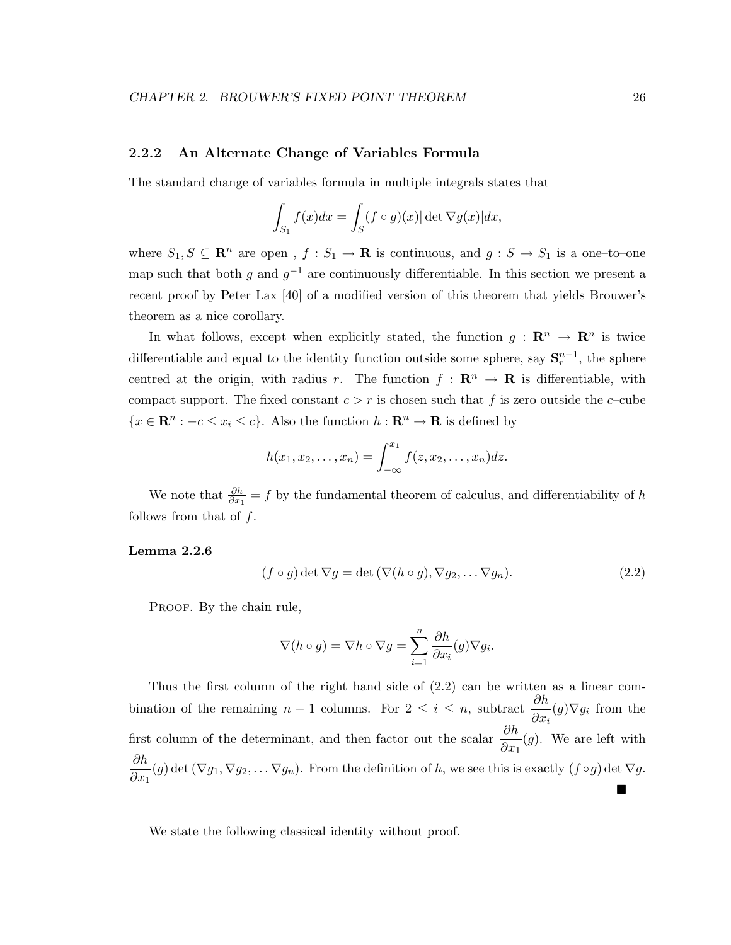### **2.2.2 An Alternate Change of Variables Formula**

The standard change of variables formula in multiple integrals states that

$$
\int_{S_1} f(x)dx = \int_S (f \circ g)(x)| \det \nabla g(x)| dx,
$$

where  $S_1, S \subseteq \mathbb{R}^n$  are open,  $f : S_1 \to \mathbb{R}$  is continuous, and  $g : S \to S_1$  is a one-to-one map such that both g and  $g^{-1}$  are continuously differentiable. In this section we present a recent proof by Peter Lax [40] of a modified version of this theorem that yields Brouwer's theorem as a nice corollary.

In what follows, except when explicitly stated, the function  $g : \mathbb{R}^n \to \mathbb{R}^n$  is twice differentiable and equal to the identity function outside some sphere, say  $S_r^{n-1}$ , the sphere centred at the origin, with radius r. The function  $f : \mathbb{R}^n \to \mathbb{R}$  is differentiable, with compact support. The fixed constant  $c>r$  is chosen such that f is zero outside the c–cube  ${x \in \mathbf{R}^n : -c \leq x_i \leq c}$ . Also the function  $h : \mathbf{R}^n \to \mathbf{R}$  is defined by

$$
h(x_1,x_2,\ldots,x_n)=\int_{-\infty}^{x_1}f(z,x_2,\ldots,x_n)dz.
$$

We note that  $\frac{\partial h}{\partial x_1} = f$  by the fundamental theorem of calculus, and differentiability of h follows from that of  $f$ .

### **Lemma 2.2.6**

$$
(f \circ g) \det \nabla g = \det (\nabla (h \circ g), \nabla g_2, \dots \nabla g_n).
$$
 (2.2)

PROOF. By the chain rule,

$$
\nabla(h \circ g) = \nabla h \circ \nabla g = \sum_{i=1}^{n} \frac{\partial h}{\partial x_i}(g) \nabla g_i.
$$

Thus the first column of the right hand side of (2.2) can be written as a linear combination of the remaining  $n-1$  columns. For  $2 \leq i \leq n$ , subtract  $\frac{\partial h}{\partial n}$  $\frac{\partial n}{\partial x_i}(g)\nabla g_i$  from the first column of the determinant, and then factor out the scalar  $\frac{\partial h}{\partial n}$  $\frac{\partial u}{\partial x_1}(g)$ . We are left with ∂h  $\frac{\partial u}{\partial x_1}(g)$  det  $(\nabla g_1, \nabla g_2, \dots \nabla g_n)$ . From the definition of h, we see this is exactly  $(f \circ g)$  det  $\nabla g$ . Г

We state the following classical identity without proof.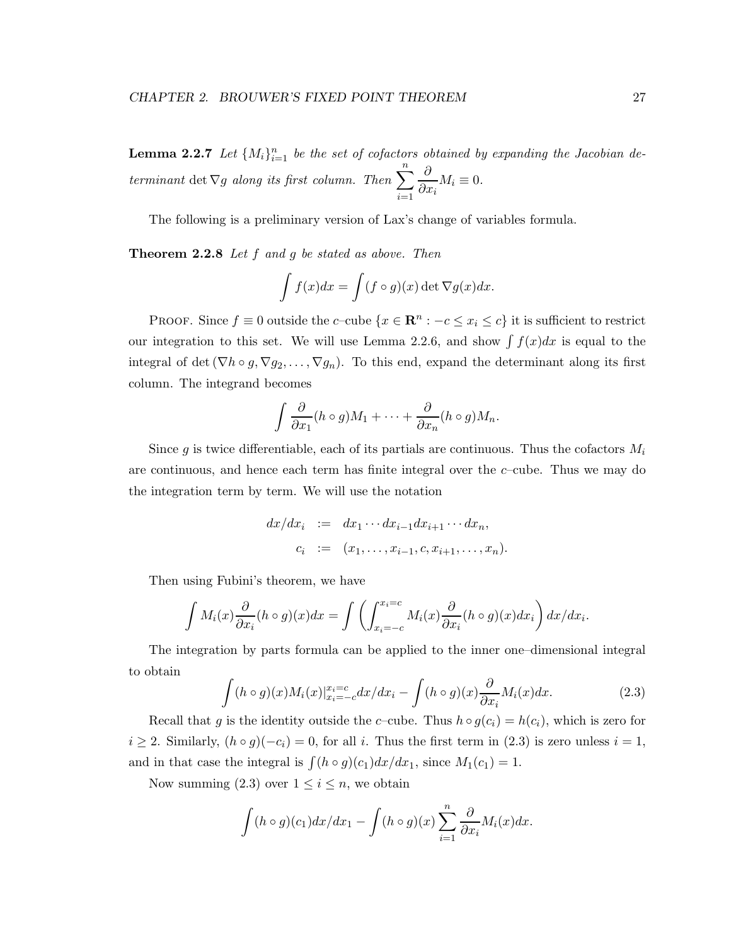**Lemma 2.2.7** Let  $\{M_i\}_{i=1}^n$  be the set of cofactors obtained by expanding the Jacobian de*terminant* det  $\nabla g$  *along its first column. Then*  $\sum_{n=1}^{n}$  $i=1$  $\partial$  $\frac{\partial}{\partial x_i} M_i \equiv 0.$ 

The following is a preliminary version of Lax's change of variables formula.

**Theorem 2.2.8** *Let* f *and* g *be stated as above. Then*

$$
\int f(x)dx = \int (f \circ g)(x) \det \nabla g(x)dx.
$$

PROOF. Since  $f \equiv 0$  outside the c–cube  $\{x \in \mathbb{R}^n : -c \le x_i \le c\}$  it is sufficient to restrict our integration to this set. We will use Lemma 2.2.6, and show  $\int f(x)dx$  is equal to the integral of det ( $\nabla h \circ g, \nabla g_2, \ldots, \nabla g_n$ ). To this end, expand the determinant along its first column. The integrand becomes

$$
\int \frac{\partial}{\partial x_1}(h \circ g)M_1 + \dots + \frac{\partial}{\partial x_n}(h \circ g)M_n.
$$

Since g is twice differentiable, each of its partials are continuous. Thus the cofactors  $M_i$ are continuous, and hence each term has finite integral over the  $c$ –cube. Thus we may do the integration term by term. We will use the notation

$$
dx/dx_i
$$
 :=  $dx_1 \cdots dx_{i-1} dx_{i+1} \cdots dx_n$ ,  
 $c_i$  :=  $(x_1, \ldots, x_{i-1}, c, x_{i+1}, \ldots, x_n)$ .

Then using Fubini's theorem, we have

$$
\int M_i(x) \frac{\partial}{\partial x_i} (h \circ g)(x) dx = \int \left( \int_{x_i = -c}^{x_i = c} M_i(x) \frac{\partial}{\partial x_i} (h \circ g)(x) dx_i \right) dx/dx_i.
$$

The integration by parts formula can be applied to the inner one–dimensional integral to obtain

$$
\int (h \circ g)(x) M_i(x) |_{x_i = -c}^{x_i = c} dx/dx_i - \int (h \circ g)(x) \frac{\partial}{\partial x_i} M_i(x) dx.
$$
 (2.3)

Recall that g is the identity outside the c–cube. Thus  $h \circ g(c_i) = h(c_i)$ , which is zero for  $i \geq 2$ . Similarly,  $(h \circ g)(-c_i) = 0$ , for all i. Thus the first term in (2.3) is zero unless  $i = 1$ , and in that case the integral is  $\int (h \circ g)(c_1) dx/dx_1$ , since  $M_1(c_1) = 1$ .

Now summing (2.3) over  $1 \leq i \leq n$ , we obtain

$$
\int (h \circ g)(c_1) dx/dx_1 - \int (h \circ g)(x) \sum_{i=1}^n \frac{\partial}{\partial x_i} M_i(x) dx.
$$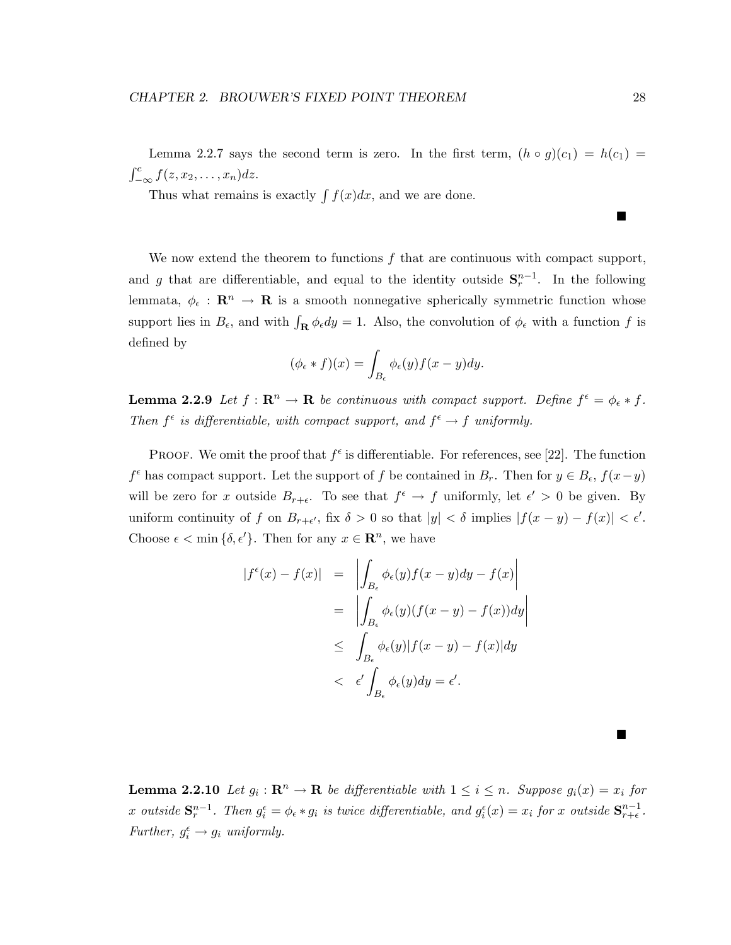Lemma 2.2.7 says the second term is zero. In the first term,  $(h \circ g)(c_1) = h(c_1)$  $\int_{-\infty}^{c} f(z, x_2, \ldots, x_n) dz.$ 

Thus what remains is exactly  $\int f(x)dx$ , and we are done.

We now extend the theorem to functions  $f$  that are continuous with compact support, and g that are differentiable, and equal to the identity outside  $S_r^{n-1}$ . In the following lemmata,  $\phi_{\epsilon} : \mathbf{R}^n \to \mathbf{R}$  is a smooth nonnegative spherically symmetric function whose support lies in  $B_{\epsilon}$ , and with  $\int_{\mathbf{R}} \phi_{\epsilon} dy = 1$ . Also, the convolution of  $\phi_{\epsilon}$  with a function f is defined by

$$
(\phi_{\epsilon} * f)(x) = \int_{B_{\epsilon}} \phi_{\epsilon}(y) f(x - y) dy.
$$

**Lemma 2.2.9** *Let*  $f : \mathbb{R}^n \to \mathbb{R}$  *be continuous with compact support. Define*  $f^{\epsilon} = \phi_{\epsilon} * f$ . *Then*  $f^{\epsilon}$  *is differentiable, with compact support, and*  $f^{\epsilon} \rightarrow f$  *uniformly.* 

PROOF. We omit the proof that  $f^{\epsilon}$  is differentiable. For references, see [22]. The function  $f^{\epsilon}$  has compact support. Let the support of f be contained in  $B_r$ . Then for  $y \in B_{\epsilon}$ ,  $f(x-y)$ will be zero for x outside  $B_{r+\epsilon}$ . To see that  $f^{\epsilon} \to f$  uniformly, let  $\epsilon' > 0$  be given. By uniform continuity of f on  $B_{r+\epsilon'}$ , fix  $\delta > 0$  so that  $|y| < \delta$  implies  $|f(x-y) - f(x)| < \epsilon'.$ Choose  $\epsilon < \min{\{\delta, \epsilon'\}}$ . Then for any  $x \in \mathbb{R}^n$ , we have

$$
|f^{\epsilon}(x) - f(x)| = \left| \int_{B_{\epsilon}} \phi_{\epsilon}(y) f(x - y) dy - f(x) \right|
$$
  

$$
= \left| \int_{B_{\epsilon}} \phi_{\epsilon}(y) (f(x - y) - f(x)) dy \right|
$$
  

$$
\leq \int_{B_{\epsilon}} \phi_{\epsilon}(y) |f(x - y) - f(x)| dy
$$
  

$$
< \epsilon' \int_{B_{\epsilon}} \phi_{\epsilon}(y) dy = \epsilon'.
$$

**Lemma 2.2.10** Let  $g_i : \mathbb{R}^n \to \mathbb{R}$  be differentiable with  $1 \leq i \leq n$ . Suppose  $g_i(x) = x_i$  for  $x$  *outside*  $S_r^{n-1}$ *. Then*  $g_i^{\epsilon} = \phi_{\epsilon} * g_i$  *is twice differentiable, and*  $g_i^{\epsilon}(x) = x_i$  *for*  $x$  *outside*  $S_{r+\epsilon}^{n-1}$ *. Further,*  $g_i^{\epsilon} \rightarrow g_i$  *uniformly.* 

Г

■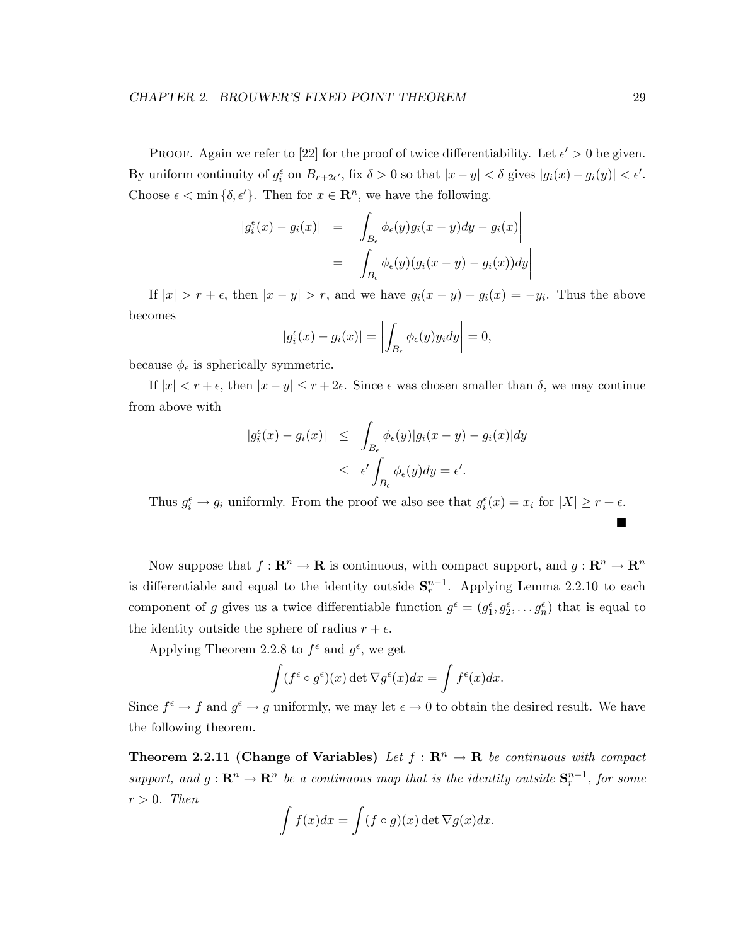PROOF. Again we refer to [22] for the proof of twice differentiability. Let  $\epsilon' > 0$  be given. By uniform continuity of  $g_i^{\epsilon}$  on  $B_{r+2\epsilon'}$ , fix  $\delta > 0$  so that  $|x - y| < \delta$  gives  $|g_i(x) - g_i(y)| < \epsilon'.$ Choose  $\epsilon < \min{\{\delta, \epsilon'\}}$ . Then for  $x \in \mathbb{R}^n$ , we have the following.

$$
|g_i^{\epsilon}(x) - g_i(x)| = \left| \int_{B_{\epsilon}} \phi_{\epsilon}(y) g_i(x - y) dy - g_i(x) \right|
$$
  
= 
$$
\left| \int_{B_{\epsilon}} \phi_{\epsilon}(y) (g_i(x - y) - g_i(x)) dy \right|
$$

If  $|x| > r + \epsilon$ , then  $|x - y| > r$ , and we have  $g_i(x - y) - g_i(x) = -y_i$ . Thus the above becomes

$$
|g_i^{\epsilon}(x) - g_i(x)| = \left| \int_{B_{\epsilon}} \phi_{\epsilon}(y) y_i dy \right| = 0,
$$

because  $\phi_{\epsilon}$  is spherically symmetric.

If  $|x| < r + \epsilon$ , then  $|x - y| \le r + 2\epsilon$ . Since  $\epsilon$  was chosen smaller than  $\delta$ , we may continue from above with

$$
|g_i^{\epsilon}(x) - g_i(x)| \leq \int_{B_{\epsilon}} \phi_{\epsilon}(y)|g_i(x - y) - g_i(x)|dy
$$
  

$$
\leq \epsilon' \int_{B_{\epsilon}} \phi_{\epsilon}(y)dy = \epsilon'.
$$

Thus  $g_i^{\epsilon} \to g_i$  uniformly. From the proof we also see that  $g_i^{\epsilon}(x) = x_i$  for  $|X| \ge r + \epsilon$ .

Now suppose that  $f: \mathbb{R}^n \to \mathbb{R}$  is continuous, with compact support, and  $g: \mathbb{R}^n \to \mathbb{R}^n$ is differentiable and equal to the identity outside  $S_r^{n-1}$ . Applying Lemma 2.2.10 to each component of g gives us a twice differentiable function  $g^{\epsilon} = (g_1^{\epsilon}, g_2^{\epsilon}, \dots, g_n^{\epsilon})$  that is equal to the identity outside the sphere of radius  $r + \epsilon$ .

Applying Theorem 2.2.8 to  $f^{\epsilon}$  and  $g^{\epsilon}$ , we get

$$
\int (f^{\epsilon} \circ g^{\epsilon})(x) \det \nabla g^{\epsilon}(x) dx = \int f^{\epsilon}(x) dx.
$$

Since  $f^{\epsilon} \to f$  and  $g^{\epsilon} \to g$  uniformly, we may let  $\epsilon \to 0$  to obtain the desired result. We have the following theorem.

**Theorem 2.2.11 (Change of Variables)** *Let*  $f : \mathbb{R}^n \to \mathbb{R}$  *be continuous with compact support, and*  $g: \mathbb{R}^n \to \mathbb{R}^n$  *be a continuous map that is the identity outside*  $\mathbf{S}_r^{n-1}$ *, for some*  $r > 0$ *. Then* 

$$
\int f(x)dx = \int (f \circ g)(x) \det \nabla g(x)dx.
$$

 $\blacksquare$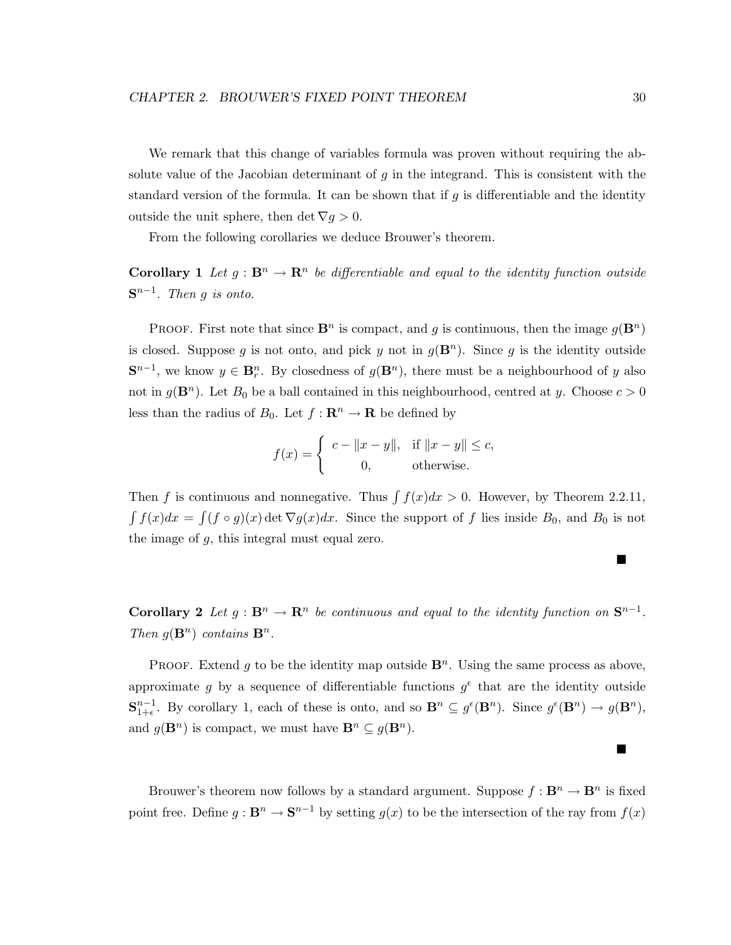We remark that this change of variables formula was proven without requiring the absolute value of the Jacobian determinant of  $g$  in the integrand. This is consistent with the standard version of the formula. It can be shown that if  $g$  is differentiable and the identity outside the unit sphere, then det  $\nabla g > 0$ .

From the following corollaries we deduce Brouwer's theorem.

**Corollary 1** Let  $g : \mathbf{B}^n \to \mathbf{R}^n$  be differentiable and equal to the identity function outside **S**n−1*. Then* g *is onto.*

**PROOF.** First note that since  $\mathbf{B}^n$  is compact, and g is continuous, then the image  $q(\mathbf{B}^n)$ is closed. Suppose g is not onto, and pick y not in  $g(\mathbf{B}^n)$ . Since g is the identity outside  $\mathbf{S}^{n-1}$ , we know  $y \in \mathbf{B}_r^n$ . By closedness of  $g(\mathbf{B}^n)$ , there must be a neighbourhood of y also not in  $g(\mathbf{B}^n)$ . Let  $B_0$  be a ball contained in this neighbourhood, centred at y. Choose  $c > 0$ less than the radius of  $B_0$ . Let  $f: \mathbb{R}^n \to \mathbb{R}$  be defined by

$$
f(x) = \begin{cases} c - ||x - y||, & \text{if } ||x - y|| \le c, \\ 0, & \text{otherwise.} \end{cases}
$$

Then f is continuous and nonnegative. Thus  $\int f(x)dx > 0$ . However, by Theorem 2.2.11,  $\int f(x)dx = \int (f \circ g)(x) \det \nabla g(x)dx$ . Since the support of f lies inside  $B_0$ , and  $B_0$  is not the image of g, this integral must equal zero.

**Corollary 2** *Let*  $g : \mathbf{B}^n \to \mathbf{R}^n$  *be continuous and equal to the identity function on*  $\mathbf{S}^{n-1}$ *. Then*  $g(\mathbf{B}^n)$  *contains*  $\mathbf{B}^n$ *.* 

**PROOF.** Extend g to be the identity map outside  $\mathbf{B}^n$ . Using the same process as above, approximate g by a sequence of differentiable functions  $g^{\epsilon}$  that are the identity outside  $\mathbf{S}_{1+\epsilon}^{n-1}$ . By corollary 1, each of these is onto, and so  $\mathbf{B}^n \subseteq g^{\epsilon}(\mathbf{B}^n)$ . Since  $g^{\epsilon}(\mathbf{B}^n) \to g(\mathbf{B}^n)$ , and  $g(\mathbf{B}^n)$  is compact, we must have  $\mathbf{B}^n \subseteq g(\mathbf{B}^n)$ .

Brouwer's theorem now follows by a standard argument. Suppose  $f : \mathbf{B}^n \to \mathbf{B}^n$  is fixed point free. Define  $g : \mathbf{B}^n \to \mathbf{S}^{n-1}$  by setting  $g(x)$  to be the intersection of the ray from  $f(x)$ 

■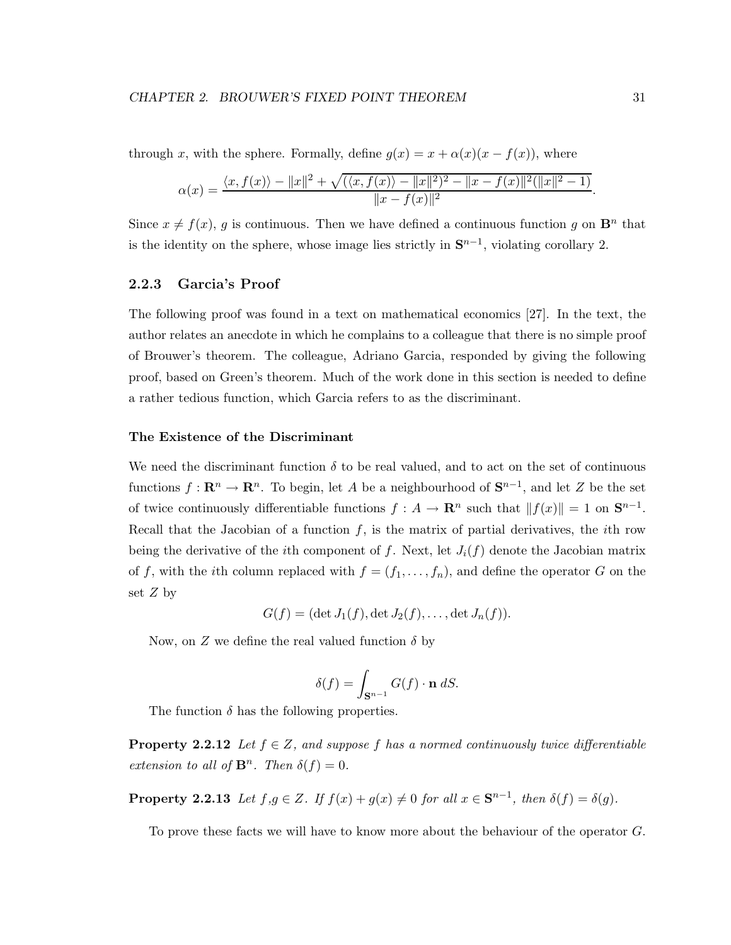through x, with the sphere. Formally, define  $g(x) = x + \alpha(x)(x - f(x))$ , where

$$
\alpha(x)=\frac{\langle x,f(x)\rangle-\|x\|^2+\sqrt{(\langle x,f(x)\rangle-\|x\|^2)^2-\|x-f(x)\|^2(\|x\|^2-1)}}{\|x-f(x)\|^2}.
$$

Since  $x \neq f(x)$ , g is continuous. Then we have defined a continuous function g on  $\mathbf{B}^n$  that is the identity on the sphere, whose image lies strictly in  $S^{n-1}$ , violating corollary 2.

### **2.2.3 Garcia's Proof**

The following proof was found in a text on mathematical economics [27]. In the text, the author relates an anecdote in which he complains to a colleague that there is no simple proof of Brouwer's theorem. The colleague, Adriano Garcia, responded by giving the following proof, based on Green's theorem. Much of the work done in this section is needed to define a rather tedious function, which Garcia refers to as the discriminant.

### **The Existence of the Discriminant**

We need the discriminant function  $\delta$  to be real valued, and to act on the set of continuous functions  $f: \mathbb{R}^n \to \mathbb{R}^n$ . To begin, let A be a neighbourhood of  $\mathbb{S}^{n-1}$ , and let Z be the set of twice continuously differentiable functions  $f : A \to \mathbb{R}^n$  such that  $||f(x)|| = 1$  on  $\mathbb{S}^{n-1}$ . Recall that the Jacobian of a function  $f$ , is the matrix of partial derivatives, the *i*th row being the derivative of the *i*th component of f. Next, let  $J_i(f)$  denote the Jacobian matrix of f, with the ith column replaced with  $f = (f_1, \ldots, f_n)$ , and define the operator G on the set  $Z$  by

$$
G(f) = (\det J_1(f), \det J_2(f), \ldots, \det J_n(f)).
$$

Now, on Z we define the real valued function  $\delta$  by

$$
\delta(f) = \int_{\mathbf{S}^{n-1}} G(f) \cdot \mathbf{n} \, dS.
$$

The function  $\delta$  has the following properties.

**Property 2.2.12** *Let*  $f \in Z$ *, and suppose* f has a normed continuously twice differentiable *extension to all of*  $\mathbf{B}^n$ *. Then*  $\delta(f)=0$ *.* 

**Property 2.2.13** *Let*  $f, g \in Z$ *. If*  $f(x) + g(x) \neq 0$  *for all*  $x \in S^{n-1}$ *, then*  $\delta(f) = \delta(g)$ *.* 

To prove these facts we will have to know more about the behaviour of the operator G.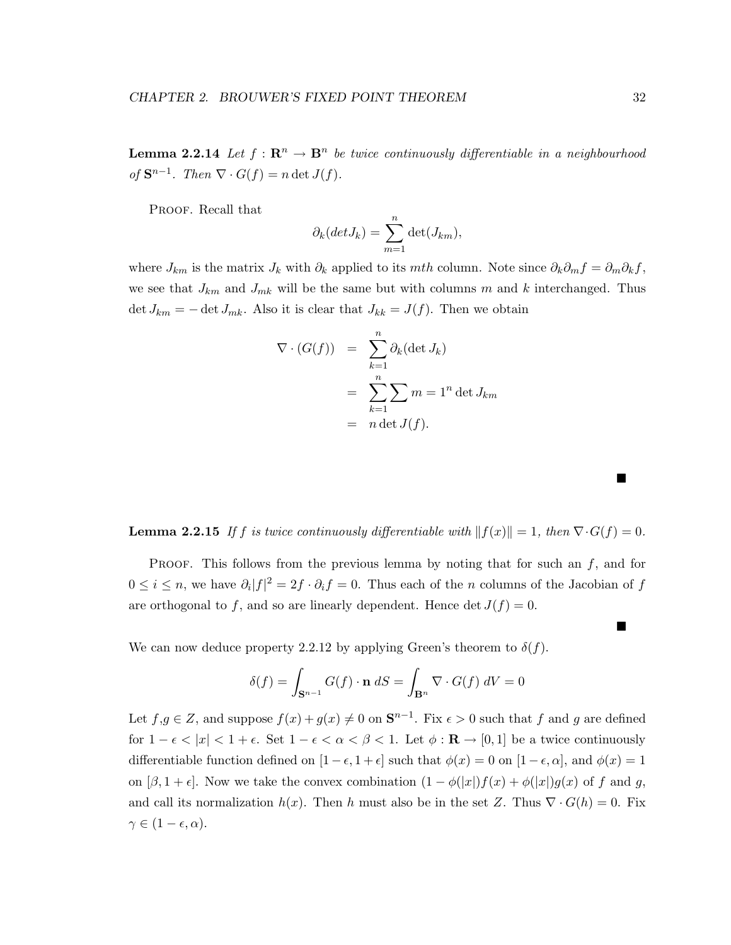**Lemma 2.2.14** *Let*  $f : \mathbb{R}^n \to \mathbb{B}^n$  *be twice continuously differentiable in a neighbourhood of*  $\mathbf{S}^{n-1}$ *. Then*  $\nabla \cdot G(f) = n \det J(f)$ *.* 

PROOF. Recall that

$$
\partial_k(det J_k) = \sum_{m=1}^n \det(J_{km}),
$$

where  $J_{km}$  is the matrix  $J_k$  with  $\partial_k$  applied to its mth column. Note since  $\partial_k \partial_m f = \partial_m \partial_k f$ , we see that  $J_{km}$  and  $J_{mk}$  will be the same but with columns m and k interchanged. Thus det  $J_{km} = -$  det  $J_{mk}$ . Also it is clear that  $J_{kk} = J(f)$ . Then we obtain

$$
\nabla \cdot (G(f)) = \sum_{k=1}^{n} \partial_k (\det J_k)
$$
  
= 
$$
\sum_{k=1}^{n} \sum_{k=1}^{n} m = 1^n \det J_{km}
$$
  
= 
$$
n \det J(f).
$$

**Lemma 2.2.15** *If f is twice continuously differentiable with*  $||f(x)|| = 1$ *, then*  $\nabla \cdot G(f) = 0$ *.* 

PROOF. This follows from the previous lemma by noting that for such an  $f$ , and for  $0 \leq i \leq n$ , we have  $\partial_i |f|^2 = 2f \cdot \partial_i f = 0$ . Thus each of the n columns of the Jacobian of f are orthogonal to f, and so are linearly dependent. Hence  $\det J(f) = 0$ .

We can now deduce property 2.2.12 by applying Green's theorem to  $\delta(f)$ .

$$
\delta(f) = \int_{\mathbf{S}^{n-1}} G(f) \cdot \mathbf{n} \, dS = \int_{\mathbf{B}^n} \nabla \cdot G(f) \, dV = 0
$$

Let  $f,g \in Z$ , and suppose  $f(x) + g(x) \neq 0$  on  $\mathbf{S}^{n-1}$ . Fix  $\epsilon > 0$  such that f and g are defined for  $1 - \epsilon < |x| < 1 + \epsilon$ . Set  $1 - \epsilon < \alpha < \beta < 1$ . Let  $\phi : \mathbf{R} \to [0,1]$  be a twice continuously differentiable function defined on  $[1 - \epsilon, 1 + \epsilon]$  such that  $\phi(x) = 0$  on  $[1 - \epsilon, \alpha]$ , and  $\phi(x) = 1$ on  $[\beta, 1 + \epsilon]$ . Now we take the convex combination  $(1 - \phi(|x|)f(x) + \phi(|x|)g(x))$  of f and g, and call its normalization  $h(x)$ . Then h must also be in the set Z. Thus  $\nabla \cdot G(h) = 0$ . Fix  $\gamma \in (1 - \epsilon, \alpha).$ 

■

 $\blacksquare$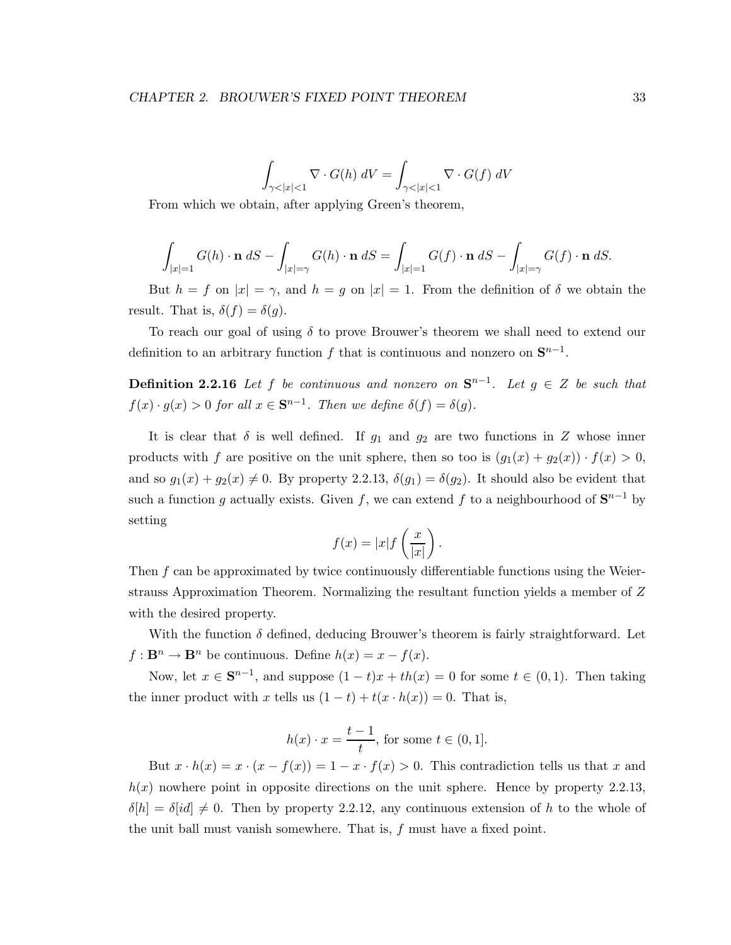$$
\int_{\gamma < |x| < 1} \nabla \cdot G(h) \, dV = \int_{\gamma < |x| < 1} \nabla \cdot G(f) \, dV
$$

From which we obtain, after applying Green's theorem,

$$
\int_{|x|=1} G(h) \cdot \mathbf{n} \, dS - \int_{|x|=\gamma} G(h) \cdot \mathbf{n} \, dS = \int_{|x|=1} G(f) \cdot \mathbf{n} \, dS - \int_{|x|=\gamma} G(f) \cdot \mathbf{n} \, dS.
$$

But  $h = f$  on  $|x| = \gamma$ , and  $h = g$  on  $|x| = 1$ . From the definition of  $\delta$  we obtain the result. That is,  $\delta(f) = \delta(g)$ .

To reach our goal of using  $\delta$  to prove Brouwer's theorem we shall need to extend our definition to an arbitrary function f that is continuous and nonzero on  $S^{n-1}$ .

**Definition 2.2.16** *Let* f *be continuous and nonzero on*  $\mathbf{S}^{n-1}$ *. Let*  $g \in Z$  *be such that*  $f(x) \cdot g(x) > 0$  *for all*  $x \in \mathbf{S}^{n-1}$ *. Then we define*  $\delta(f) = \delta(g)$ *.* 

It is clear that  $\delta$  is well defined. If  $g_1$  and  $g_2$  are two functions in Z whose inner products with f are positive on the unit sphere, then so too is  $(g_1(x) + g_2(x)) \cdot f(x) > 0$ , and so  $g_1(x) + g_2(x) \neq 0$ . By property 2.2.13,  $\delta(g_1) = \delta(g_2)$ . It should also be evident that such a function g actually exists. Given f, we can extend f to a neighbourhood of  $S^{n-1}$  by setting

$$
f(x) = |x| f\left(\frac{x}{|x|}\right)
$$

.

Then  $f$  can be approximated by twice continuously differentiable functions using the Weierstrauss Approximation Theorem. Normalizing the resultant function yields a member of Z with the desired property.

With the function  $\delta$  defined, deducing Brouwer's theorem is fairly straightforward. Let  $f: \mathbf{B}^n \to \mathbf{B}^n$  be continuous. Define  $h(x) = x - f(x)$ .

Now, let  $x \in S^{n-1}$ , and suppose  $(1-t)x + th(x) = 0$  for some  $t \in (0,1)$ . Then taking the inner product with x tells us  $(1-t) + t(x \cdot h(x)) = 0$ . That is,

$$
h(x) \cdot x = \frac{t-1}{t}, \text{ for some } t \in (0,1].
$$

But  $x \cdot h(x) = x \cdot (x - f(x)) = 1 - x \cdot f(x) > 0$ . This contradiction tells us that x and  $h(x)$  nowhere point in opposite directions on the unit sphere. Hence by property 2.2.13,  $\delta[h] = \delta(id] \neq 0$ . Then by property 2.2.12, any continuous extension of h to the whole of the unit ball must vanish somewhere. That is, f must have a fixed point.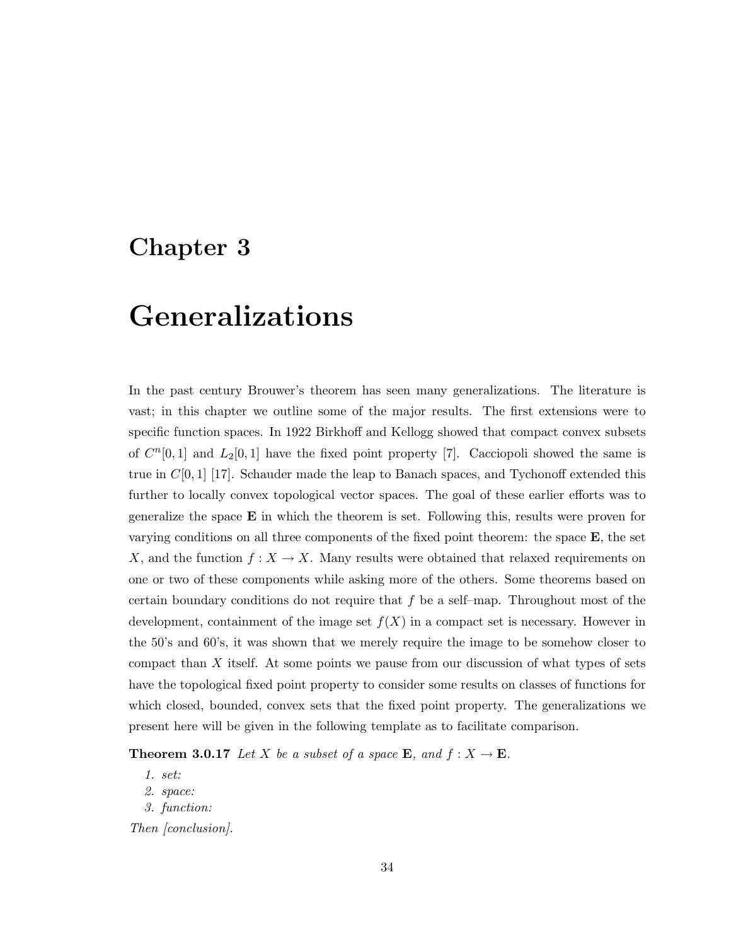# **Chapter 3**

# **Generalizations**

In the past century Brouwer's theorem has seen many generalizations. The literature is vast; in this chapter we outline some of the major results. The first extensions were to specific function spaces. In 1922 Birkhoff and Kellogg showed that compact convex subsets of  $C^n[0,1]$  and  $L_2[0,1]$  have the fixed point property [7]. Cacciopoli showed the same is true in  $C[0, 1]$  [17]. Schauder made the leap to Banach spaces, and Tychonoff extended this further to locally convex topological vector spaces. The goal of these earlier efforts was to generalize the space **E** in which the theorem is set. Following this, results were proven for varying conditions on all three components of the fixed point theorem: the space **E**, the set X, and the function  $f: X \to X$ . Many results were obtained that relaxed requirements on one or two of these components while asking more of the others. Some theorems based on certain boundary conditions do not require that f be a self–map. Throughout most of the development, containment of the image set  $f(X)$  in a compact set is necessary. However in the 50's and 60's, it was shown that we merely require the image to be somehow closer to compact than X itself. At some points we pause from our discussion of what types of sets have the topological fixed point property to consider some results on classes of functions for which closed, bounded, convex sets that the fixed point property. The generalizations we present here will be given in the following template as to facilitate comparison.

**Theorem 3.0.17** *Let* X *be a subset of a space* **E***, and*  $f: X \to \mathbf{E}$ *.* 

*1. set:*

*2. space:*

*3. function:*

*Then [conclusion].*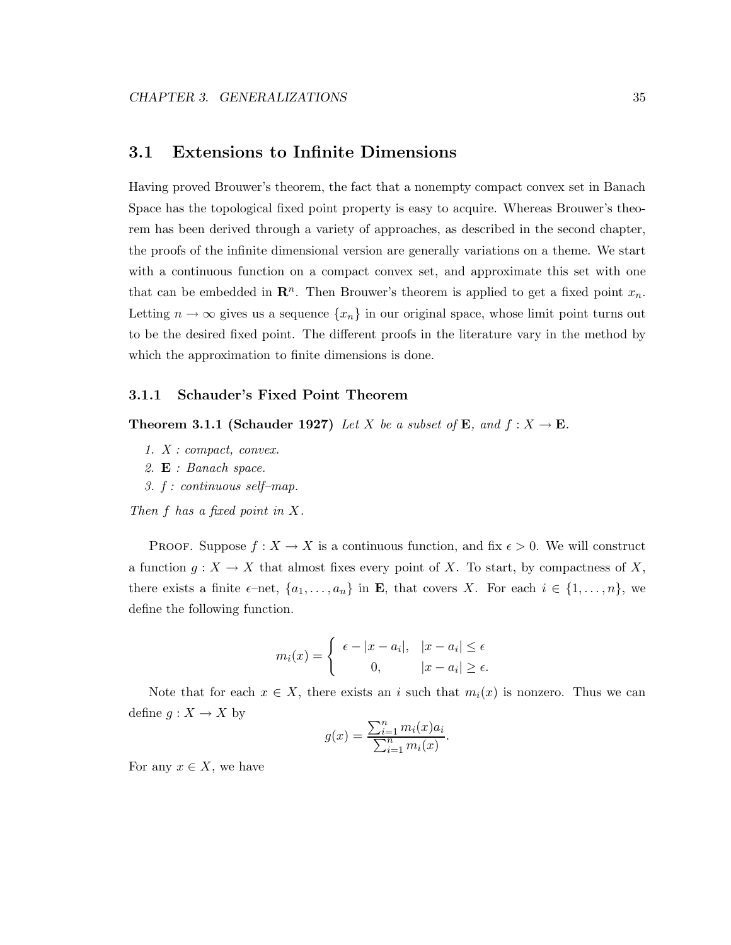### **3.1 Extensions to Infinite Dimensions**

Having proved Brouwer's theorem, the fact that a nonempty compact convex set in Banach Space has the topological fixed point property is easy to acquire. Whereas Brouwer's theorem has been derived through a variety of approaches, as described in the second chapter, the proofs of the infinite dimensional version are generally variations on a theme. We start with a continuous function on a compact convex set, and approximate this set with one that can be embedded in  $\mathbb{R}^n$ . Then Brouwer's theorem is applied to get a fixed point  $x_n$ . Letting  $n \to \infty$  gives us a sequence  $\{x_n\}$  in our original space, whose limit point turns out to be the desired fixed point. The different proofs in the literature vary in the method by which the approximation to finite dimensions is done.

### **3.1.1 Schauder's Fixed Point Theorem**

**Theorem 3.1.1 (Schauder 1927)** *Let* X *be a subset of* **E***, and*  $f: X \to \mathbf{E}$ *.* 

- *1. X : compact, convex.*
- *2.* **E** *: Banach space.*
- *3. f : continuous self–map.*

*Then* f *has a fixed point in* X*.*

PROOF. Suppose  $f: X \to X$  is a continuous function, and fix  $\epsilon > 0$ . We will construct a function  $g: X \to X$  that almost fixes every point of X. To start, by compactness of X, there exists a finite  $\epsilon$ -net,  $\{a_1, \ldots, a_n\}$  in **E**, that covers X. For each  $i \in \{1, \ldots, n\}$ , we define the following function.

$$
m_i(x) = \begin{cases} \epsilon - |x - a_i|, & |x - a_i| \le \epsilon \\ 0, & |x - a_i| \ge \epsilon. \end{cases}
$$

Note that for each  $x \in X$ , there exists an i such that  $m_i(x)$  is nonzero. Thus we can define  $g: X \to X$  by

$$
g(x) = \frac{\sum_{i=1}^{n} m_i(x)a_i}{\sum_{i=1}^{n} m_i(x)}.
$$

For any  $x \in X$ , we have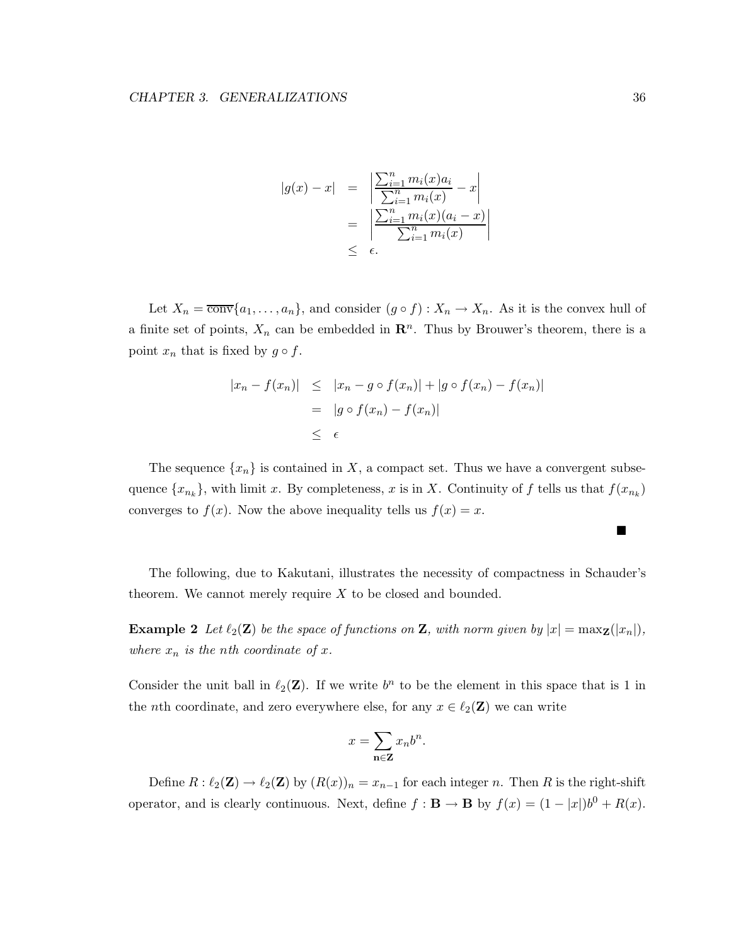$$
|g(x) - x| = \left| \frac{\sum_{i=1}^{n} m_i(x)a_i}{\sum_{i=1}^{n} m_i(x)} - x \right|
$$
  
= 
$$
\left| \frac{\sum_{i=1}^{n} m_i(x)(a_i - x)}{\sum_{i=1}^{n} m_i(x)} \right|
$$
  

$$
\leq \epsilon.
$$

Let  $X_n = \overline{\text{conv}}\{a_1,\ldots,a_n\}$ , and consider  $(g \circ f) : X_n \to X_n$ . As it is the convex hull of a finite set of points,  $X_n$  can be embedded in  $\mathbb{R}^n$ . Thus by Brouwer's theorem, there is a point  $x_n$  that is fixed by  $g \circ f$ .

$$
|x_n - f(x_n)| \le |x_n - g \circ f(x_n)| + |g \circ f(x_n) - f(x_n)|
$$
  
=  $|g \circ f(x_n) - f(x_n)|$   
 $\le \epsilon$ 

The sequence  $\{x_n\}$  is contained in X, a compact set. Thus we have a convergent subsequence  $\{x_{n_k}\}$ , with limit x. By completeness, x is in X. Continuity of f tells us that  $f(x_{n_k})$ converges to  $f(x)$ . Now the above inequality tells us  $f(x) = x$ .

The following, due to Kakutani, illustrates the necessity of compactness in Schauder's theorem. We cannot merely require  $X$  to be closed and bounded.

**Example 2** Let  $\ell_2(\mathbf{Z})$  be the space of functions on **Z**, with norm given by  $|x| = \max_{\mathbf{Z}}(|x_n|)$ , *where*  $x_n$  *is the nth coordinate of*  $x$ *.* 

Consider the unit ball in  $\ell_2(\mathbf{Z})$ . If we write  $b^n$  to be the element in this space that is 1 in the *n*th coordinate, and zero everywhere else, for any  $x \in \ell_2(\mathbf{Z})$  we can write

$$
x = \sum_{\mathbf{n} \in \mathbf{Z}} x_n b^n.
$$

Define  $R: \ell_2(\mathbf{Z}) \to \ell_2(\mathbf{Z})$  by  $(R(x))_n = x_{n-1}$  for each integer n. Then R is the right-shift operator, and is clearly continuous. Next, define  $f : \mathbf{B} \to \mathbf{B}$  by  $f(x) = (1 - |x|)b^0 + R(x)$ .

 $\blacksquare$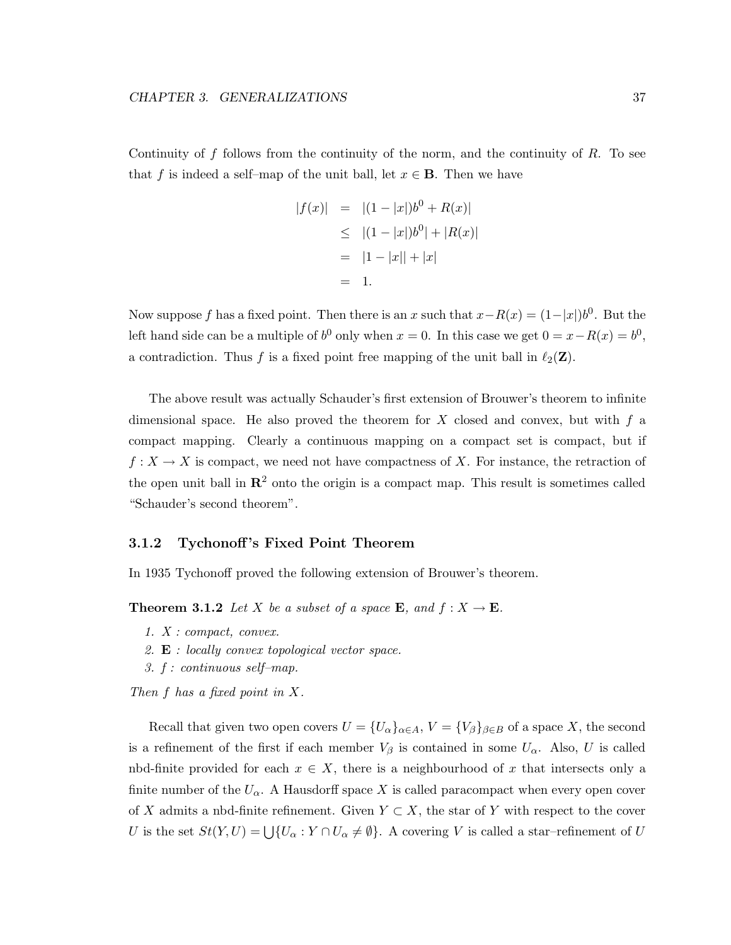Continuity of  $f$  follows from the continuity of the norm, and the continuity of  $R$ . To see that f is indeed a self–map of the unit ball, let  $x \in \mathbf{B}$ . Then we have

$$
|f(x)| = |(1 - |x|)b^{0} + R(x)|
$$
  
\n
$$
\leq |(1 - |x|)b^{0}| + |R(x)|
$$
  
\n
$$
= |1 - |x|| + |x|
$$
  
\n
$$
= 1.
$$

Now suppose f has a fixed point. Then there is an x such that  $x-R(x) = (1-|x|)b^0$ . But the left hand side can be a multiple of  $b^0$  only when  $x = 0$ . In this case we get  $0 = x - R(x) = b^0$ , a contradiction. Thus f is a fixed point free mapping of the unit ball in  $\ell_2(\mathbf{Z})$ .

The above result was actually Schauder's first extension of Brouwer's theorem to infinite dimensional space. He also proved the theorem for  $X$  closed and convex, but with  $f$  a compact mapping. Clearly a continuous mapping on a compact set is compact, but if  $f: X \to X$  is compact, we need not have compactness of X. For instance, the retraction of the open unit ball in  $\mathbb{R}^2$  onto the origin is a compact map. This result is sometimes called "Schauder's second theorem".

### **3.1.2 Tychonoff 's Fixed Point Theorem**

In 1935 Tychonoff proved the following extension of Brouwer's theorem.

**Theorem 3.1.2** *Let* X *be a subset of a space* **E***, and*  $f: X \to \mathbf{E}$ *.* 

- *1. X : compact, convex.*
- *2.* **E** *: locally convex topological vector space.*
- *3. f : continuous self–map.*

*Then* f *has a fixed point in* X*.*

Recall that given two open covers  $U = \{U_{\alpha}\}_{{\alpha} \in A}, V = \{V_{\beta}\}_{{\beta} \in B}$  of a space X, the second is a refinement of the first if each member  $V_\beta$  is contained in some  $U_\alpha$ . Also, U is called nbd-finite provided for each  $x \in X$ , there is a neighbourhood of x that intersects only a finite number of the  $U_{\alpha}$ . A Hausdorff space X is called paracompact when every open cover of X admits a nbd-finite refinement. Given  $Y \subset X$ , the star of Y with respect to the cover U is the set  $St(Y, U) = \bigcup \{U_\alpha : Y \cap U_\alpha \neq \emptyset\}.$  A covering V is called a star-refinement of U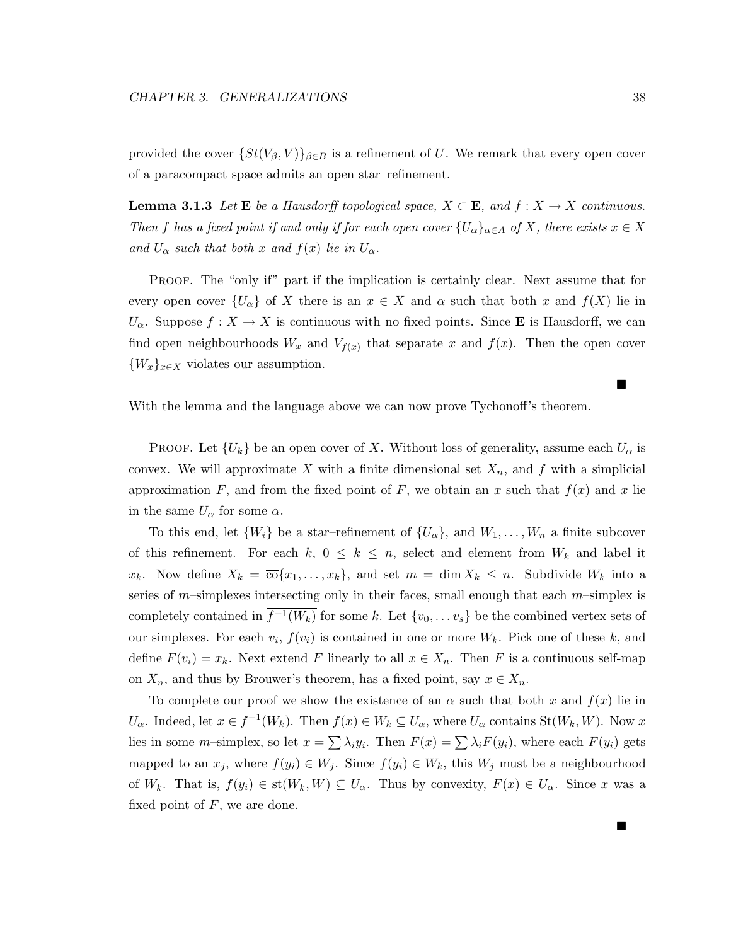provided the cover  $\{St(V_\beta, V)\}_{\beta \in B}$  is a refinement of U. We remark that every open cover of a paracompact space admits an open star–refinement.

**Lemma 3.1.3** *Let*  $\mathbf{E}$  *be a Hausdorff topological space,*  $X \subset \mathbf{E}$ *, and*  $f : X \to X$  *continuous. Then* f has a fixed point if and only if for each open cover  $\{U_{\alpha}\}_{{\alpha}\in A}$  of X, there exists  $x \in X$ *and*  $U_{\alpha}$  *such that both* x *and*  $f(x)$  *lie in*  $U_{\alpha}$ *.* 

PROOF. The "only if" part if the implication is certainly clear. Next assume that for every open cover  $\{U_{\alpha}\}\$  of X there is an  $x \in X$  and  $\alpha$  such that both x and  $f(X)$  lie in  $U_{\alpha}$ . Suppose  $f: X \to X$  is continuous with no fixed points. Since **E** is Hausdorff, we can find open neighbourhoods  $W_x$  and  $V_{f(x)}$  that separate x and  $f(x)$ . Then the open cover  ${W_x}_{x \in X}$  violates our assumption.

With the lemma and the language above we can now prove Tychonoff's theorem.

**PROOF.** Let  $\{U_k\}$  be an open cover of X. Without loss of generality, assume each  $U_\alpha$  is convex. We will approximate X with a finite dimensional set  $X_n$ , and f with a simplicial approximation F, and from the fixed point of F, we obtain an x such that  $f(x)$  and x lie in the same  $U_{\alpha}$  for some  $\alpha$ .

To this end, let  $\{W_i\}$  be a star-refinement of  $\{U_\alpha\}$ , and  $W_1,\ldots,W_n$  a finite subcover of this refinement. For each  $k, 0 \leq k \leq n$ , select and element from  $W_k$  and label it  $x_k$ . Now define  $X_k = \overline{\text{co}}\{x_1,\ldots,x_k\}$ , and set  $m = \dim X_k \leq n$ . Subdivide  $W_k$  into a series of  $m$ -simplexes intersecting only in their faces, small enough that each  $m$ -simplex is completely contained in  $\overline{f^{-1}(W_k)}$  for some k. Let  $\{v_0,\ldots v_s\}$  be the combined vertex sets of our simplexes. For each  $v_i$ ,  $f(v_i)$  is contained in one or more  $W_k$ . Pick one of these k, and define  $F(v_i) = x_k$ . Next extend F linearly to all  $x \in X_n$ . Then F is a continuous self-map on  $X_n$ , and thus by Brouwer's theorem, has a fixed point, say  $x \in X_n$ .

To complete our proof we show the existence of an  $\alpha$  such that both x and  $f(x)$  lie in  $U_{\alpha}$ . Indeed, let  $x \in f^{-1}(W_k)$ . Then  $f(x) \in W_k \subseteq U_{\alpha}$ , where  $U_{\alpha}$  contains  $St(W_k, W)$ . Now x lies in some m-simplex, so let  $x = \sum \lambda_i y_i$ . Then  $F(x) = \sum \lambda_i F(y_i)$ , where each  $F(y_i)$  gets mapped to an  $x_j$ , where  $f(y_i) \in W_j$ . Since  $f(y_i) \in W_k$ , this  $W_j$  must be a neighbourhood of  $W_k$ . That is,  $f(y_i) \in st(W_k, W) \subseteq U_\alpha$ . Thus by convexity,  $F(x) \in U_\alpha$ . Since x was a fixed point of  $F$ , we are done.

П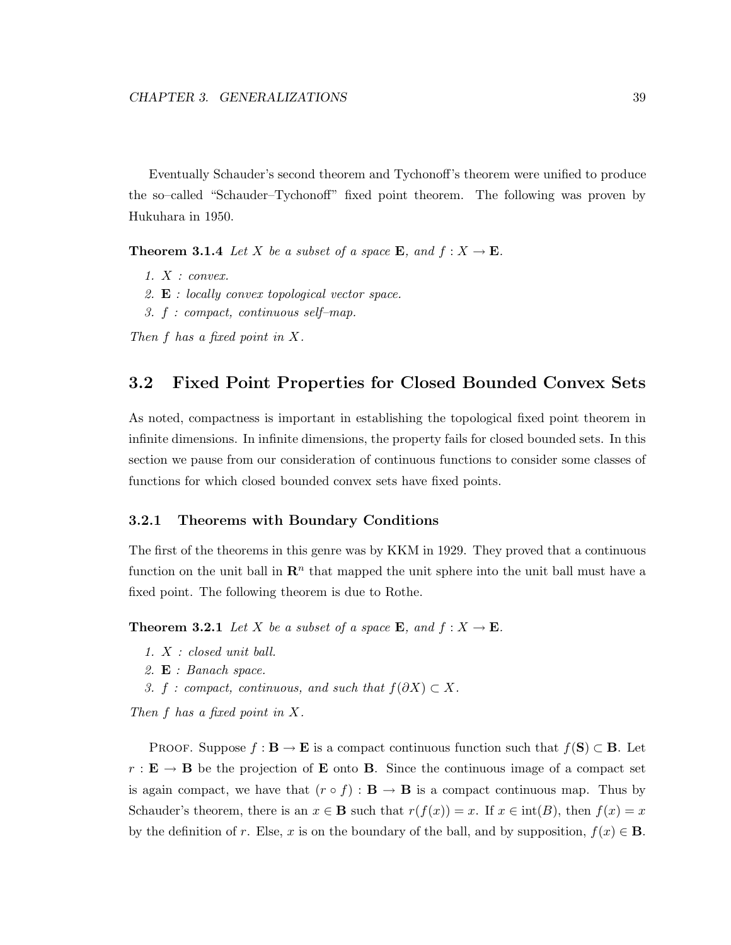Eventually Schauder's second theorem and Tychonoff's theorem were unified to produce the so–called "Schauder–Tychonoff" fixed point theorem. The following was proven by Hukuhara in 1950.

**Theorem 3.1.4** *Let* X *be a subset of a space* **E***, and*  $f: X \to \mathbf{E}$ *.* 

- *1.* X *: convex.*
- *2.* **E** *: locally convex topological vector space.*
- *3.* f *: compact, continuous self–map.*

*Then* f *has a fixed point in* X*.*

## **3.2 Fixed Point Properties for Closed Bounded Convex Sets**

As noted, compactness is important in establishing the topological fixed point theorem in infinite dimensions. In infinite dimensions, the property fails for closed bounded sets. In this section we pause from our consideration of continuous functions to consider some classes of functions for which closed bounded convex sets have fixed points.

### **3.2.1 Theorems with Boundary Conditions**

The first of the theorems in this genre was by KKM in 1929. They proved that a continuous function on the unit ball in  $\mathbb{R}^n$  that mapped the unit sphere into the unit ball must have a fixed point. The following theorem is due to Rothe.

**Theorem 3.2.1** *Let* X *be a subset of a space* **E***, and*  $f: X \to \mathbf{E}$ *.* 

- *1.* X *: closed unit ball.*
- *2.* **E** *: Banach space.*
- *3. f : compact, continuous, and such that*  $f(\partial X) \subset X$ *.*

*Then* f *has a fixed point in* X*.*

PROOF. Suppose  $f : \mathbf{B} \to \mathbf{E}$  is a compact continuous function such that  $f(\mathbf{S}) \subset \mathbf{B}$ . Let  $r : \mathbf{E} \to \mathbf{B}$  be the projection of **E** onto **B**. Since the continuous image of a compact set is again compact, we have that  $(r \circ f) : \mathbf{B} \to \mathbf{B}$  is a compact continuous map. Thus by Schauder's theorem, there is an  $x \in \mathbf{B}$  such that  $r(f(x)) = x$ . If  $x \in \text{int}(B)$ , then  $f(x) = x$ by the definition of r. Else, x is on the boundary of the ball, and by supposition,  $f(x) \in \mathbf{B}$ .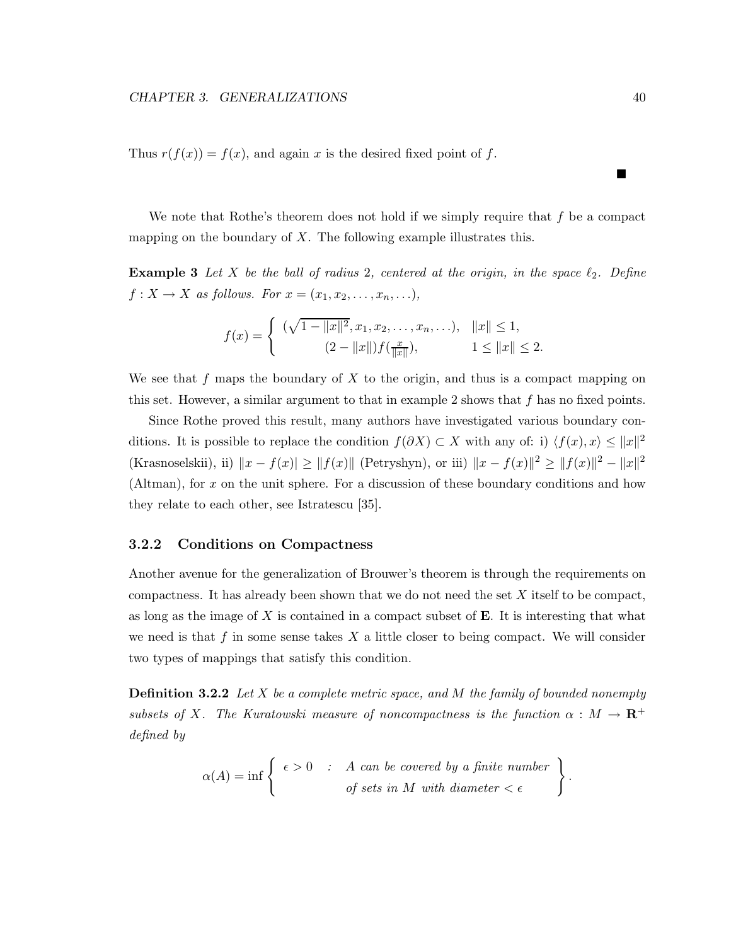Thus  $r(f(x)) = f(x)$ , and again x is the desired fixed point of f.

We note that Rothe's theorem does not hold if we simply require that  $f$  be a compact mapping on the boundary of  $X$ . The following example illustrates this.

**Example 3** Let  $X$  be the ball of radius 2, centered at the origin, in the space  $\ell_2$ . Define  $f: X \to X$  as follows. For  $x = (x_1, x_2, \ldots, x_n, \ldots)$ ,

$$
f(x) = \begin{cases} (\sqrt{1 - ||x||^2}, x_1, x_2, \dots, x_n, \dots), & ||x|| \le 1, \\ (2 - ||x||) f(\frac{x}{||x||}), & 1 \le ||x|| \le 2. \end{cases}
$$

We see that f maps the boundary of X to the origin, and thus is a compact mapping on this set. However, a similar argument to that in example 2 shows that  $f$  has no fixed points.

Since Rothe proved this result, many authors have investigated various boundary conditions. It is possible to replace the condition  $f(\partial X) \subset X$  with any of: i)  $\langle f(x), x \rangle \leq ||x||^2$ (Krasnoselskii), ii)  $||x - f(x)| \ge ||f(x)||$  (Petryshyn), or iii)  $||x - f(x)||^2 \ge ||f(x)||^2 - ||x||^2$ (Altman), for x on the unit sphere. For a discussion of these boundary conditions and how they relate to each other, see Istratescu [35].

### **3.2.2 Conditions on Compactness**

Another avenue for the generalization of Brouwer's theorem is through the requirements on compactness. It has already been shown that we do not need the set  $X$  itself to be compact, as long as the image of X is contained in a compact subset of **E**. It is interesting that what we need is that f in some sense takes  $X$  a little closer to being compact. We will consider two types of mappings that satisfy this condition.

**Definition 3.2.2** *Let* X *be a complete metric space, and* M *the family of bounded nonempty subsets of* X*.* The Kuratowski measure of noncompactness is the function  $\alpha : M \to \mathbb{R}^+$ *defined by*

$$
\alpha(A) = \inf \left\{ \begin{array}{r} \epsilon > 0 & \text{ : } A \text{ can be covered by a finite number} \\ \text{ of sets in } M \text{ with diameter } < \epsilon \end{array} \right\}
$$

Е

.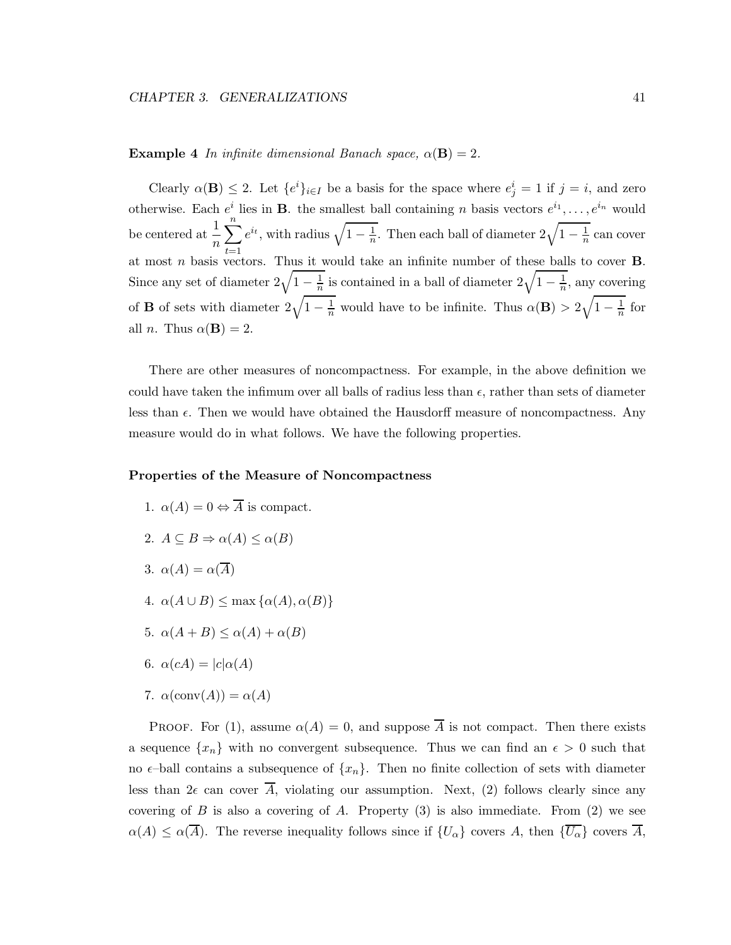### **Example 4** *In infinite dimensional Banach space,*  $\alpha(\mathbf{B})=2$ .

Clearly  $\alpha(\mathbf{B}) \leq 2$ . Let  $\{e^i\}_{i\in I}$  be a basis for the space where  $e^i_j = 1$  if  $j = i$ , and zero otherwise. Each  $e^i$  lies in **B**. the smallest ball containing n basis vectors  $e^{i_1}, \ldots, e^{i_n}$  would be centered at  $\frac{1}{n}$  $\sum_{n=1}^{\infty}$  $t=1$  $e^{i_t}$ , with radius  $\sqrt{1-\frac{1}{n}}$ . Then each ball of diameter  $2\sqrt{1-\frac{1}{n}}$  can cover at most n basis vectors. Thus it would take an infinite number of these balls to cover **B**. Since any set of diameter  $2\sqrt{1-\frac{1}{n}}$  is contained in a ball of diameter  $2\sqrt{1-\frac{1}{n}}$ , any covering of **B** of sets with diameter  $2\sqrt{1-\frac{1}{n}}$  would have to be infinite. Thus  $\alpha(\mathbf{B}) > 2\sqrt{1-\frac{1}{n}}$  for all *n*. Thus  $\alpha(\mathbf{B}) = 2$ .

There are other measures of noncompactness. For example, in the above definition we could have taken the infimum over all balls of radius less than  $\epsilon$ , rather than sets of diameter less than  $\epsilon$ . Then we would have obtained the Hausdorff measure of noncompactness. Any measure would do in what follows. We have the following properties.

### **Properties of the Measure of Noncompactness**

1.  $\alpha(A)=0 \Leftrightarrow \overline{A}$  is compact. 2.  $A \subseteq B \Rightarrow \alpha(A) \leq \alpha(B)$ 3.  $\alpha(A) = \alpha(\overline{A})$ 4.  $\alpha(A \cup B) \le \max{\alpha(A), \alpha(B)}$ 5.  $\alpha(A+B) \leq \alpha(A) + \alpha(B)$ 6.  $\alpha(cA) = |c| \alpha(A)$ 7.  $\alpha(\text{conv}(A)) = \alpha(A)$ 

PROOF. For (1), assume  $\alpha(A) = 0$ , and suppose  $\overline{A}$  is not compact. Then there exists a sequence  $\{x_n\}$  with no convergent subsequence. Thus we can find an  $\epsilon > 0$  such that no  $\epsilon$ -ball contains a subsequence of  $\{x_n\}$ . Then no finite collection of sets with diameter less than  $2\epsilon$  can cover  $\overline{A}$ , violating our assumption. Next, (2) follows clearly since any covering of  $B$  is also a covering of  $A$ . Property  $(3)$  is also immediate. From  $(2)$  we see  $\alpha(A) \leq \alpha(\overline{A})$ . The reverse inequality follows since if  $\{U_{\alpha}\}\)$  covers A, then  $\{\overline{U_{\alpha}}\}$  covers  $\overline{A}$ ,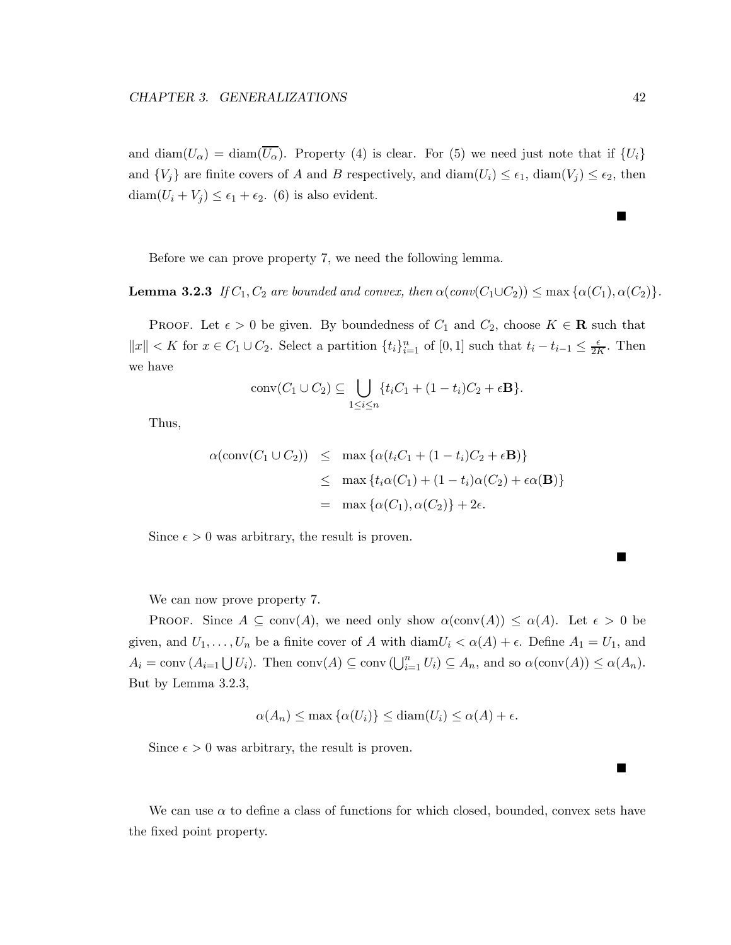and diam $(U_{\alpha}) = \text{diam}(\overline{U_{\alpha}})$ . Property (4) is clear. For (5) we need just note that if  $\{U_i\}$ and  $\{V_j\}$  are finite covers of A and B respectively, and  $\text{diam}(U_i) \leq \epsilon_1$ ,  $\text{diam}(V_j) \leq \epsilon_2$ , then  $\text{diam}(U_i + V_j) \leq \epsilon_1 + \epsilon_2$ . (6) is also evident.

Before we can prove property 7, we need the following lemma.

**Lemma 3.2.3** *If*  $C_1$ ,  $C_2$  *are bounded and convex, then*  $\alpha$ ( $conv(C_1 \cup C_2)$ )  $\leq$  max  $\{\alpha(C_1), \alpha(C_2)\}$ .

PROOF. Let  $\epsilon > 0$  be given. By boundedness of  $C_1$  and  $C_2$ , choose  $K \in \mathbf{R}$  such that  $||x|| < K$  for  $x \in C_1 \cup C_2$ . Select a partition  $\{t_i\}_{i=1}^n$  of  $[0,1]$  such that  $t_i - t_{i-1} \leq \frac{\epsilon}{2K}$ . Then we have

$$
conv(C_1 \cup C_2) \subseteq \bigcup_{1 \leq i \leq n} \{t_i C_1 + (1 - t_i)C_2 + \epsilon \mathbf{B}\}.
$$

Thus,

$$
\alpha(\text{conv}(C_1 \cup C_2)) \leq \max \{ \alpha(t_i C_1 + (1 - t_i)C_2 + \epsilon \mathbf{B}) \}
$$
  
 
$$
\leq \max \{ t_i \alpha(C_1) + (1 - t_i) \alpha(C_2) + \epsilon \alpha(\mathbf{B}) \}
$$
  
 
$$
= \max \{ \alpha(C_1), \alpha(C_2) \} + 2\epsilon.
$$

Since  $\epsilon > 0$  was arbitrary, the result is proven.

We can now prove property 7.

**PROOF.** Since  $A \subseteq \text{conv}(A)$ , we need only show  $\alpha(\text{conv}(A)) \leq \alpha(A)$ . Let  $\epsilon > 0$  be given, and  $U_1,\ldots,U_n$  be a finite cover of A with diam $U_i < \alpha(A) + \epsilon$ . Define  $A_1 = U_1$ , and  $A_i = \text{conv} (A_{i=1} \bigcup U_i)$ . Then  $\text{conv}(A) \subseteq \text{conv}(\bigcup_{i=1}^n U_i) \subseteq A_n$ , and so  $\alpha(\text{conv}(A)) \leq \alpha(A_n)$ . But by Lemma 3.2.3,

$$
\alpha(A_n) \le \max \{ \alpha(U_i) \} \le \text{diam}(U_i) \le \alpha(A) + \epsilon.
$$

Since  $\epsilon > 0$  was arbitrary, the result is proven.

We can use  $\alpha$  to define a class of functions for which closed, bounded, convex sets have the fixed point property.

Г

 $\blacksquare$ 

п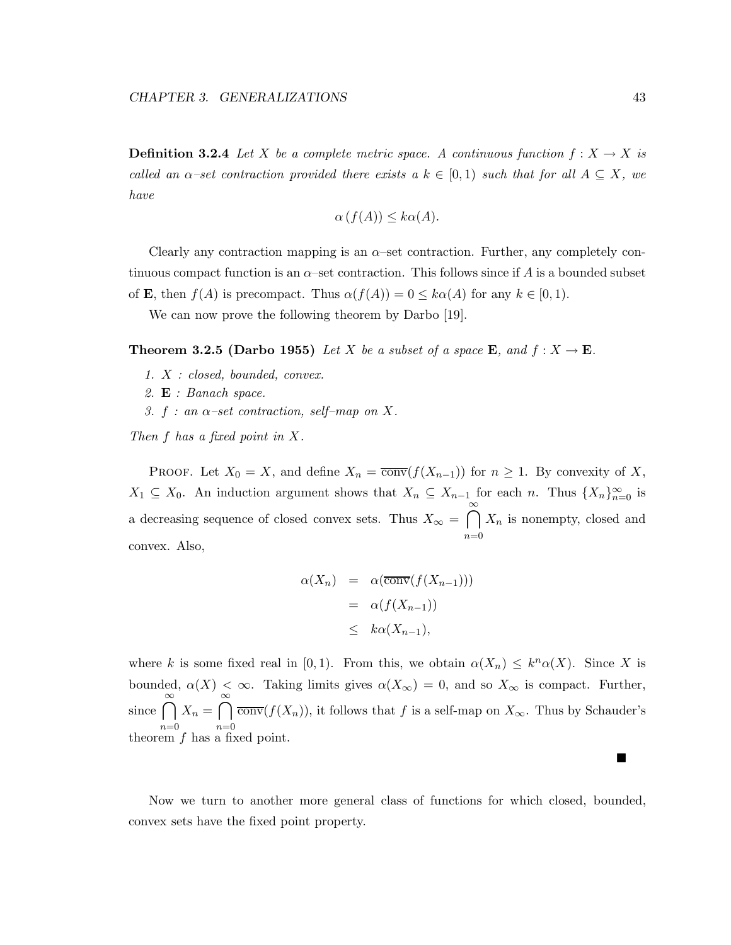**Definition 3.2.4** *Let* X *be a complete metric space.* A continuous function  $f: X \to X$  is *called an*  $\alpha$ -set contraction provided there exists a  $k \in [0,1)$  *such that for all*  $A \subseteq X$ *, we have*

$$
\alpha\left(f(A)\right) \leq k\alpha(A).
$$

Clearly any contraction mapping is an  $\alpha$ -set contraction. Further, any completely continuous compact function is an  $\alpha$ –set contraction. This follows since if A is a bounded subset of **E**, then  $f(A)$  is precompact. Thus  $\alpha(f(A)) = 0 \leq k\alpha(A)$  for any  $k \in [0,1)$ .

We can now prove the following theorem by Darbo [19].

**Theorem 3.2.5 (Darbo 1955)** *Let* X *be a subset of a space* **E***, and*  $f: X \to \mathbf{E}$ *.* 

- *1.* X *: closed, bounded, convex.*
- *2.* **E** *: Banach space.*
- *3.* f *: an* α*–set contraction, self–map on* X*.*

*Then* f *has a fixed point in* X*.*

PROOF. Let  $X_0 = X$ , and define  $X_n = \overline{\text{conv}}(f(X_{n-1}))$  for  $n \ge 1$ . By convexity of X,  $X_1 \subseteq X_0$ . An induction argument shows that  $X_n \subseteq X_{n-1}$  for each n. Thus  $\{X_n\}_{n=0}^{\infty}$  is a decreasing sequence of closed convex sets. Thus  $X_{\infty} = \bigcap_{n=1}^{\infty} X_n$  is nonempty, closed and  $n=0$ convex. Also,

$$
\alpha(X_n) = \alpha(\overline{\text{conv}}(f(X_{n-1})))
$$
  
=  $\alpha(f(X_{n-1}))$   
 $\leq k\alpha(X_{n-1}),$ 

where k is some fixed real in [0,1]. From this, we obtain  $\alpha(X_n) \leq k^n \alpha(X)$ . Since X is bounded,  $\alpha(X) \leq \infty$ . Taking limits gives  $\alpha(X_{\infty}) = 0$ , and so  $X_{\infty}$  is compact. Further, since  $\bigcap_{n=0}^{\infty} X_n = \bigcap_{n=0}^{\infty} \overline{\text{conv}}(f(X_n))$ , it follows that f is a self-map on  $X_{\infty}$ . Thus by Schauder's  $n=0$   $n=0$ <br>theorem f has a fixed point.

Now we turn to another more general class of functions for which closed, bounded, convex sets have the fixed point property.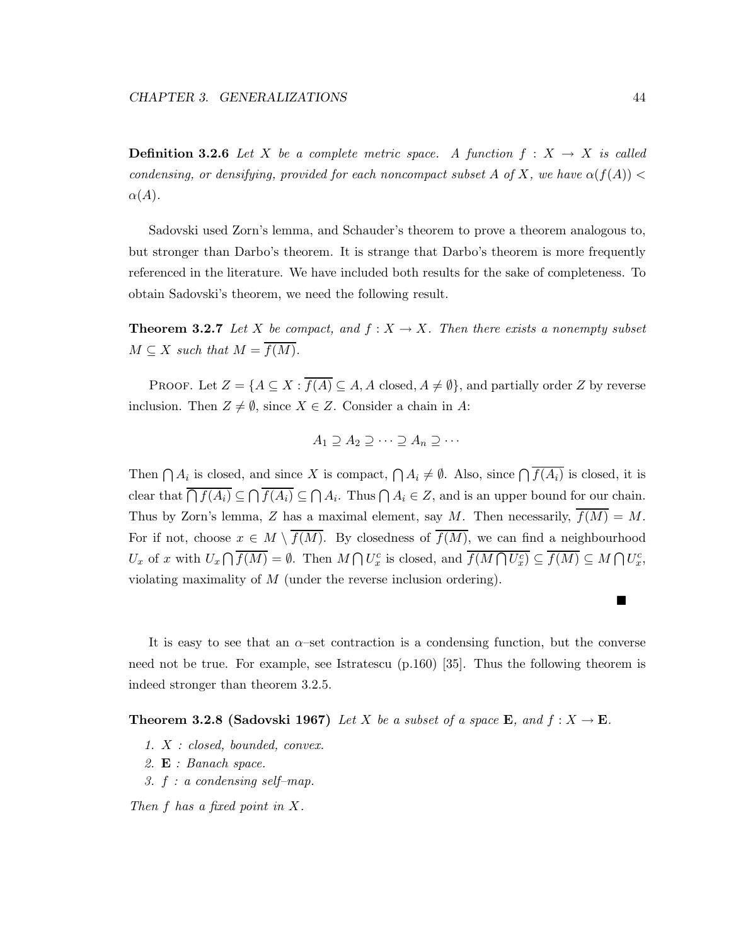**Definition 3.2.6** *Let* X *be a complete metric space.* A function  $f : X \to X$  *is called condensing, or densifying, provided for each noncompact subset A of X, we have*  $\alpha(f(A))$  <  $\alpha(A)$ .

Sadovski used Zorn's lemma, and Schauder's theorem to prove a theorem analogous to, but stronger than Darbo's theorem. It is strange that Darbo's theorem is more frequently referenced in the literature. We have included both results for the sake of completeness. To obtain Sadovski's theorem, we need the following result.

**Theorem 3.2.7** *Let* X *be compact, and*  $f: X \to X$ *. Then there exists a nonempty subset*  $M \subseteq X$  *such that*  $M = \overline{f(M)}$ *.* 

PROOF. Let  $Z = \{A \subseteq X : \overline{f(A)} \subseteq A, A \text{ closed}, A \neq \emptyset\}$ , and partially order Z by reverse inclusion. Then  $Z \neq \emptyset$ , since  $X \in \mathbb{Z}$ . Consider a chain in A:

$$
A_1 \supseteq A_2 \supseteq \cdots \supseteq A_n \supseteq \cdots
$$

Then  $\bigcap A_i$  is closed, and since X is compact,  $\bigcap A_i \neq \emptyset$ . Also, since  $\bigcap \overline{f(A_i)}$  is closed, it is clear that  $\overline{\bigcap f(A_i)} \subseteq \bigcap \overline{f(A_i)} \subseteq \bigcap A_i$ . Thus  $\bigcap A_i \in Z$ , and is an upper bound for our chain. Thus by Zorn's lemma, Z has a maximal element, say M. Then necessarily,  $\overline{f(M)} = M$ . For if not, choose  $x \in M \setminus \overline{f(M)}$ . By closedness of  $\overline{f(M)}$ , we can find a neighbourhood  $U_x$  of x with  $U_x \cap \overline{f(M)} = \emptyset$ . Then  $M \cap U_x^c$  is closed, and  $\overline{f(M \cap U_x^c)} \subseteq \overline{f(M)} \subseteq M \cap U_x^c$ , violating maximality of M (under the reverse inclusion ordering).

It is easy to see that an  $\alpha$ -set contraction is a condensing function, but the converse need not be true. For example, see Istratescu (p.160) [35]. Thus the following theorem is indeed stronger than theorem 3.2.5.

**Theorem 3.2.8 (Sadovski 1967)** *Let* X *be a subset of a space* **E***, and*  $f: X \to \mathbf{E}$ *.* 

- *1.* X *: closed, bounded, convex.*
- *2.* **E** *: Banach space.*
- *3.* f *: a condensing self–map.*

*Then* f *has a fixed point in* X*.*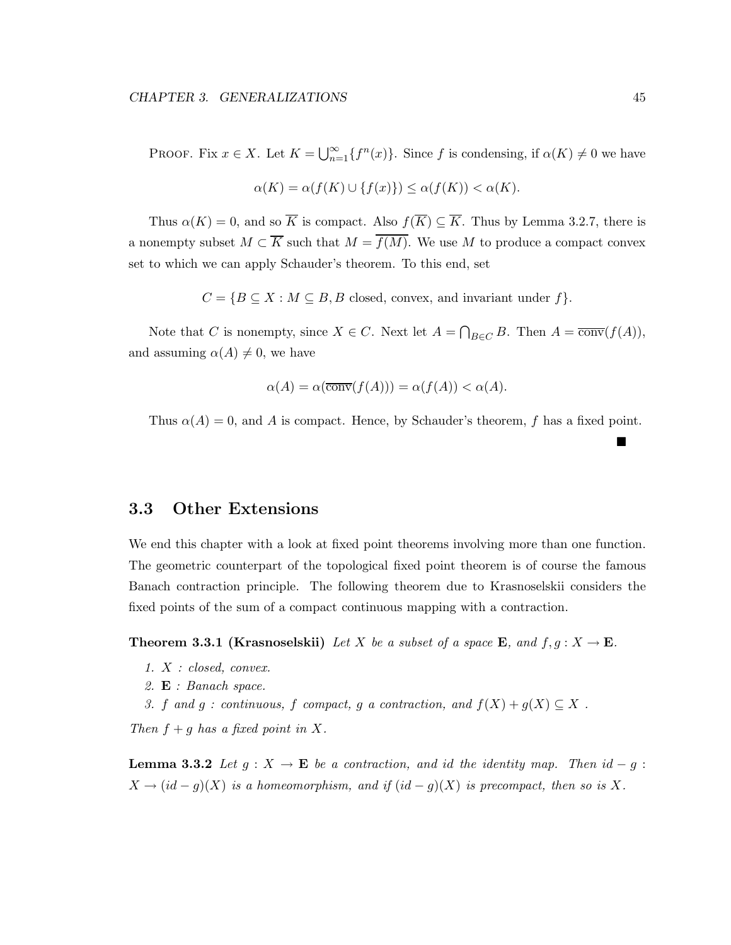PROOF. Fix  $x \in X$ . Let  $K = \bigcup_{n=1}^{\infty} {f^n(x)}$ . Since f is condensing, if  $\alpha(K) \neq 0$  we have

$$
\alpha(K)=\alpha(f(K)\cup\{f(x)\})\leq \alpha(f(K))<\alpha(K).
$$

Thus  $\alpha(K) = 0$ , and so  $\overline{K}$  is compact. Also  $f(\overline{K}) \subseteq \overline{K}$ . Thus by Lemma 3.2.7, there is a nonempty subset  $M \subset \overline{K}$  such that  $M = \overline{f(M)}$ . We use M to produce a compact convex set to which we can apply Schauder's theorem. To this end, set

 $C = \{B \subseteq X : M \subseteq B, B \text{ closed}, \text{ convex}, \text{ and invariant under } f\}.$ 

Note that C is nonempty, since  $X \in C$ . Next let  $A = \bigcap_{B \in C} B$ . Then  $A = \overline{\text{conv}}(f(A))$ , and assuming  $\alpha(A) \neq 0$ , we have

$$
\alpha(A) = \alpha(\overline{\text{conv}}(f(A))) = \alpha(f(A)) < \alpha(A).
$$

Thus  $\alpha(A) = 0$ , and A is compact. Hence, by Schauder's theorem, f has a fixed point.

### **3.3 Other Extensions**

We end this chapter with a look at fixed point theorems involving more than one function. The geometric counterpart of the topological fixed point theorem is of course the famous Banach contraction principle. The following theorem due to Krasnoselskii considers the fixed points of the sum of a compact continuous mapping with a contraction.

**Theorem 3.3.1 (Krasnoselskii)** *Let* X *be a subset of a space* **E***, and*  $f, g: X \to \mathbf{E}$ *.* 

- *1.* X *: closed, convex.*
- *2.* **E** *: Banach space.*
- *3.* f and g : continuous, f compact, g a contraction, and  $f(X) + g(X) \subseteq X$ .

*Then*  $f + g$  *has a fixed point in*  $X$ *.* 

**Lemma 3.3.2** *Let*  $g: X \to \mathbf{E}$  *be a contraction, and id the identity map. Then*  $id - g$ :  $X \to (id - g)(X)$  *is a homeomorphism, and if*  $(id - g)(X)$  *is precompact, then so is* X.

Г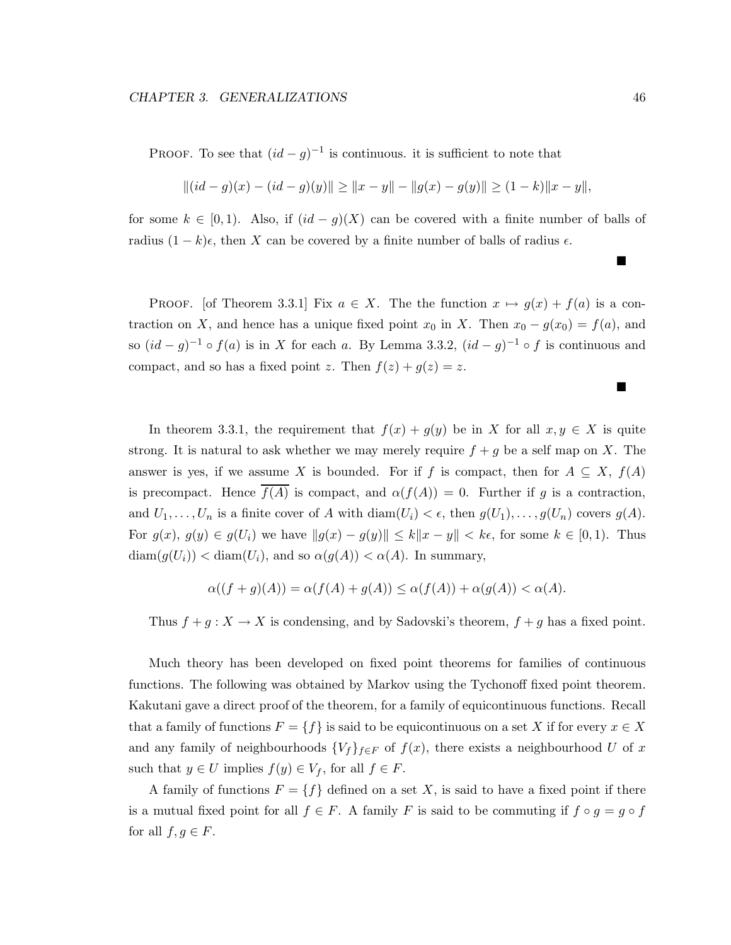PROOF. To see that  $(id - g)^{-1}$  is continuous. it is sufficient to note that

$$
||(id - g)(x) - (id - g)(y)|| \ge ||x - y|| - ||g(x) - g(y)|| \ge (1 - k)||x - y||,
$$

for some  $k \in [0,1)$ . Also, if  $(id - g)(X)$  can be covered with a finite number of balls of radius  $(1 - k)\epsilon$ , then X can be covered by a finite number of balls of radius  $\epsilon$ .

PROOF. [of Theorem 3.3.1] Fix  $a \in X$ . The the function  $x \mapsto g(x) + f(a)$  is a contraction on X, and hence has a unique fixed point  $x_0$  in X. Then  $x_0 - g(x_0) = f(a)$ , and so  $(id - g)^{-1} \circ f(a)$  is in X for each a. By Lemma 3.3.2,  $(id - g)^{-1} \circ f$  is continuous and compact, and so has a fixed point z. Then  $f(z) + g(z) = z$ .

In theorem 3.3.1, the requirement that  $f(x) + g(y)$  be in X for all  $x, y \in X$  is quite strong. It is natural to ask whether we may merely require  $f + g$  be a self map on X. The answer is yes, if we assume X is bounded. For if f is compact, then for  $A \subseteq X$ ,  $f(A)$ is precompact. Hence  $\overline{f(A)}$  is compact, and  $\alpha(f(A)) = 0$ . Further if g is a contraction, and  $U_1, \ldots, U_n$  is a finite cover of A with  $\text{diam}(U_i) < \epsilon$ , then  $g(U_1), \ldots, g(U_n)$  covers  $g(A)$ . For  $g(x)$ ,  $g(y) \in g(U_i)$  we have  $||g(x) - g(y)|| \le k||x - y|| < k\epsilon$ , for some  $k \in [0, 1)$ . Thus  $\text{diam}(g(U_i)) < \text{diam}(U_i)$ , and so  $\alpha(g(A)) < \alpha(A)$ . In summary,

$$
\alpha((f+g)(A)) = \alpha(f(A) + g(A)) \le \alpha(f(A)) + \alpha(g(A)) < \alpha(A).
$$

Thus  $f + g : X \to X$  is condensing, and by Sadovski's theorem,  $f + g$  has a fixed point.

Much theory has been developed on fixed point theorems for families of continuous functions. The following was obtained by Markov using the Tychonoff fixed point theorem. Kakutani gave a direct proof of the theorem, for a family of equicontinuous functions. Recall that a family of functions  $F = \{f\}$  is said to be equicontinuous on a set X if for every  $x \in X$ and any family of neighbourhoods  ${V_f}_{f\in F}$  of  $f(x)$ , there exists a neighbourhood U of x such that  $y \in U$  implies  $f(y) \in V_f$ , for all  $f \in F$ .

A family of functions  $F = \{f\}$  defined on a set X, is said to have a fixed point if there is a mutual fixed point for all  $f \in F$ . A family F is said to be commuting if  $f \circ g = g \circ f$ for all  $f,g \in F$ .

Г

 $\blacksquare$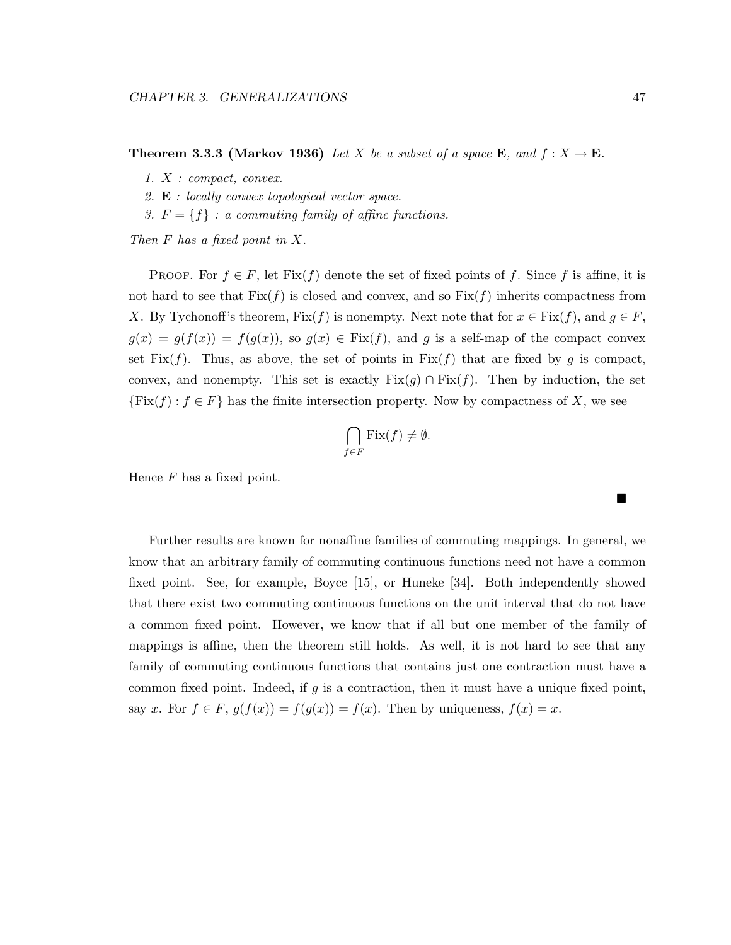■

**Theorem 3.3.3 (Markov 1936)** *Let* X *be a subset of a space* **E***, and*  $f: X \to \mathbf{E}$ *.* 

- *1.* X *: compact, convex.*
- *2.* **E** *: locally convex topological vector space.*
- *3.*  $F = \{f\}$  *: a commuting family of affine functions.*

*Then* F *has a fixed point in* X*.*

PROOF. For  $f \in F$ , let  $Fix(f)$  denote the set of fixed points of f. Since f is affine, it is not hard to see that  $Fix(f)$  is closed and convex, and so  $Fix(f)$  inherits compactness from X. By Tychonoff's theorem,  $Fix(f)$  is nonempty. Next note that for  $x \in Fix(f)$ , and  $g \in F$ ,  $g(x) = g(f(x)) = f(g(x))$ , so  $g(x) \in Fix(f)$ , and g is a self-map of the compact convex set Fix $(f)$ . Thus, as above, the set of points in Fix $(f)$  that are fixed by g is compact, convex, and nonempty. This set is exactly  $Fix(g) \cap Fix(f)$ . Then by induction, the set  ${\text{Fix}(f): f \in F}$  has the finite intersection property. Now by compactness of X, we see

$$
\bigcap_{f \in F} \text{Fix}(f) \neq \emptyset.
$$

Hence  $F$  has a fixed point.

Further results are known for nonaffine families of commuting mappings. In general, we know that an arbitrary family of commuting continuous functions need not have a common fixed point. See, for example, Boyce [15], or Huneke [34]. Both independently showed that there exist two commuting continuous functions on the unit interval that do not have a common fixed point. However, we know that if all but one member of the family of mappings is affine, then the theorem still holds. As well, it is not hard to see that any family of commuting continuous functions that contains just one contraction must have a common fixed point. Indeed, if  $g$  is a contraction, then it must have a unique fixed point, say x. For  $f \in F$ ,  $g(f(x)) = f(g(x)) = f(x)$ . Then by uniqueness,  $f(x) = x$ .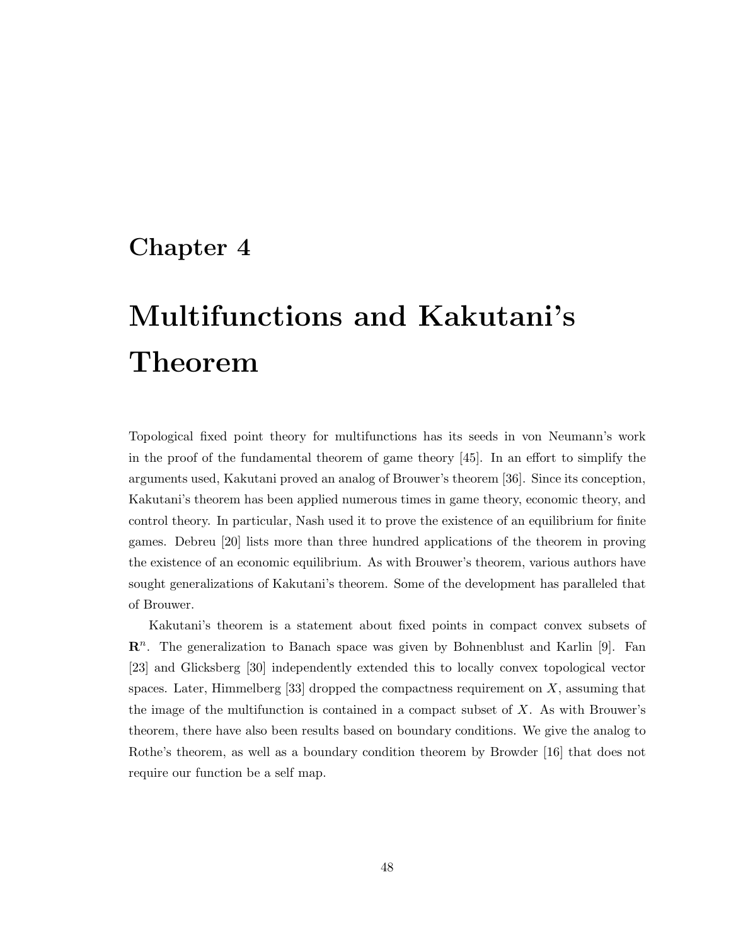# **Chapter 4**

# **Multifunctions and Kakutani's Theorem**

Topological fixed point theory for multifunctions has its seeds in von Neumann's work in the proof of the fundamental theorem of game theory [45]. In an effort to simplify the arguments used, Kakutani proved an analog of Brouwer's theorem [36]. Since its conception, Kakutani's theorem has been applied numerous times in game theory, economic theory, and control theory. In particular, Nash used it to prove the existence of an equilibrium for finite games. Debreu [20] lists more than three hundred applications of the theorem in proving the existence of an economic equilibrium. As with Brouwer's theorem, various authors have sought generalizations of Kakutani's theorem. Some of the development has paralleled that of Brouwer.

Kakutani's theorem is a statement about fixed points in compact convex subsets of **R**<sup>n</sup>. The generalization to Banach space was given by Bohnenblust and Karlin [9]. Fan [23] and Glicksberg [30] independently extended this to locally convex topological vector spaces. Later, Himmelberg [33] dropped the compactness requirement on  $X$ , assuming that the image of the multifunction is contained in a compact subset of X. As with Brouwer's theorem, there have also been results based on boundary conditions. We give the analog to Rothe's theorem, as well as a boundary condition theorem by Browder [16] that does not require our function be a self map.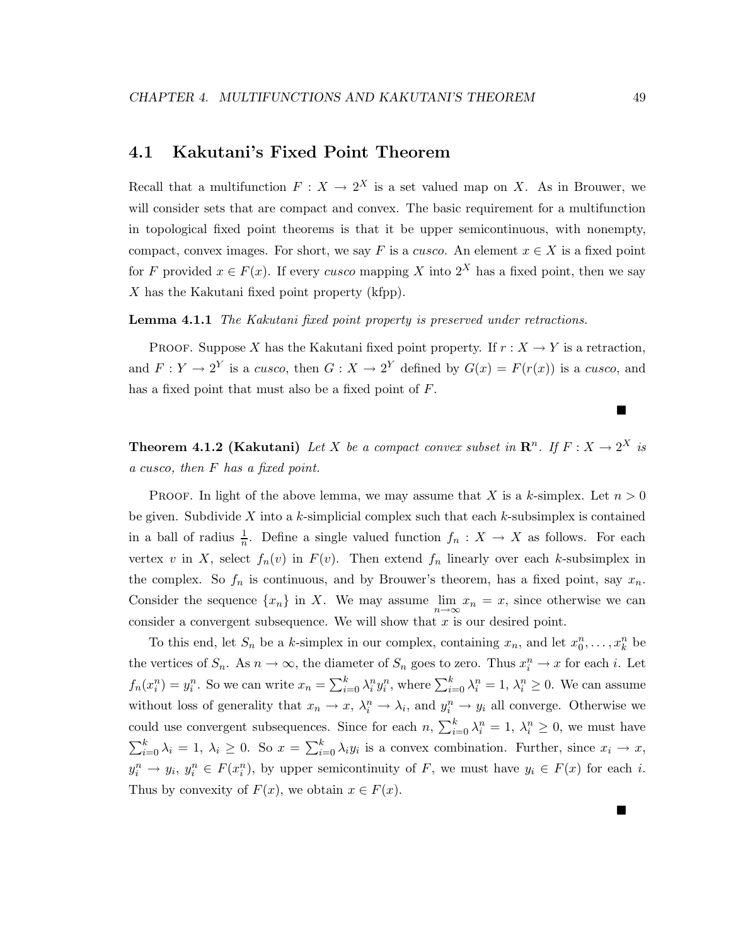### **4.1 Kakutani's Fixed Point Theorem**

Recall that a multifunction  $F: X \to 2^X$  is a set valued map on X. As in Brouwer, we will consider sets that are compact and convex. The basic requirement for a multifunction in topological fixed point theorems is that it be upper semicontinuous, with nonempty, compact, convex images. For short, we say F is a cusco. An element  $x \in X$  is a fixed point for F provided  $x \in F(x)$ . If every cusco mapping X into  $2^X$  has a fixed point, then we say  $X$  has the Kakutani fixed point property (kfpp).

**Lemma 4.1.1** *The Kakutani fixed point property is preserved under retractions.*

PROOF. Suppose X has the Kakutani fixed point property. If  $r : X \to Y$  is a retraction, and  $F: Y \to 2^Y$  is a cusco, then  $G: X \to 2^Y$  defined by  $G(x) = F(r(x))$  is a cusco, and has a fixed point that must also be a fixed point of F.

# **Theorem 4.1.2 (Kakutani)** Let X be a compact convex subset in  $\mathbb{R}^n$ . If  $F: X \to 2^X$  is *a* cusco*, then* F *has a fixed point.*

PROOF. In light of the above lemma, we may assume that X is a k-simplex. Let  $n > 0$ be given. Subdivide X into a k-simplicial complex such that each  $k$ -subsimplex is contained in a ball of radius  $\frac{1}{n}$ . Define a single valued function  $f_n : X \to X$  as follows. For each vertex v in X, select  $f_n(v)$  in  $F(v)$ . Then extend  $f_n$  linearly over each k-subsimplex in the complex. So  $f_n$  is continuous, and by Brouwer's theorem, has a fixed point, say  $x_n$ . Consider the sequence  $\{x_n\}$  in X. We may assume  $\lim_{n\to\infty}x_n=x$ , since otherwise we can consider a convergent subsequence. We will show that  $x$  is our desired point.

To this end, let  $S_n$  be a k-simplex in our complex, containing  $x_n$ , and let  $x_0^n, \ldots, x_k^n$  be the vertices of  $S_n$ . As  $n \to \infty$ , the diameter of  $S_n$  goes to zero. Thus  $x_i^n \to x$  for each i. Let  $f_n(x_i^n) = y_i^n$ . So we can write  $x_n = \sum_{i=0}^k \lambda_i^n y_i^n$ , where  $\sum_{i=0}^k \lambda_i^n = 1$ ,  $\lambda_i^n \ge 0$ . We can assume without loss of generality that  $x_n \to x$ ,  $\lambda_i^n \to \lambda_i$ , and  $y_i^n \to y_i$  all converge. Otherwise we could use convergent subsequences. Since for each  $n, \sum_{i=0}^{k} \lambda_i^n = 1, \lambda_i^n \geq 0$ , we must have  $\sum_{i=0}^{k} \lambda_i = 1, \lambda_i \geq 0$ . So  $x = \sum_{i=0}^{k} \lambda_i y_i$  is a convex combination. Further, since  $x_i \to x$ ,  $y_i^n \to y_i, y_i^n \in F(x_i^n)$ , by upper semicontinuity of F, we must have  $y_i \in F(x)$  for each i. Thus by convexity of  $F(x)$ , we obtain  $x \in F(x)$ .

■

Г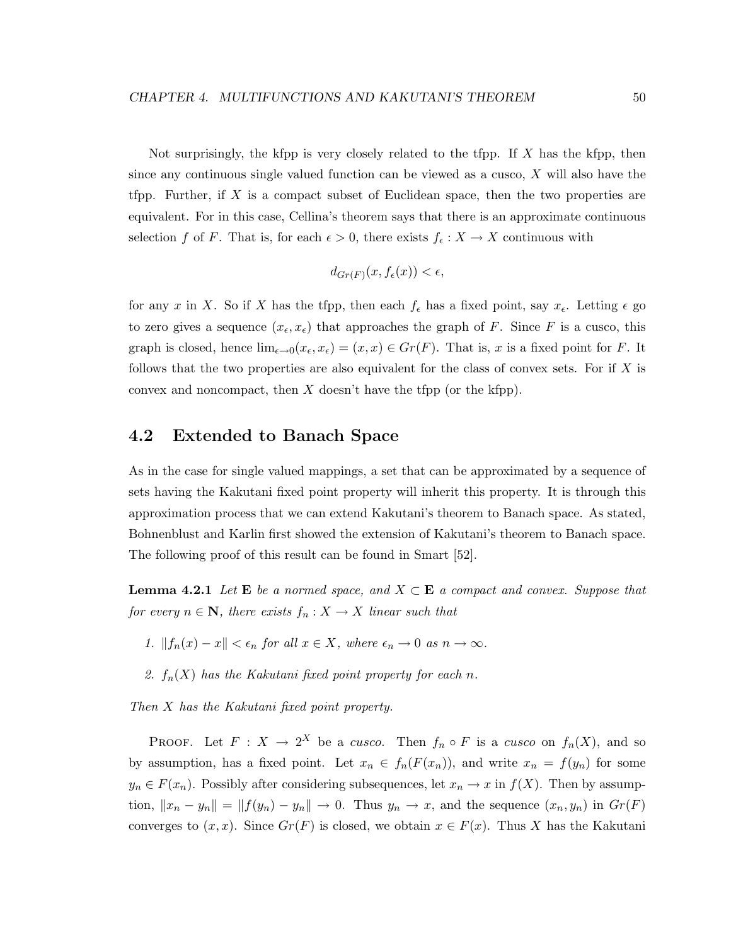Not surprisingly, the kfpp is very closely related to the tfpp. If X has the kfpp, then since any continuous single valued function can be viewed as a cusco, X will also have the tfpp. Further, if X is a compact subset of Euclidean space, then the two properties are equivalent. For in this case, Cellina's theorem says that there is an approximate continuous selection f of F. That is, for each  $\epsilon > 0$ , there exists  $f_{\epsilon}: X \to X$  continuous with

$$
d_{Gr(F)}(x, f_{\epsilon}(x)) < \epsilon,
$$

for any x in X. So if X has the tfpp, then each  $f_{\epsilon}$  has a fixed point, say  $x_{\epsilon}$ . Letting  $\epsilon$  go to zero gives a sequence  $(x_{\epsilon}, x_{\epsilon})$  that approaches the graph of F. Since F is a cusco, this graph is closed, hence  $\lim_{\epsilon \to 0}(x_{\epsilon}, x_{\epsilon})=(x, x) \in Gr(F)$ . That is, x is a fixed point for F. It follows that the two properties are also equivalent for the class of convex sets. For if  $X$  is convex and noncompact, then X doesn't have the tfpp (or the kfpp).

### **4.2 Extended to Banach Space**

As in the case for single valued mappings, a set that can be approximated by a sequence of sets having the Kakutani fixed point property will inherit this property. It is through this approximation process that we can extend Kakutani's theorem to Banach space. As stated, Bohnenblust and Karlin first showed the extension of Kakutani's theorem to Banach space. The following proof of this result can be found in Smart [52].

**Lemma 4.2.1** *Let*  $\mathbf{E}$  *be a normed space, and*  $X \subset \mathbf{E}$  *a compact and convex. Suppose that for every*  $n \in \mathbb{N}$ *, there exists*  $f_n: X \to X$  *linear such that* 

- *1.*  $||f_n(x) x|| < \epsilon_n$  *for all*  $x \in X$ *, where*  $\epsilon_n \to 0$  *as*  $n \to \infty$ *.*
- 2.  $f_n(X)$  has the Kakutani fixed point property for each n.

*Then* X *has the Kakutani fixed point property.*

PROOF. Let  $F: X \to 2^X$  be a cusco. Then  $f_n \circ F$  is a cusco on  $f_n(X)$ , and so by assumption, has a fixed point. Let  $x_n \in f_n(F(x_n))$ , and write  $x_n = f(y_n)$  for some  $y_n \in F(x_n)$ . Possibly after considering subsequences, let  $x_n \to x$  in  $f(X)$ . Then by assumption,  $||x_n - y_n|| = ||f(y_n) - y_n|| \to 0$ . Thus  $y_n \to x$ , and the sequence  $(x_n, y_n)$  in  $Gr(F)$ converges to  $(x, x)$ . Since  $Gr(F)$  is closed, we obtain  $x \in F(x)$ . Thus X has the Kakutani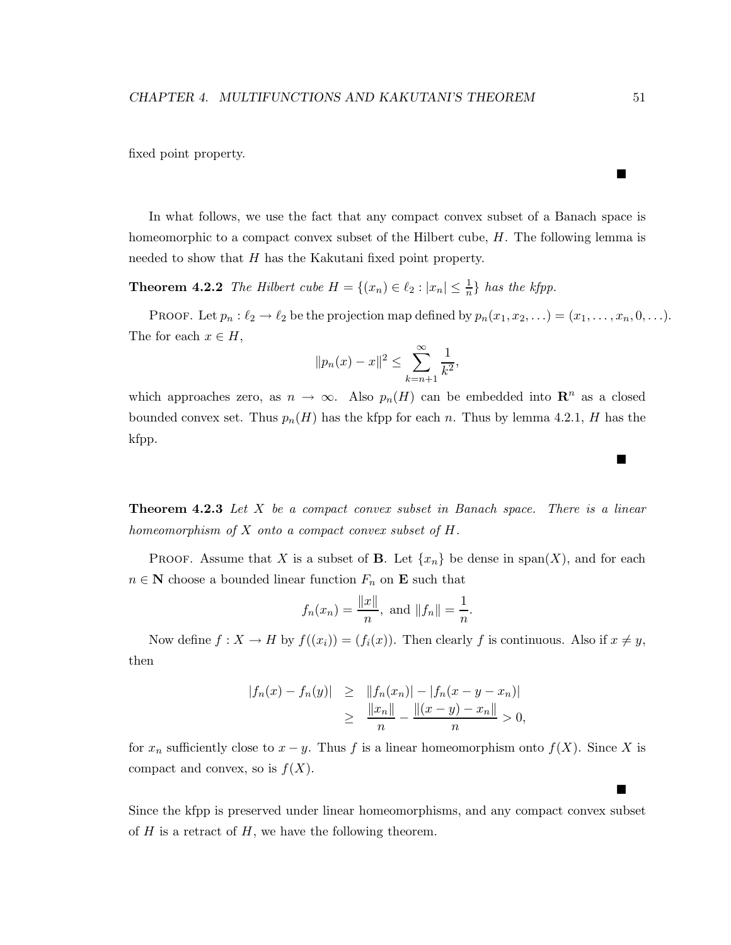fixed point property.

In what follows, we use the fact that any compact convex subset of a Banach space is homeomorphic to a compact convex subset of the Hilbert cube, H. The following lemma is needed to show that H has the Kakutani fixed point property.

**Theorem 4.2.2** *The Hilbert cube*  $H = \{(x_n) \in \ell_2 : |x_n| \leq \frac{1}{n}\}$  *has the kfpp.* 

PROOF. Let  $p_n : \ell_2 \to \ell_2$  be the projection map defined by  $p_n(x_1, x_2, \ldots) = (x_1, \ldots, x_n, 0, \ldots)$ . The for each  $x \in H$ ,

$$
||p_n(x) - x||^2 \le \sum_{k=n+1}^{\infty} \frac{1}{k^2},
$$

which approaches zero, as  $n \to \infty$ . Also  $p_n(H)$  can be embedded into  $\mathbb{R}^n$  as a closed bounded convex set. Thus  $p_n(H)$  has the kfpp for each n. Thus by lemma 4.2.1, H has the kfpp.

**Theorem 4.2.3** *Let* X *be a compact convex subset in Banach space. There is a linear homeomorphism of* X *onto a compact convex subset of* H*.*

**PROOF.** Assume that X is a subset of **B**. Let  $\{x_n\}$  be dense in span(X), and for each  $n \in \mathbb{N}$  choose a bounded linear function  $F_n$  on **E** such that

$$
f_n(x_n) = \frac{\|x\|}{n}
$$
, and  $\|f_n\| = \frac{1}{n}$ .

Now define  $f: X \to H$  by  $f((x_i)) = (f_i(x))$ . Then clearly f is continuous. Also if  $x \neq y$ , then

$$
|f_n(x) - f_n(y)| \ge ||f_n(x_n)| - |f_n(x - y - x_n)|
$$
  
\n
$$
\ge \frac{||x_n||}{n} - \frac{||(x - y) - x_n||}{n} > 0,
$$

for  $x_n$  sufficiently close to  $x - y$ . Thus f is a linear homeomorphism onto  $f(X)$ . Since X is compact and convex, so is  $f(X)$ .

Since the kfpp is preserved under linear homeomorphisms, and any compact convex subset of  $H$  is a retract of  $H$ , we have the following theorem.

 $\blacksquare$ 

■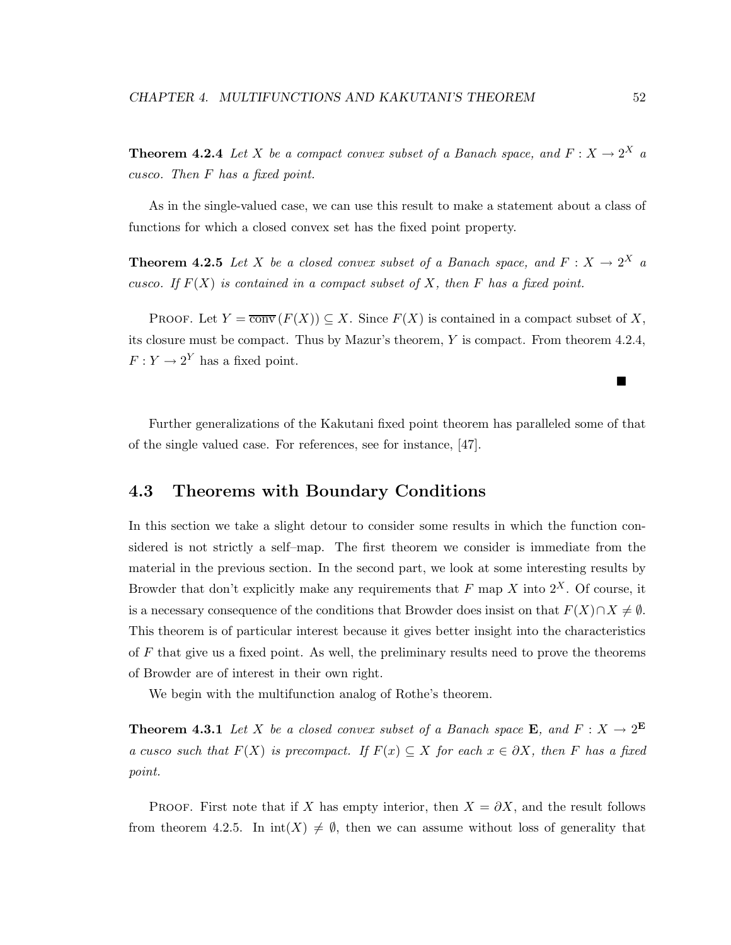**Theorem 4.2.4** *Let* X *be a compact convex subset of a Banach space, and*  $F: X \to 2^X$  *a* cusco*. Then* F *has a fixed point.*

As in the single-valued case, we can use this result to make a statement about a class of functions for which a closed convex set has the fixed point property.

**Theorem 4.2.5** *Let* X *be a closed convex subset of a Banach space, and*  $F: X \to 2^X$  *a* cusco. If  $F(X)$  is contained in a compact subset of X, then F has a fixed point.

PROOF. Let  $Y = \overline{conv}(F(X)) \subseteq X$ . Since  $F(X)$  is contained in a compact subset of X, its closure must be compact. Thus by Mazur's theorem, Y is compact. From theorem 4.2.4,  $F: Y \to 2^Y$  has a fixed point.

Further generalizations of the Kakutani fixed point theorem has paralleled some of that of the single valued case. For references, see for instance, [47].

## **4.3 Theorems with Boundary Conditions**

In this section we take a slight detour to consider some results in which the function considered is not strictly a self–map. The first theorem we consider is immediate from the material in the previous section. In the second part, we look at some interesting results by Browder that don't explicitly make any requirements that  $F$  map  $X$  into  $2^X$ . Of course, it is a necessary consequence of the conditions that Browder does insist on that  $F(X) \cap X \neq \emptyset$ . This theorem is of particular interest because it gives better insight into the characteristics of  $F$  that give us a fixed point. As well, the preliminary results need to prove the theorems of Browder are of interest in their own right.

We begin with the multifunction analog of Rothe's theorem.

**Theorem 4.3.1** *Let* X *be a closed convex subset of a Banach space* **E***, and*  $F: X \to 2^{\mathbf{E}}$ *a* cusco such that  $F(X)$  is precompact. If  $F(x) \subseteq X$  for each  $x \in \partial X$ , then F has a fixed *point.*

PROOF. First note that if X has empty interior, then  $X = \partial X$ , and the result follows from theorem 4.2.5. In  $\text{int}(X) \neq \emptyset$ , then we can assume without loss of generality that

 $\blacksquare$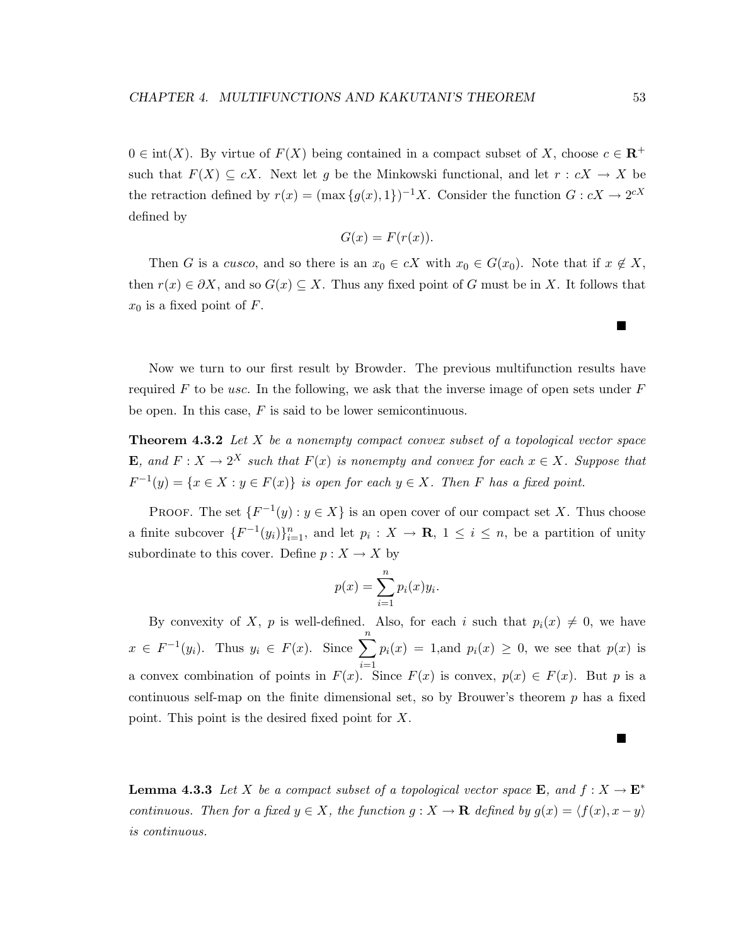$0 \in \text{int}(X)$ . By virtue of  $F(X)$  being contained in a compact subset of X, choose  $c \in \mathbb{R}^+$ such that  $F(X) \subseteq cX$ . Next let g be the Minkowski functional, and let  $r : cX \to X$  be the retraction defined by  $r(x) = (\max\{g(x), 1\})^{-1}X$ . Consider the function  $G : cX \to 2^{cX}$ defined by

$$
G(x) = F(r(x)).
$$

Then G is a cusco, and so there is an  $x_0 \in cX$  with  $x_0 \in G(x_0)$ . Note that if  $x \notin X$ , then  $r(x) \in \partial X$ , and so  $G(x) \subseteq X$ . Thus any fixed point of G must be in X. It follows that  $x_0$  is a fixed point of F.

Now we turn to our first result by Browder. The previous multifunction results have required F to be usc. In the following, we ask that the inverse image of open sets under  $F$ be open. In this case,  $F$  is said to be lower semicontinuous.

**Theorem 4.3.2** *Let* X *be a nonempty compact convex subset of a topological vector space* **E***, and*  $F: X \to 2^X$  *such that*  $F(x)$  *is nonempty and convex for each*  $x \in X$ *. Suppose that*  $F^{-1}(y) = \{x \in X : y \in F(x)\}$  *is open for each*  $y \in X$ *. Then* F *has a fixed point.* 

PROOF. The set  $\{F^{-1}(y): y \in X\}$  is an open cover of our compact set X. Thus choose a finite subcover  $\{F^{-1}(y_i)\}_{i=1}^n$ , and let  $p_i: X \to \mathbf{R}, 1 \le i \le n$ , be a partition of unity subordinate to this cover. Define  $p : X \to X$  by

$$
p(x) = \sum_{i=1}^{n} p_i(x) y_i.
$$

By convexity of X, p is well-defined. Also, for each i such that  $p_i(x) \neq 0$ , we have  $x \in F^{-1}(y_i)$ . Thus  $y_i \in F(x)$ . Since  $\sum_{i=1}^{n}$  $i=1$  $p_i(x) = 1$ , and  $p_i(x) \geq 0$ , we see that  $p(x)$  is a convex combination of points in  $F(x)$ . Since  $F(x)$  is convex,  $p(x) \in F(x)$ . But p is a continuous self-map on the finite dimensional set, so by Brouwer's theorem  $p$  has a fixed point. This point is the desired fixed point for X.

**Lemma 4.3.3** *Let* X *be a compact subset of a topological vector space* **E***, and*  $f: X \to \mathbf{E}^*$ *continuous. Then for a fixed*  $y \in X$ *, the function*  $g : X \to \mathbf{R}$  *defined by*  $g(x) = \langle f(x), x - y \rangle$ *is continuous.*

 $\blacksquare$ 

Р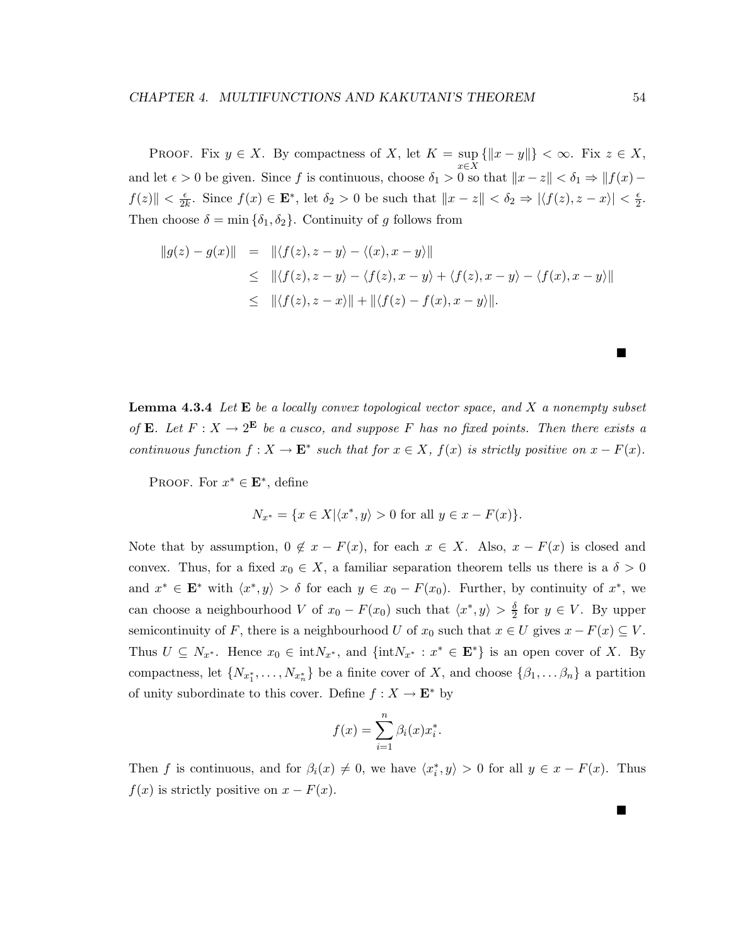PROOF. Fix  $y \in X$ . By compactness of X, let  $K = \sup$ x∈X  $\{\|x-y\|\}<\infty$ . Fix  $z\in X$ , and let  $\epsilon > 0$  be given. Since f is continuous, choose  $\delta_1 > 0$  so that  $||x - z|| < \delta_1 \Rightarrow ||f(x) f(z)$   $\leq \frac{\epsilon}{2k}$ . Since  $f(x) \in \mathbf{E}^*$ , let  $\delta_2 > 0$  be such that  $\|x - z\| < \delta_2 \Rightarrow |\langle f(z), z - x \rangle| < \frac{\epsilon}{2}$ . Then choose  $\delta = \min \{\delta_1, \delta_2\}$ . Continuity of g follows from

$$
||g(z) - g(x)|| = ||\langle f(z), z - y \rangle - \langle (x), x - y \rangle||
$$
  
\n
$$
\leq ||\langle f(z), z - y \rangle - \langle f(z), x - y \rangle + \langle f(z), x - y \rangle - \langle f(x), x - y \rangle||
$$
  
\n
$$
\leq ||\langle f(z), z - x \rangle|| + ||\langle f(z) - f(x), x - y \rangle||.
$$

**Lemma 4.3.4** *Let* **E** *be a locally convex topological vector space, and* X *a nonempty subset of* **E***. Let*  $F: X \to 2^E$  *be a cusco, and suppose* F *has no fixed points. Then there exists a continuous function*  $f: X \to \mathbf{E}^*$  *such that for*  $x \in X$ *,*  $f(x)$  *is strictly positive on*  $x - F(x)$ *.* 

PROOF. For  $x^* \in \mathbf{E}^*$ , define

$$
N_{x^*} = \{ x \in X | \langle x^*, y \rangle > 0 \text{ for all } y \in x - F(x) \}.
$$

Note that by assumption,  $0 \notin x - F(x)$ , for each  $x \in X$ . Also,  $x - F(x)$  is closed and convex. Thus, for a fixed  $x_0 \in X$ , a familiar separation theorem tells us there is a  $\delta > 0$ and  $x^* \in \mathbf{E}^*$  with  $\langle x^*, y \rangle > \delta$  for each  $y \in x_0 - F(x_0)$ . Further, by continuity of  $x^*$ , we can choose a neighbourhood V of  $x_0 - F(x_0)$  such that  $\langle x^*, y \rangle > \frac{\delta}{2}$  for  $y \in V$ . By upper semicontinuity of F, there is a neighbourhood U of  $x_0$  such that  $x \in U$  gives  $x - F(x) \subseteq V$ . Thus  $U \subseteq N_{x^*}$ . Hence  $x_0 \in \text{int}N_{x^*}$ , and  $\{\text{int}N_{x^*} : x^* \in \mathbf{E}^*\}$  is an open cover of X. By compactness, let  $\{N_{x_1^*}, \ldots, N_{x_n^*}\}$  be a finite cover of X, and choose  $\{\beta_1, \ldots, \beta_n\}$  a partition of unity subordinate to this cover. Define  $f : X \to \mathbf{E}^*$  by

$$
f(x) = \sum_{i=1}^{n} \beta_i(x) x_i^*.
$$

Then f is continuous, and for  $\beta_i(x) \neq 0$ , we have  $\langle x_i^*, y \rangle > 0$  for all  $y \in x - F(x)$ . Thus  $f(x)$  is strictly positive on  $x - F(x)$ .

■

Г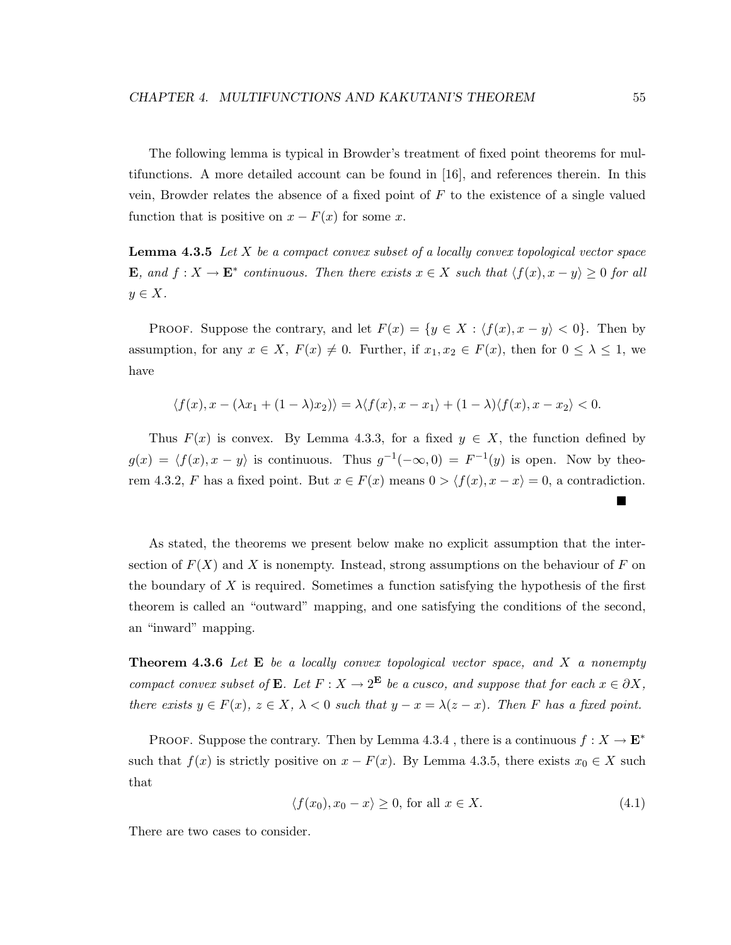The following lemma is typical in Browder's treatment of fixed point theorems for multifunctions. A more detailed account can be found in [16], and references therein. In this vein, Browder relates the absence of a fixed point of  $F$  to the existence of a single valued function that is positive on  $x - F(x)$  for some x.

**Lemma 4.3.5** *Let* X *be a compact convex subset of a locally convex topological vector space* **E***, and*  $f: X \to \mathbf{E}^*$  *continuous. Then there exists*  $x \in X$  *such that*  $\langle f(x), x - y \rangle \ge 0$  *for all*  $y \in X$ .

PROOF. Suppose the contrary, and let  $F(x) = \{y \in X : \langle f(x), x - y \rangle < 0\}$ . Then by assumption, for any  $x \in X$ ,  $F(x) \neq 0$ . Further, if  $x_1, x_2 \in F(x)$ , then for  $0 \leq \lambda \leq 1$ , we have

$$
\langle f(x), x - (\lambda x_1 + (1 - \lambda)x_2) \rangle = \lambda \langle f(x), x - x_1 \rangle + (1 - \lambda) \langle f(x), x - x_2 \rangle < 0.
$$

Thus  $F(x)$  is convex. By Lemma 4.3.3, for a fixed  $y \in X$ , the function defined by  $g(x) = \langle f(x), x - y \rangle$  is continuous. Thus  $g^{-1}(-\infty, 0) = F^{-1}(y)$  is open. Now by theorem 4.3.2, F has a fixed point. But  $x \in F(x)$  means  $0 > \langle f(x), x - x \rangle = 0$ , a contradiction.

As stated, the theorems we present below make no explicit assumption that the intersection of  $F(X)$  and X is nonempty. Instead, strong assumptions on the behaviour of F on the boundary of  $X$  is required. Sometimes a function satisfying the hypothesis of the first theorem is called an "outward" mapping, and one satisfying the conditions of the second, an "inward" mapping.

**Theorem 4.3.6** *Let* **E** *be a locally convex topological vector space, and* X *a nonempty compact convex subset of* **E***. Let*  $F: X \to 2^{\mathbf{E}}$  *be a cusco, and suppose that for each*  $x \in \partial X$ *, there exists*  $y \in F(x)$ ,  $z \in X$ ,  $\lambda < 0$  *such that*  $y - x = \lambda(z - x)$ *. Then* F *has a fixed point.* 

PROOF. Suppose the contrary. Then by Lemma 4.3.4, there is a continuous  $f: X \to \mathbf{E}^*$ such that  $f(x)$  is strictly positive on  $x - F(x)$ . By Lemma 4.3.5, there exists  $x_0 \in X$  such that

$$
\langle f(x_0), x_0 - x \rangle \ge 0, \text{ for all } x \in X. \tag{4.1}
$$

There are two cases to consider.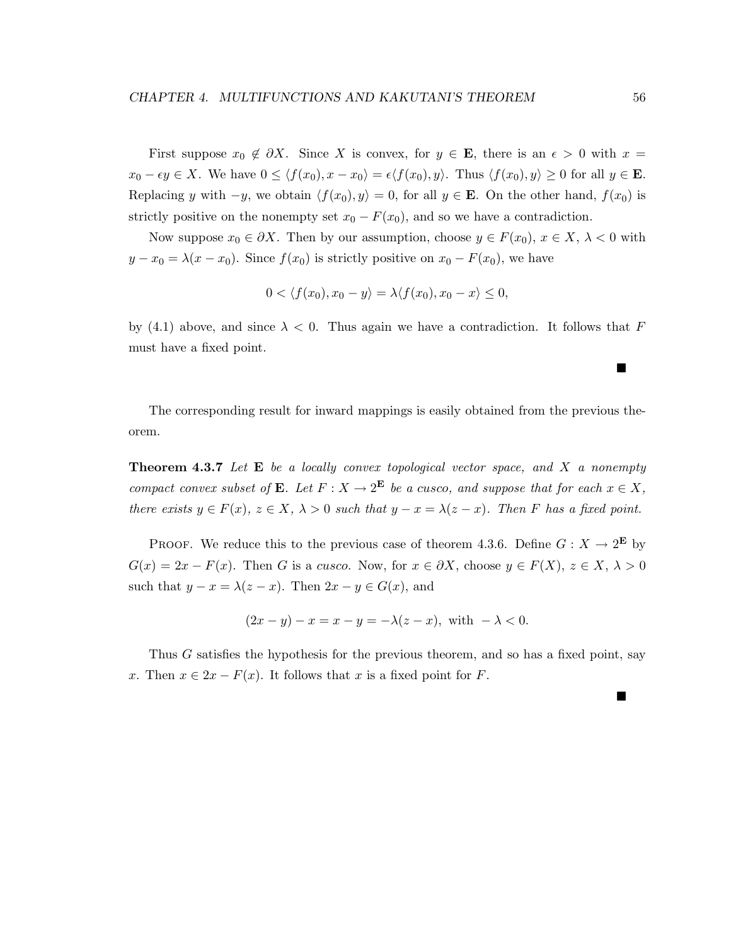First suppose  $x_0 \notin \partial X$ . Since X is convex, for  $y \in \mathbf{E}$ , there is an  $\epsilon > 0$  with  $x =$  $x_0 - \epsilon y \in X$ . We have  $0 \le \langle f(x_0), x - x_0 \rangle = \epsilon \langle f(x_0), y \rangle$ . Thus  $\langle f(x_0), y \rangle \ge 0$  for all  $y \in \mathbf{E}$ . Replacing y with  $-y$ , we obtain  $\langle f(x_0), y \rangle = 0$ , for all  $y \in \mathbf{E}$ . On the other hand,  $f(x_0)$  is strictly positive on the nonempty set  $x_0 - F(x_0)$ , and so we have a contradiction.

Now suppose  $x_0 \in \partial X$ . Then by our assumption, choose  $y \in F(x_0)$ ,  $x \in X$ ,  $\lambda < 0$  with  $y - x_0 = \lambda(x - x_0)$ . Since  $f(x_0)$  is strictly positive on  $x_0 - F(x_0)$ , we have

$$
0 < \langle f(x_0), x_0 - y \rangle = \lambda \langle f(x_0), x_0 - x \rangle \le 0,
$$

by (4.1) above, and since  $\lambda < 0$ . Thus again we have a contradiction. It follows that F must have a fixed point.

The corresponding result for inward mappings is easily obtained from the previous theorem.

**Theorem 4.3.7** *Let* **E** *be a locally convex topological vector space, and* X *a nonempty compact convex subset of* **E***. Let*  $F: X \to 2^{\mathbf{E}}$  *be a cusco, and suppose that for each*  $x \in X$ *, there exists*  $y \in F(x)$ ,  $z \in X$ ,  $\lambda > 0$  *such that*  $y - x = \lambda(z - x)$ *. Then* F *has a fixed point.* 

PROOF. We reduce this to the previous case of theorem 4.3.6. Define  $G: X \to 2^{\mathbf{E}}$  by  $G(x)=2x - F(x)$ . Then G is a cusco. Now, for  $x \in \partial X$ , choose  $y \in F(X)$ ,  $z \in X$ ,  $\lambda > 0$ such that  $y - x = \lambda(z - x)$ . Then  $2x - y \in G(x)$ , and

$$
(2x - y) - x = x - y = -\lambda(z - x), \text{ with } -\lambda < 0.
$$

Thus G satisfies the hypothesis for the previous theorem, and so has a fixed point, say x. Then  $x \in 2x - F(x)$ . It follows that x is a fixed point for F.

Е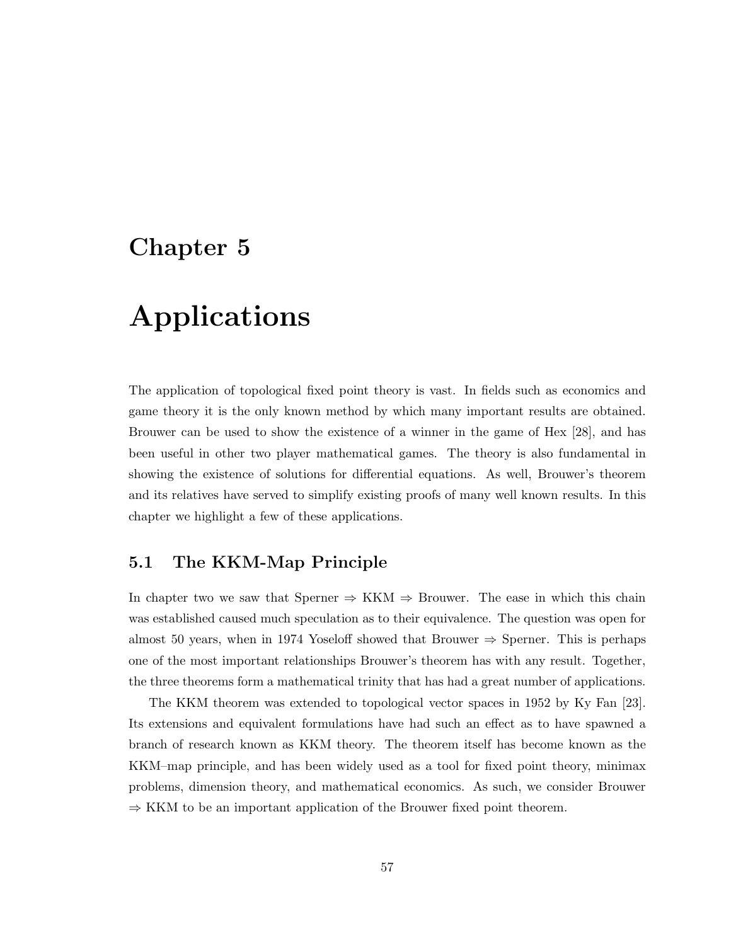# **Chapter 5**

# **Applications**

The application of topological fixed point theory is vast. In fields such as economics and game theory it is the only known method by which many important results are obtained. Brouwer can be used to show the existence of a winner in the game of Hex [28], and has been useful in other two player mathematical games. The theory is also fundamental in showing the existence of solutions for differential equations. As well, Brouwer's theorem and its relatives have served to simplify existing proofs of many well known results. In this chapter we highlight a few of these applications.

## **5.1 The KKM-Map Principle**

In chapter two we saw that Sperner  $\Rightarrow$  KKM  $\Rightarrow$  Brouwer. The ease in which this chain was established caused much speculation as to their equivalence. The question was open for almost 50 years, when in 1974 Yoseloff showed that Brouwer  $\Rightarrow$  Sperner. This is perhaps one of the most important relationships Brouwer's theorem has with any result. Together, the three theorems form a mathematical trinity that has had a great number of applications.

The KKM theorem was extended to topological vector spaces in 1952 by Ky Fan [23]. Its extensions and equivalent formulations have had such an effect as to have spawned a branch of research known as KKM theory. The theorem itself has become known as the KKM–map principle, and has been widely used as a tool for fixed point theory, minimax problems, dimension theory, and mathematical economics. As such, we consider Brouwer  $\Rightarrow$  KKM to be an important application of the Brouwer fixed point theorem.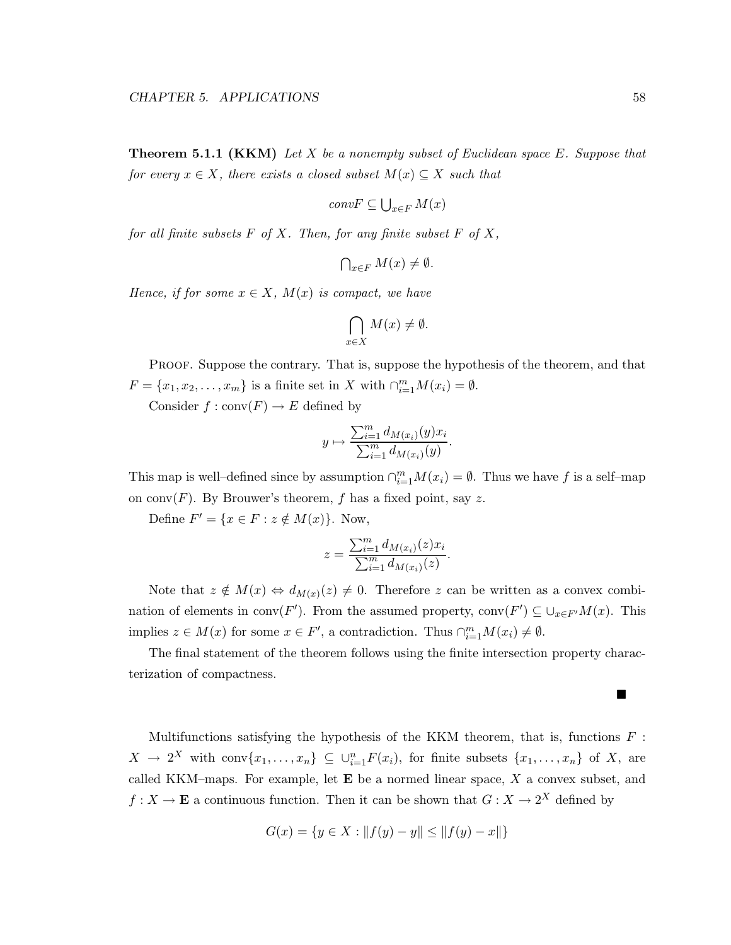**Theorem 5.1.1 (KKM)** *Let* X *be a nonempty subset of Euclidean space* E*. Suppose that for every*  $x \in X$ *, there exists a closed subset*  $M(x) \subseteq X$  *such that* 

$$
convF \subseteq \bigcup_{x \in F} M(x)
$$

*for all finite subsets* F *of* X*. Then, for any finite subset* F *of* X*,*

$$
\bigcap_{x \in F} M(x) \neq \emptyset.
$$

*Hence, if for some*  $x \in X$ *,*  $M(x)$  *is compact, we have* 

$$
\bigcap_{x \in X} M(x) \neq \emptyset.
$$

PROOF. Suppose the contrary. That is, suppose the hypothesis of the theorem, and that  $F = \{x_1, x_2, \dots, x_m\}$  is a finite set in X with  $\bigcap_{i=1}^m M(x_i) = \emptyset$ .

Consider  $f : conv(F) \to E$  defined by

$$
y \mapsto \frac{\sum_{i=1}^{m} d_{M(x_i)}(y)x_i}{\sum_{i=1}^{m} d_{M(x_i)}(y)}
$$
.

This map is well-defined since by assumption  $\bigcap_{i=1}^{m} M(x_i) = \emptyset$ . Thus we have f is a self-map on conv $(F)$ . By Brouwer's theorem, f has a fixed point, say z.

Define  $F' = \{x \in F : z \notin M(x)\}.$  Now,

$$
z = \frac{\sum_{i=1}^{m} d_{M(x_i)}(z) x_i}{\sum_{i=1}^{m} d_{M(x_i)}(z)}.
$$

Note that  $z \notin M(x) \Leftrightarrow d_{M(x)}(z) \neq 0$ . Therefore z can be written as a convex combination of elements in  $\text{conv}(F')$ . From the assumed property,  $\text{conv}(F') \subseteq \bigcup_{x \in F'} M(x)$ . This implies  $z \in M(x)$  for some  $x \in F'$ , a contradiction. Thus  $\bigcap_{i=1}^{m} M(x_i) \neq \emptyset$ .

The final statement of the theorem follows using the finite intersection property characterization of compactness.

Multifunctions satisfying the hypothesis of the KKM theorem, that is, functions  $F$ :  $X \to 2^X$  with conv $\{x_1, \ldots, x_n\} \subseteq \bigcup_{i=1}^n F(x_i)$ , for finite subsets  $\{x_1, \ldots, x_n\}$  of X, are called KKM–maps. For example, let **E** be a normed linear space, X a convex subset, and  $f: X \to \mathbf{E}$  a continuous function. Then it can be shown that  $G: X \to 2^X$  defined by

$$
G(x) = \{ y \in X : ||f(y) - y|| \le ||f(y) - x|| \}
$$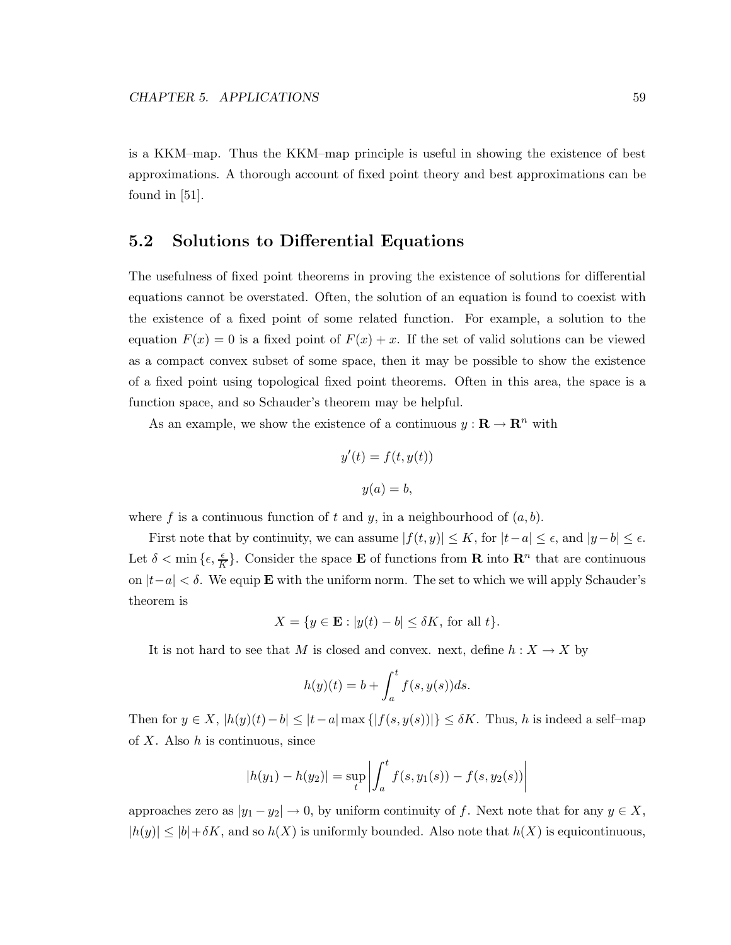is a KKM–map. Thus the KKM–map principle is useful in showing the existence of best approximations. A thorough account of fixed point theory and best approximations can be found in [51].

## **5.2 Solutions to Differential Equations**

The usefulness of fixed point theorems in proving the existence of solutions for differential equations cannot be overstated. Often, the solution of an equation is found to coexist with the existence of a fixed point of some related function. For example, a solution to the equation  $F(x) = 0$  is a fixed point of  $F(x) + x$ . If the set of valid solutions can be viewed as a compact convex subset of some space, then it may be possible to show the existence of a fixed point using topological fixed point theorems. Often in this area, the space is a function space, and so Schauder's theorem may be helpful.

As an example, we show the existence of a continuous  $y : \mathbf{R} \to \mathbf{R}^n$  with

$$
y'(t) = f(t, y(t))
$$

$$
y(a) = b,
$$

where f is a continuous function of t and y, in a neighbourhood of  $(a, b)$ .

First note that by continuity, we can assume  $|f(t, y)| \leq K$ , for  $|t - a| \leq \epsilon$ , and  $|y - b| \leq \epsilon$ . Let  $\delta < \min\left\{\epsilon, \frac{\epsilon}{K}\right\}$ . Consider the space **E** of functions from **R** into **R**<sup>n</sup> that are continuous on |t−a| < δ. We equip **E** with the uniform norm. The set to which we will apply Schauder's theorem is

$$
X = \{ y \in \mathbf{E} : |y(t) - b| \le \delta K, \text{ for all } t \}.
$$

It is not hard to see that M is closed and convex. next, define  $h: X \to X$  by

$$
h(y)(t) = b + \int_a^t f(s, y(s))ds.
$$

Then for  $y \in X$ ,  $|h(y)(t)-b| \leq |t-a| \max\{|f(s,y(s))|\} \leq \delta K$ . Thus, h is indeed a self-map of  $X$ . Also  $h$  is continuous, since

$$
|h(y_1) - h(y_2)| = \sup_t \left| \int_a^t f(s, y_1(s)) - f(s, y_2(s)) \right|
$$

approaches zero as  $|y_1 - y_2| \to 0$ , by uniform continuity of f. Next note that for any  $y \in X$ ,  $|h(y)| \leq |b| + \delta K$ , and so  $h(X)$  is uniformly bounded. Also note that  $h(X)$  is equicontinuous,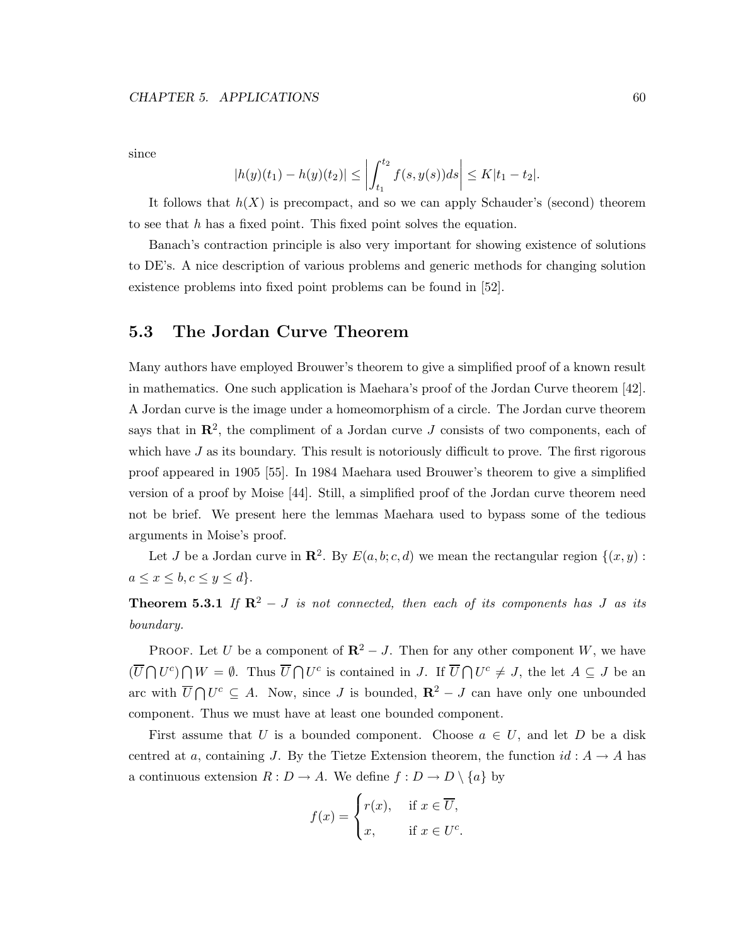since

$$
|h(y)(t_1) - h(y)(t_2)| \le \left| \int_{t_1}^{t_2} f(s, y(s)) ds \right| \le K|t_1 - t_2|.
$$

It follows that  $h(X)$  is precompact, and so we can apply Schauder's (second) theorem to see that h has a fixed point. This fixed point solves the equation.

Banach's contraction principle is also very important for showing existence of solutions to DE's. A nice description of various problems and generic methods for changing solution existence problems into fixed point problems can be found in [52].

## **5.3 The Jordan Curve Theorem**

Many authors have employed Brouwer's theorem to give a simplified proof of a known result in mathematics. One such application is Maehara's proof of the Jordan Curve theorem [42]. A Jordan curve is the image under a homeomorphism of a circle. The Jordan curve theorem says that in  $\mathbb{R}^2$ , the compliment of a Jordan curve J consists of two components, each of which have  $J$  as its boundary. This result is notoriously difficult to prove. The first rigorous proof appeared in 1905 [55]. In 1984 Maehara used Brouwer's theorem to give a simplified version of a proof by Moise [44]. Still, a simplified proof of the Jordan curve theorem need not be brief. We present here the lemmas Maehara used to bypass some of the tedious arguments in Moise's proof.

Let J be a Jordan curve in  $\mathbb{R}^2$ . By  $E(a, b; c, d)$  we mean the rectangular region  $\{(x, y):$  $a \leq x \leq b, c \leq y \leq d$ .

**Theorem 5.3.1** *If*  $\mathbb{R}^2 - J$  *is not connected, then each of its components has J as its boundary.*

**PROOF.** Let U be a component of  $\mathbb{R}^2 - J$ . Then for any other component W, we have  $(\overline{U}\bigcap U^c)\bigcap W=\emptyset$ . Thus  $\overline{U}\bigcap U^c$  is contained in J. If  $\overline{U}\bigcap U^c\neq J$ , the let  $A\subseteq J$  be an arc with  $\overline{U} \cap U^c$  ⊆ A. Now, since J is bounded,  $\mathbb{R}^2 - J$  can have only one unbounded component. Thus we must have at least one bounded component.

First assume that U is a bounded component. Choose  $a \in U$ , and let D be a disk centred at a, containing J. By the Tietze Extension theorem, the function  $id: A \to A$  has a continuous extension  $R: D \to A$ . We define  $f: D \to D \setminus \{a\}$  by

$$
f(x) = \begin{cases} r(x), & \text{if } x \in \overline{U}, \\ x, & \text{if } x \in U^c. \end{cases}
$$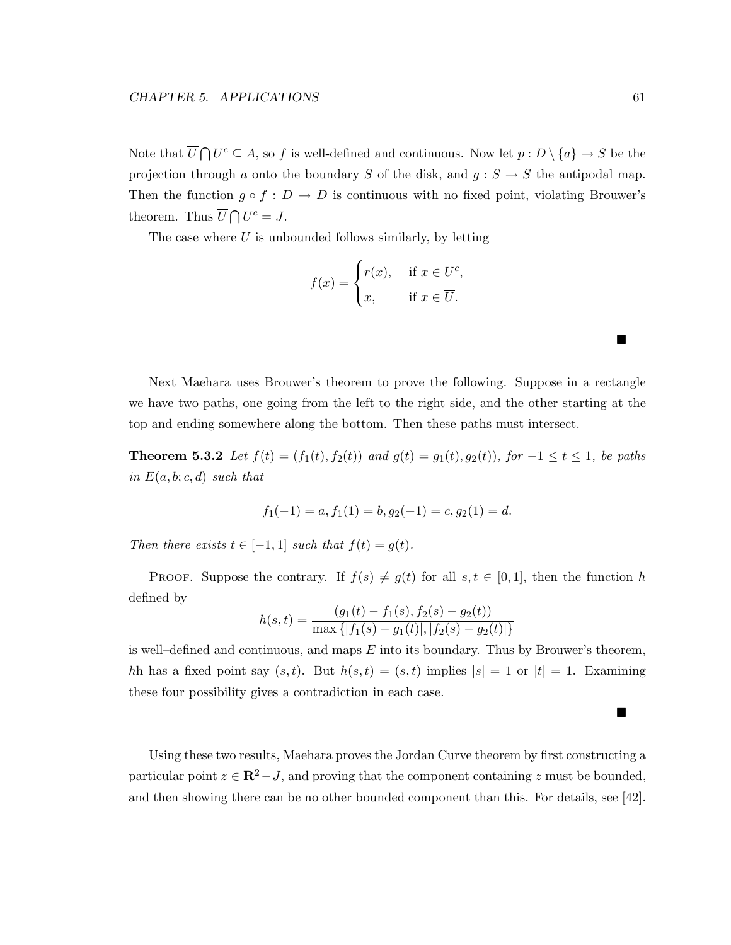Note that  $\overline{U} \cap U^c \subseteq A$ , so f is well-defined and continuous. Now let  $p : D \setminus \{a\} \to S$  be the projection through a onto the boundary S of the disk, and  $g : S \to S$  the antipodal map. Then the function  $g \circ f : D \to D$  is continuous with no fixed point, violating Brouwer's theorem. Thus  $\overline{U} \bigcap U^c = J$ .

The case where  $U$  is unbounded follows similarly, by letting

$$
f(x) = \begin{cases} r(x), & \text{if } x \in U^c, \\ x, & \text{if } x \in \overline{U}. \end{cases}
$$

Next Maehara uses Brouwer's theorem to prove the following. Suppose in a rectangle we have two paths, one going from the left to the right side, and the other starting at the top and ending somewhere along the bottom. Then these paths must intersect.

**Theorem 5.3.2** *Let*  $f(t) = (f_1(t), f_2(t))$  *and*  $g(t) = g_1(t), g_2(t)$ *), for* −1 ≤ t ≤ 1*, be paths in*  $E(a, b; c, d)$  *such that* 

$$
f_1(-1) = a, f_1(1) = b, g_2(-1) = c, g_2(1) = d.
$$

*Then there exists*  $t \in [-1, 1]$  *such that*  $f(t) = g(t)$ *.* 

PROOF. Suppose the contrary. If  $f(s) \neq g(t)$  for all  $s, t \in [0,1]$ , then the function h defined by  $\left(\begin{array}{cc} f(x) & f(x) & f(x) \\ g(x) & g(x) & g(x) \end{array}\right)$ 

$$
h(s,t) = \frac{(g_1(t) - f_1(s), f_2(s) - g_2(t))}{\max\{|f_1(s) - g_1(t)|, |f_2(s) - g_2(t)|\}}
$$

is well–defined and continuous, and maps  $E$  into its boundary. Thus by Brouwer's theorem, hh has a fixed point say  $(s, t)$ . But  $h(s, t)=(s, t)$  implies  $|s| = 1$  or  $|t| = 1$ . Examining these four possibility gives a contradiction in each case.

Using these two results, Maehara proves the Jordan Curve theorem by first constructing a particular point  $z \in \mathbb{R}^2 - J$ , and proving that the component containing z must be bounded, and then showing there can be no other bounded component than this. For details, see [42].

Е

 $\blacksquare$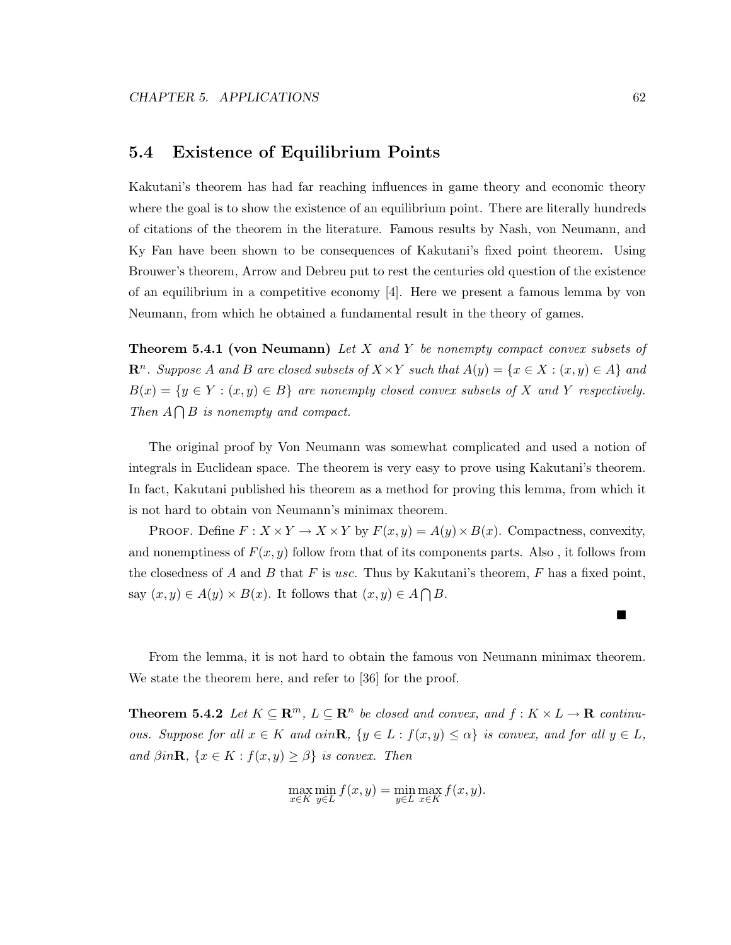### **5.4 Existence of Equilibrium Points**

Kakutani's theorem has had far reaching influences in game theory and economic theory where the goal is to show the existence of an equilibrium point. There are literally hundreds of citations of the theorem in the literature. Famous results by Nash, von Neumann, and Ky Fan have been shown to be consequences of Kakutani's fixed point theorem. Using Brouwer's theorem, Arrow and Debreu put to rest the centuries old question of the existence of an equilibrium in a competitive economy [4]. Here we present a famous lemma by von Neumann, from which he obtained a fundamental result in the theory of games.

**Theorem 5.4.1 (von Neumann)** *Let* X *and* Y *be nonempty compact convex subsets of*  $\mathbb{R}^n$ *. Suppose* A and B are closed subsets of  $X \times Y$  such that  $A(y) = \{x \in X : (x, y) \in A\}$  and  $B(x) = \{y \in Y : (x, y) \in B\}$  are nonempty closed convex subsets of X and Y respectively. *Then*  $A \cap B$  *is nonempty and compact.* 

The original proof by Von Neumann was somewhat complicated and used a notion of integrals in Euclidean space. The theorem is very easy to prove using Kakutani's theorem. In fact, Kakutani published his theorem as a method for proving this lemma, from which it is not hard to obtain von Neumann's minimax theorem.

PROOF. Define  $F: X \times Y \to X \times Y$  by  $F(x, y) = A(y) \times B(x)$ . Compactness, convexity, and nonemptiness of  $F(x, y)$  follow from that of its components parts. Also, it follows from the closedness of A and B that F is usc. Thus by Kakutani's theorem, F has a fixed point, say  $(x, y) \in A(y) \times B(x)$ . It follows that  $(x, y) \in A \cap B$ .

From the lemma, it is not hard to obtain the famous von Neumann minimax theorem. We state the theorem here, and refer to [36] for the proof.

**Theorem 5.4.2** *Let*  $K \subseteq \mathbb{R}^m$ ,  $L \subseteq \mathbb{R}^n$  *be closed and convex, and*  $f : K \times L \to \mathbb{R}$  *continuous. Suppose for all*  $x \in K$  *and*  $\alpha in \mathbf{R}$ *,*  $\{y \in L : f(x, y) \leq \alpha\}$  *is convex, and for all*  $y \in L$ *, and*  $\beta in \mathbf{R}$ *,*  $\{x \in K : f(x, y) \geq \beta\}$  *is convex. Then* 

$$
\max_{x \in K} \min_{y \in L} f(x, y) = \min_{y \in L} \max_{x \in K} f(x, y).
$$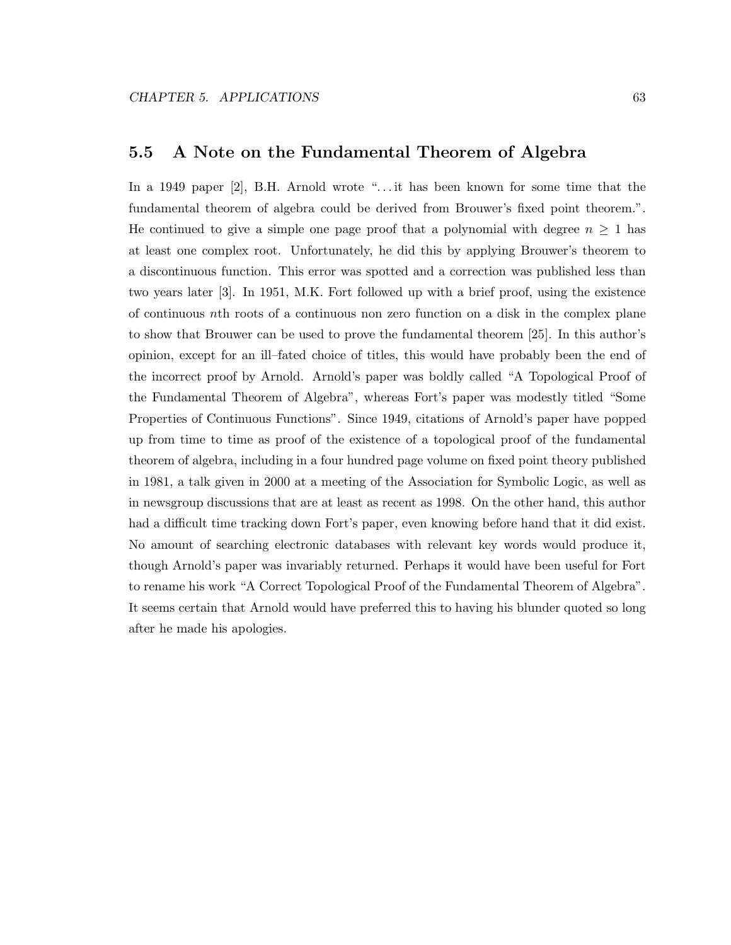## **5.5 A Note on the Fundamental Theorem of Algebra**

In a 1949 paper [2], B.H. Arnold wrote "... it has been known for some time that the fundamental theorem of algebra could be derived from Brouwer's fixed point theorem.". He continued to give a simple one page proof that a polynomial with degree  $n \geq 1$  has at least one complex root. Unfortunately, he did this by applying Brouwer's theorem to a discontinuous function. This error was spotted and a correction was published less than two years later [3]. In 1951, M.K. Fort followed up with a brief proof, using the existence of continuous nth roots of a continuous non zero function on a disk in the complex plane to show that Brouwer can be used to prove the fundamental theorem [25]. In this author's opinion, except for an ill–fated choice of titles, this would have probably been the end of the incorrect proof by Arnold. Arnold's paper was boldly called "A Topological Proof of the Fundamental Theorem of Algebra", whereas Fort's paper was modestly titled "Some Properties of Continuous Functions". Since 1949, citations of Arnold's paper have popped up from time to time as proof of the existence of a topological proof of the fundamental theorem of algebra, including in a four hundred page volume on fixed point theory published in 1981, a talk given in 2000 at a meeting of the Association for Symbolic Logic, as well as in newsgroup discussions that are at least as recent as 1998. On the other hand, this author had a difficult time tracking down Fort's paper, even knowing before hand that it did exist. No amount of searching electronic databases with relevant key words would produce it, though Arnold's paper was invariably returned. Perhaps it would have been useful for Fort to rename his work "A Correct Topological Proof of the Fundamental Theorem of Algebra". It seems certain that Arnold would have preferred this to having his blunder quoted so long after he made his apologies.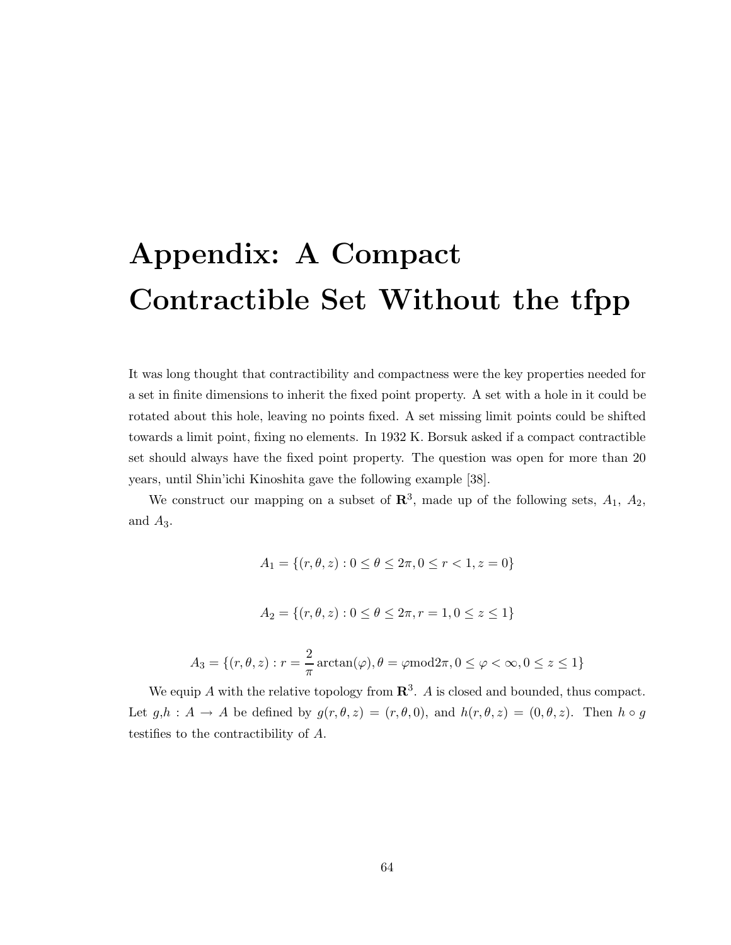# **Appendix: A Compact Contractible Set Without the tfpp**

It was long thought that contractibility and compactness were the key properties needed for a set in finite dimensions to inherit the fixed point property. A set with a hole in it could be rotated about this hole, leaving no points fixed. A set missing limit points could be shifted towards a limit point, fixing no elements. In 1932 K. Borsuk asked if a compact contractible set should always have the fixed point property. The question was open for more than 20 years, until Shin'ichi Kinoshita gave the following example [38].

We construct our mapping on a subset of  $\mathbb{R}^3$ , made up of the following sets,  $A_1$ ,  $A_2$ , and  $A_3$ .

$$
A_1 = \{(r, \theta, z) : 0 \le \theta \le 2\pi, 0 \le r < 1, z = 0\}
$$
  

$$
A_2 = \{(r, \theta, z) : 0 \le \theta \le 2\pi, r = 1, 0 \le z \le 1\}
$$

$$
A_3 = \{ (r, \theta, z) : r = \frac{2}{\pi} \arctan(\varphi), \theta = \varphi \mod 2\pi, 0 \le \varphi < \infty, 0 \le z \le 1 \}
$$

We equip A with the relative topology from  $\mathbb{R}^3$ . A is closed and bounded, thus compact. Let  $g,h : A \to A$  be defined by  $g(r, \theta, z)=(r, \theta, 0)$ , and  $h(r, \theta, z) = (0, \theta, z)$ . Then  $h \circ g$ testifies to the contractibility of A.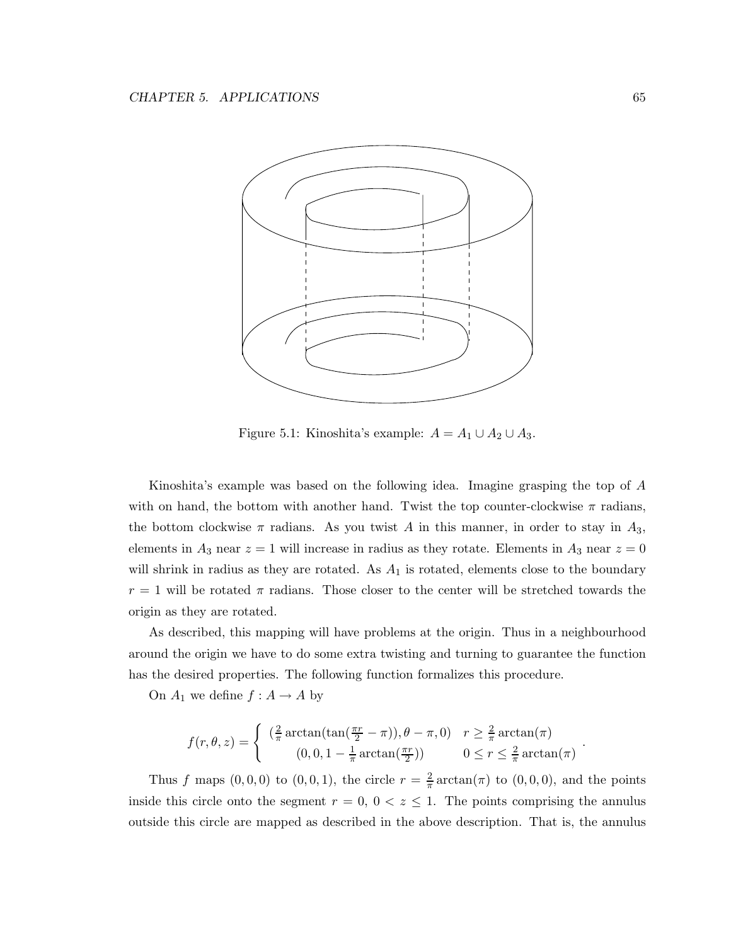

Figure 5.1: Kinoshita's example:  $A = A_1 \cup A_2 \cup A_3$ .

Kinoshita's example was based on the following idea. Imagine grasping the top of A with on hand, the bottom with another hand. Twist the top counter-clockwise  $\pi$  radians, the bottom clockwise  $\pi$  radians. As you twist A in this manner, in order to stay in  $A_3$ , elements in  $A_3$  near  $z = 1$  will increase in radius as they rotate. Elements in  $A_3$  near  $z = 0$ will shrink in radius as they are rotated. As  $A_1$  is rotated, elements close to the boundary  $r = 1$  will be rotated  $\pi$  radians. Those closer to the center will be stretched towards the origin as they are rotated.

As described, this mapping will have problems at the origin. Thus in a neighbourhood around the origin we have to do some extra twisting and turning to guarantee the function has the desired properties. The following function formalizes this procedure.

On  $A_1$  we define  $f : A \to A$  by

$$
f(r, \theta, z) = \begin{cases} \left(\frac{2}{\pi} \arctan(\tan(\frac{\pi r}{2} - \pi)), \theta - \pi, 0\right) & r \ge \frac{2}{\pi} \arctan(\pi) \\ \left(0, 0, 1 - \frac{1}{\pi} \arctan(\frac{\pi r}{2})\right) & 0 \le r \le \frac{2}{\pi} \arctan(\pi) \end{cases}
$$

Thus f maps  $(0,0,0)$  to  $(0,0,1)$ , the circle  $r = \frac{2}{\pi} \arctan(\pi)$  to  $(0,0,0)$ , and the points inside this circle onto the segment  $r = 0$ ,  $0 < z \le 1$ . The points comprising the annulus outside this circle are mapped as described in the above description. That is, the annulus

.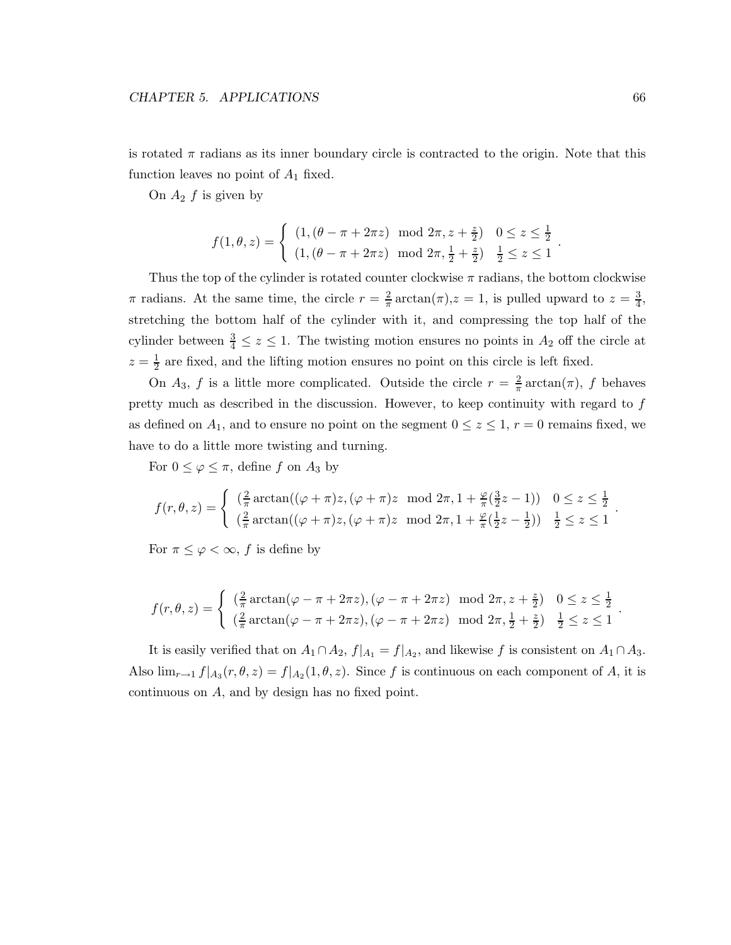is rotated  $\pi$  radians as its inner boundary circle is contracted to the origin. Note that this function leaves no point of  $A_1$  fixed.

On  $A_2$  f is given by

$$
f(1, \theta, z) = \begin{cases} (1, (\theta - \pi + 2\pi z) \mod 2\pi, z + \frac{z}{2}) & 0 \leq z \leq \frac{1}{2} \\ (1, (\theta - \pi + 2\pi z) \mod 2\pi, \frac{1}{2} + \frac{z}{2}) & \frac{1}{2} \leq z \leq 1 \end{cases}.
$$

Thus the top of the cylinder is rotated counter clockwise  $\pi$  radians, the bottom clockwise  $\pi$  radians. At the same time, the circle  $r = \frac{2}{\pi} \arctan(\pi)$ ,  $z = 1$ , is pulled upward to  $z = \frac{3}{4}$ , stretching the bottom half of the cylinder with it, and compressing the top half of the cylinder between  $\frac{3}{4} \leq z \leq 1$ . The twisting motion ensures no points in  $A_2$  off the circle at  $z = \frac{1}{2}$  are fixed, and the lifting motion ensures no point on this circle is left fixed.

On  $A_3$ , f is a little more complicated. Outside the circle  $r = \frac{2}{\pi} \arctan(\pi)$ , f behaves pretty much as described in the discussion. However, to keep continuity with regard to  $f$ as defined on  $A_1$ , and to ensure no point on the segment  $0 \le z \le 1$ ,  $r = 0$  remains fixed, we have to do a little more twisting and turning.

For  $0 \leq \varphi \leq \pi$ , define f on  $A_3$  by

$$
f(r, \theta, z) = \begin{cases} \left(\frac{2}{\pi} \arctan((\varphi + \pi)z, (\varphi + \pi)z \mod 2\pi, 1 + \frac{\varphi}{\pi}(\frac{3}{2}z - 1)) \right) & 0 \le z \le \frac{1}{2} \\ \left(\frac{2}{\pi} \arctan((\varphi + \pi)z, (\varphi + \pi)z \mod 2\pi, 1 + \frac{\varphi}{\pi}(\frac{1}{2}z - \frac{1}{2})) \right) & \frac{1}{2} \le z \le 1 \end{cases}.
$$

For  $\pi \leq \varphi < \infty$ , f is define by

$$
f(r,\theta,z) = \begin{cases} \left(\frac{2}{\pi}\arctan(\varphi - \pi + 2\pi z), (\varphi - \pi + 2\pi z) \mod 2\pi, z + \frac{z}{2}\right) & 0 \leq z \leq \frac{1}{2} \\ \left(\frac{2}{\pi}\arctan(\varphi - \pi + 2\pi z), (\varphi - \pi + 2\pi z) \mod 2\pi, \frac{1}{2} + \frac{z}{2}\right) & \frac{1}{2} \leq z \leq 1 \end{cases}.
$$

It is easily verified that on  $A_1 \cap A_2$ ,  $f|_{A_1} = f|_{A_2}$ , and likewise f is consistent on  $A_1 \cap A_3$ . Also  $\lim_{r\to 1} f|_{A_3}(r,\theta,z) = f|_{A_2}(1,\theta,z)$ . Since f is continuous on each component of A, it is continuous on A, and by design has no fixed point.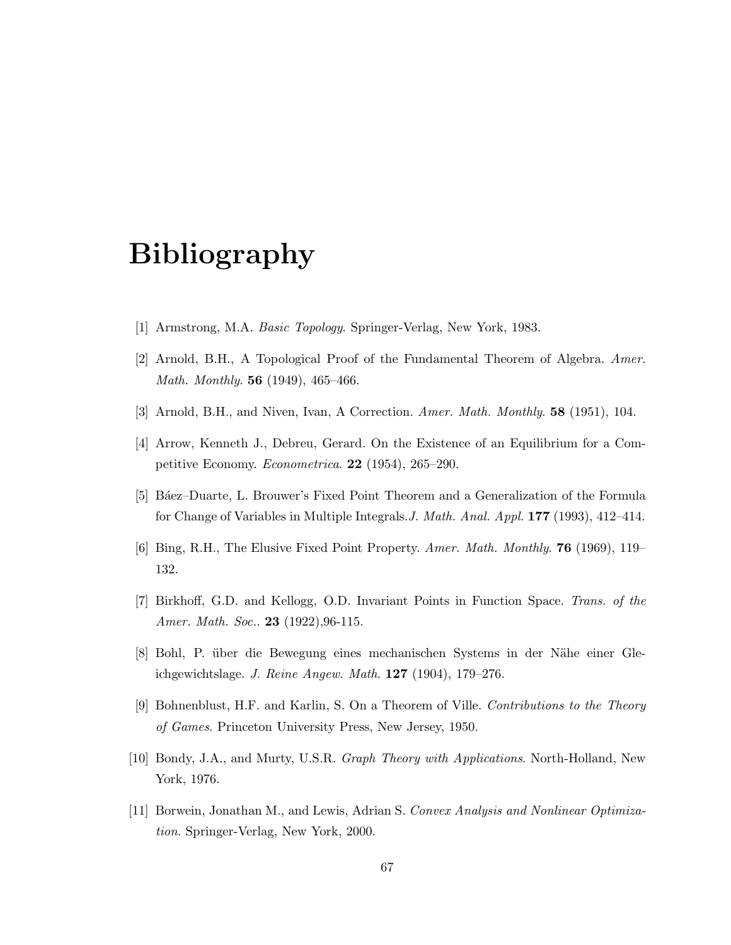## **Bibliography**

- [1] Armstrong, M.A. *Basic Topology*. Springer-Verlag, New York, 1983.
- [2] Arnold, B.H., A Topological Proof of the Fundamental Theorem of Algebra. *Amer. Math. Monthly*. **56** (1949), 465–466.
- [3] Arnold, B.H., and Niven, Ivan, A Correction. *Amer. Math. Monthly*. **58** (1951), 104.
- [4] Arrow, Kenneth J., Debreu, Gerard. On the Existence of an Equilibrium for a Competitive Economy. *Econometrica*. **22** (1954), 265–290.
- [5] B´aez–Duarte, L. Brouwer's Fixed Point Theorem and a Generalization of the Formula for Change of Variables in Multiple Integrals.*J. Math. Anal. Appl.* **177** (1993), 412–414.
- [6] Bing, R.H., The Elusive Fixed Point Property. *Amer. Math. Monthly*. **76** (1969), 119– 132.
- [7] Birkhoff, G.D. and Kellogg, O.D. Invariant Points in Function Space. *Trans. of the Amer. Math. Soc.*. **23** (1922),96-115.
- [8] Bohl, P. über die Bewegung eines mechanischen Systems in der Nähe einer Gleichgewichtslage. *J. Reine Angew. Math*. **127** (1904), 179–276.
- [9] Bohnenblust, H.F. and Karlin, S. On a Theorem of Ville. *Contributions to the Theory of Games*. Princeton University Press, New Jersey, 1950.
- [10] Bondy, J.A., and Murty, U.S.R. *Graph Theory with Applications*. North-Holland, New York, 1976.
- [11] Borwein, Jonathan M., and Lewis, Adrian S. *Convex Analysis and Nonlinear Optimization*. Springer-Verlag, New York, 2000.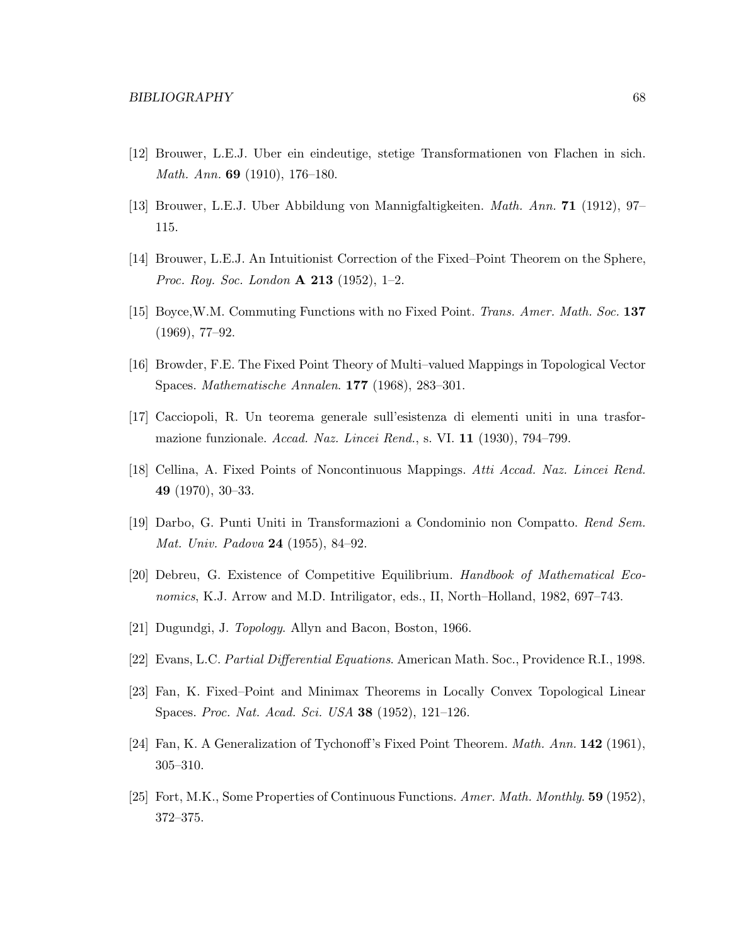- [12] Brouwer, L.E.J. Uber ein eindeutige, stetige Transformationen von Flachen in sich. *Math. Ann.* **69** (1910), 176–180.
- [13] Brouwer, L.E.J. Uber Abbildung von Mannigfaltigkeiten. *Math. Ann.* **71** (1912), 97– 115.
- [14] Brouwer, L.E.J. An Intuitionist Correction of the Fixed–Point Theorem on the Sphere, *Proc. Roy. Soc. London* **A 213** (1952), 1–2.
- [15] Boyce,W.M. Commuting Functions with no Fixed Point. *Trans. Amer. Math. Soc.* **137** (1969), 77–92.
- [16] Browder, F.E. The Fixed Point Theory of Multi–valued Mappings in Topological Vector Spaces. *Mathematische Annalen*. **177** (1968), 283–301.
- [17] Cacciopoli, R. Un teorema generale sull'esistenza di elementi uniti in una trasformazione funzionale. *Accad. Naz. Lincei Rend.*, s. VI. **11** (1930), 794–799.
- [18] Cellina, A. Fixed Points of Noncontinuous Mappings. *Atti Accad. Naz. Lincei Rend.* **49** (1970), 30–33.
- [19] Darbo, G. Punti Uniti in Transformazioni a Condominio non Compatto. *Rend Sem. Mat. Univ. Padova* **24** (1955), 84–92.
- [20] Debreu, G. Existence of Competitive Equilibrium. *Handbook of Mathematical Economics*, K.J. Arrow and M.D. Intriligator, eds., II, North–Holland, 1982, 697–743.
- [21] Dugundgi, J. *Topology*. Allyn and Bacon, Boston, 1966.
- [22] Evans, L.C. *Partial Differential Equations*. American Math. Soc., Providence R.I., 1998.
- [23] Fan, K. Fixed–Point and Minimax Theorems in Locally Convex Topological Linear Spaces. *Proc. Nat. Acad. Sci. USA* **38** (1952), 121–126.
- [24] Fan, K. A Generalization of Tychonoff's Fixed Point Theorem. *Math. Ann.* **142** (1961), 305–310.
- [25] Fort, M.K., Some Properties of Continuous Functions. *Amer. Math. Monthly*. **59** (1952), 372–375.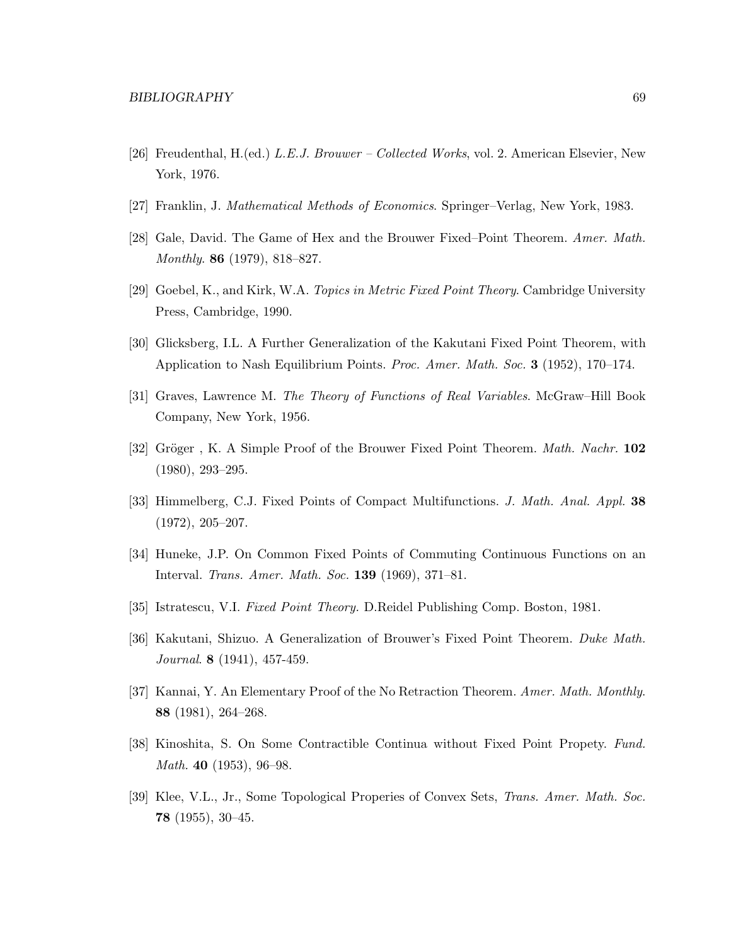- [26] Freudenthal, H.(ed.) *L.E.J. Brouwer Collected Works*, vol. 2. American Elsevier, New York, 1976.
- [27] Franklin, J. *Mathematical Methods of Economics*. Springer–Verlag, New York, 1983.
- [28] Gale, David. The Game of Hex and the Brouwer Fixed–Point Theorem. *Amer. Math. Monthly*. **86** (1979), 818–827.
- [29] Goebel, K., and Kirk, W.A. *Topics in Metric Fixed Point Theory*. Cambridge University Press, Cambridge, 1990.
- [30] Glicksberg, I.L. A Further Generalization of the Kakutani Fixed Point Theorem, with Application to Nash Equilibrium Points. *Proc. Amer. Math. Soc.* **3** (1952), 170–174.
- [31] Graves, Lawrence M. *The Theory of Functions of Real Variables*. McGraw–Hill Book Company, New York, 1956.
- [32] Gröger, K. A Simple Proof of the Brouwer Fixed Point Theorem. *Math. Nachr.* **102** (1980), 293–295.
- [33] Himmelberg, C.J. Fixed Points of Compact Multifunctions. *J. Math. Anal. Appl.* **38** (1972), 205–207.
- [34] Huneke, J.P. On Common Fixed Points of Commuting Continuous Functions on an Interval. *Trans. Amer. Math. Soc.* **139** (1969), 371–81.
- [35] Istratescu, V.I. *Fixed Point Theory.* D.Reidel Publishing Comp. Boston, 1981.
- [36] Kakutani, Shizuo. A Generalization of Brouwer's Fixed Point Theorem. *Duke Math. Journal*. **8** (1941), 457-459.
- [37] Kannai, Y. An Elementary Proof of the No Retraction Theorem. *Amer. Math. Monthly*. **88** (1981), 264–268.
- [38] Kinoshita, S. On Some Contractible Continua without Fixed Point Propety. *Fund. Math.* **40** (1953), 96–98.
- [39] Klee, V.L., Jr., Some Topological Properies of Convex Sets, *Trans. Amer. Math. Soc.* **78** (1955), 30–45.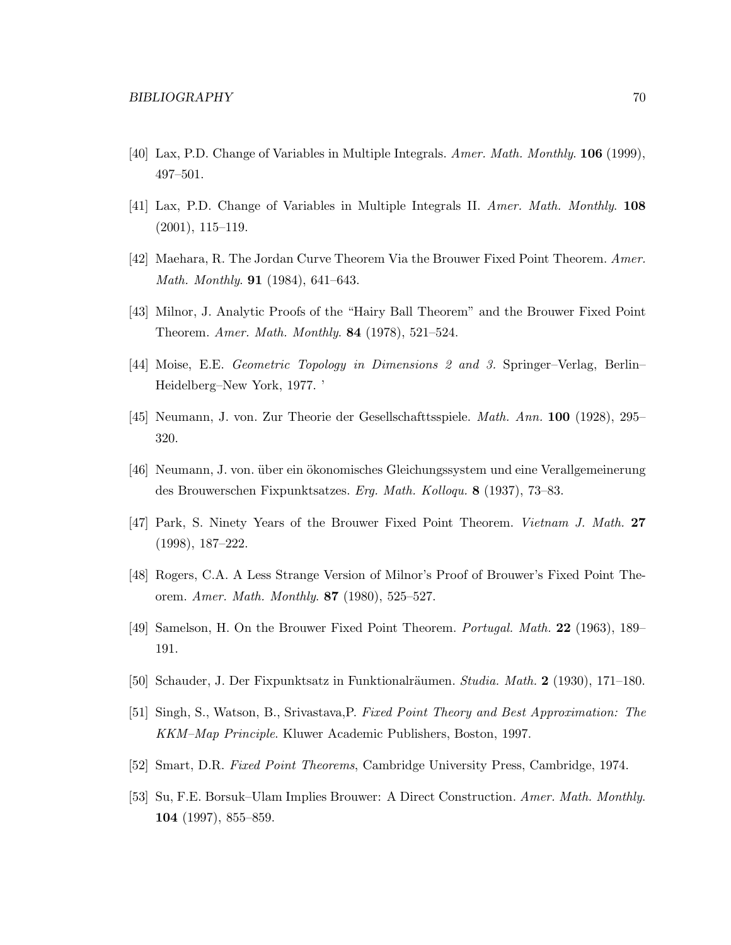- [40] Lax, P.D. Change of Variables in Multiple Integrals. *Amer. Math. Monthly*. **106** (1999), 497–501.
- [41] Lax, P.D. Change of Variables in Multiple Integrals II. *Amer. Math. Monthly*. **108** (2001), 115–119.
- [42] Maehara, R. The Jordan Curve Theorem Via the Brouwer Fixed Point Theorem. *Amer. Math. Monthly*. **91** (1984), 641–643.
- [43] Milnor, J. Analytic Proofs of the "Hairy Ball Theorem" and the Brouwer Fixed Point Theorem. *Amer. Math. Monthly*. **84** (1978), 521–524.
- [44] Moise, E.E. *Geometric Topology in Dimensions 2 and 3.* Springer–Verlag, Berlin– Heidelberg–New York, 1977. '
- [45] Neumann, J. von. Zur Theorie der Gesellschafttsspiele. *Math. Ann.* **100** (1928), 295– 320.
- [46] Neumann, J. von. über ein ökonomisches Gleichungssystem und eine Verallgemeinerung des Brouwerschen Fixpunktsatzes. *Erg. Math. Kolloqu.* **8** (1937), 73–83.
- [47] Park, S. Ninety Years of the Brouwer Fixed Point Theorem. *Vietnam J. Math.* **27** (1998), 187–222.
- [48] Rogers, C.A. A Less Strange Version of Milnor's Proof of Brouwer's Fixed Point Theorem. *Amer. Math. Monthly*. **87** (1980), 525–527.
- [49] Samelson, H. On the Brouwer Fixed Point Theorem. *Portugal. Math.* **22** (1963), 189– 191.
- [50] Schauder, J. Der Fixpunktsatz in Funktionalr¨aumen. *Studia. Math.* **2** (1930), 171–180.
- [51] Singh, S., Watson, B., Srivastava,P. *Fixed Point Theory and Best Approximation: The KKM–Map Principle*. Kluwer Academic Publishers, Boston, 1997.
- [52] Smart, D.R. *Fixed Point Theorems*, Cambridge University Press, Cambridge, 1974.
- [53] Su, F.E. Borsuk–Ulam Implies Brouwer: A Direct Construction. *Amer. Math. Monthly*. **104** (1997), 855–859.